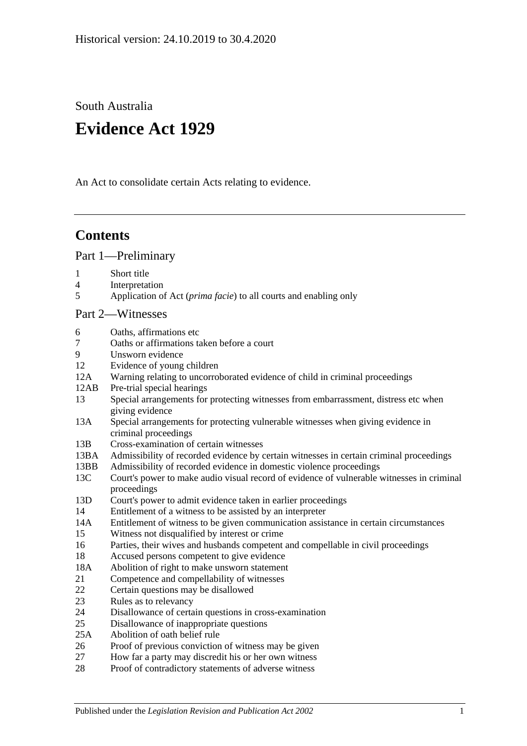South Australia

# **Evidence Act 1929**

An Act to consolidate certain Acts relating to evidence.

## **Contents**

[Part 1—Preliminary](#page-6-0)

- 1 [Short title](#page-6-1)
- 4 [Interpretation](#page-6-2)
- 5 Application of Act (*prima facie*[\) to all courts and enabling only](#page-8-0)

## [Part 2—Witnesses](#page-10-0)

- 6 [Oaths, affirmations etc](#page-10-1)
- 7 [Oaths or affirmations taken before a court](#page-10-2)
- 9 [Unsworn evidence](#page-10-3)
- 12 [Evidence of young children](#page-11-0)
- 12A [Warning relating to uncorroborated evidence of child in criminal proceedings](#page-11-1)
- 12AB [Pre-trial special hearings](#page-12-0)
- 13 [Special arrangements for protecting witnesses from embarrassment, distress etc when](#page-15-0)  [giving evidence](#page-15-0)
- 13A [Special arrangements for protecting vulnerable witnesses when giving evidence in](#page-16-0)  [criminal proceedings](#page-16-0)
- 13B [Cross-examination of certain witnesses](#page-19-0)
- 13BA [Admissibility of recorded evidence by certain witnesses in certain criminal proceedings](#page-20-0)
- 13BB [Admissibility of recorded evidence in domestic violence proceedings](#page-21-0)
- 13C [Court's power to make audio visual record of evidence of vulnerable witnesses in criminal](#page-24-0)  [proceedings](#page-24-0)
- 13D [Court's power to admit evidence taken in earlier proceedings](#page-24-1)
- 14 [Entitlement of a witness to be assisted by an interpreter](#page-25-0)
- 14A [Entitlement of witness to be given communication assistance in certain circumstances](#page-25-1)
- 15 [Witness not disqualified by interest or](#page-26-0) crime
- 16 [Parties, their wives and husbands competent and compellable in civil proceedings](#page-26-1)
- 18 [Accused persons competent to give evidence](#page-26-2)
- 18A [Abolition of right to make unsworn statement](#page-27-0)
- 21 [Competence and compellability of witnesses](#page-28-0)
- 22 [Certain questions may be disallowed](#page-29-0)
- 23 [Rules as to relevancy](#page-29-1)
- 24 [Disallowance of certain questions in cross-examination](#page-29-2)
- 25 [Disallowance of inappropriate questions](#page-29-3)
- 25A [Abolition of oath belief rule](#page-30-0)
- 26 [Proof of previous conviction of witness may be given](#page-31-0)
- 27 [How far a party may discredit his or her own witness](#page-31-1)
- 28 [Proof of contradictory statements of adverse witness](#page-31-2)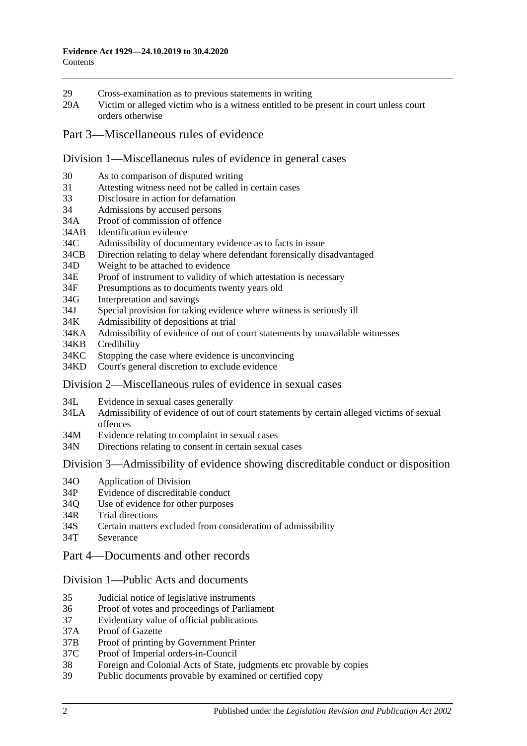- 29 [Cross-examination as to previous statements in writing](#page-31-3)
- 29A [Victim or alleged victim who is a witness entitled to be present in court unless](#page-31-4) court [orders otherwise](#page-31-4)
- [Part 3—Miscellaneous rules of evidence](#page-32-0)

#### [Division 1—Miscellaneous rules of evidence in general cases](#page-32-1)

- 30 [As to comparison of disputed writing](#page-32-2)
- 31 [Attesting witness need not be called in certain cases](#page-32-3)
- 33 [Disclosure in action for defamation](#page-32-4)
- 34 [Admissions by accused persons](#page-32-5)
- 34A [Proof of commission of offence](#page-32-6)
- 34AB [Identification evidence](#page-32-7)
- 34C [Admissibility of documentary evidence as to facts in issue](#page-33-0)
- 34CB [Direction relating to delay where defendant forensically disadvantaged](#page-34-0)
- 34D [Weight to be attached to evidence](#page-35-0)
- 34E [Proof of instrument to validity of which attestation is necessary](#page-35-1)
- 34F [Presumptions as to documents twenty years old](#page-35-2)
- 34G [Interpretation and savings](#page-35-3)
- 34J [Special provision for taking evidence where witness is seriously ill](#page-36-0)
- 34K [Admissibility of depositions at trial](#page-36-1)
- 34KA [Admissibility of evidence of out of court statements by unavailable witnesses](#page-36-2)
- 34KB [Credibility](#page-38-0)
- 34KC [Stopping the case where evidence is unconvincing](#page-38-1)
- 34KD [Court's general discretion to exclude evidence](#page-39-0)

#### [Division 2—Miscellaneous rules of evidence in sexual cases](#page-39-1)

- 34L [Evidence in sexual cases generally](#page-39-2)
- 34LA [Admissibility of evidence of out of court statements by certain alleged victims of sexual](#page-40-0)  [offences](#page-40-0)
- 34M [Evidence relating to complaint in sexual cases](#page-41-0)
- 34N [Directions relating to consent in certain sexual cases](#page-42-0)

Division [3—Admissibility of evidence showing discreditable conduct or disposition](#page-42-1)

- 34O [Application of Division](#page-42-2)
- 34P [Evidence of discreditable conduct](#page-43-0)
- 34Q [Use of evidence for other purposes](#page-43-1)
- 34R [Trial directions](#page-43-2)
- 34S [Certain matters excluded from consideration of admissibility](#page-44-0)
- 34T [Severance](#page-44-1)
- [Part 4—Documents and other records](#page-46-0)

#### [Division 1—Public Acts and documents](#page-46-1)

- 35 [Judicial notice of legislative instruments](#page-46-2)
- 36 [Proof of votes and proceedings of Parliament](#page-46-3)
- 37 [Evidentiary value of official publications](#page-46-4)
- 37A [Proof of Gazette](#page-46-5)
- 37B [Proof of printing by Government Printer](#page-47-0)
- 37C [Proof of Imperial orders-in-Council](#page-47-1)
- 38 [Foreign and Colonial Acts of State, judgments etc provable by copies](#page-47-2)
- 39 [Public documents provable by examined or certified copy](#page-48-0)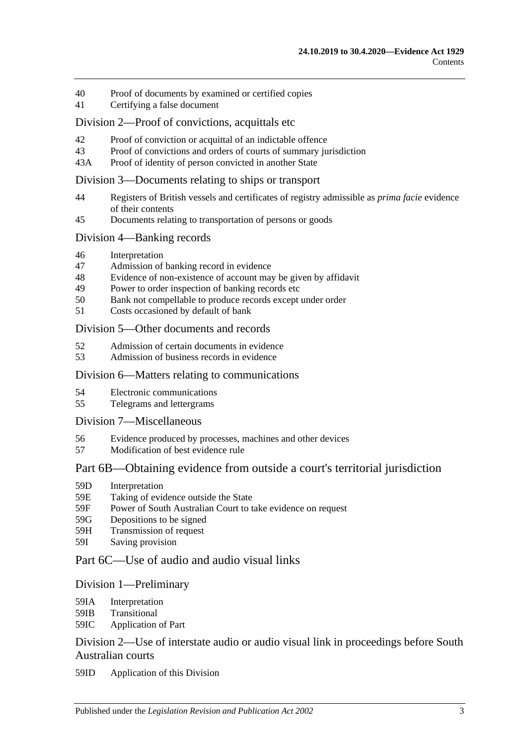- 40 [Proof of documents by examined or certified copies](#page-48-1)
- 41 [Certifying a false document](#page-48-2)

#### [Division 2—Proof of convictions, acquittals etc](#page-48-3)

- 42 [Proof of conviction or acquittal of an indictable offence](#page-48-4)<br>43 Proof of convictions and orders of courts of summary iu
- [Proof of convictions and orders of courts of summary jurisdiction](#page-49-0)
- 43A [Proof of identity of person convicted in another State](#page-49-1)

## [Division 3—Documents relating to ships or transport](#page-49-2)

- 44 [Registers of British vessels and certificates of registry admissible as](#page-49-3) *prima facie* evidence [of their contents](#page-49-3)
- 45 [Documents relating to transportation of persons or goods](#page-50-0)

#### [Division 4—Banking records](#page-50-1)

- 46 [Interpretation](#page-50-2)
- 47 [Admission of banking record in evidence](#page-51-0)
- 48 [Evidence of non-existence of account may be given by affidavit](#page-51-1)
- 49 [Power to order inspection of banking records etc](#page-51-2)
- 50 [Bank not compellable to produce records except under order](#page-52-0)
- 51 [Costs occasioned by default of bank](#page-53-0)

#### Division [5—Other documents and records](#page-53-1)

- 52 [Admission of certain documents in evidence](#page-53-2)
- 53 [Admission of business records in evidence](#page-53-3)

#### [Division 6—Matters relating to communications](#page-54-0)

- 54 [Electronic communications](#page-54-1)
- 55 [Telegrams and lettergrams](#page-55-0)

#### [Division 7—Miscellaneous](#page-55-1)

- 56 [Evidence produced by processes, machines and other devices](#page-55-2)
- 57 [Modification of best evidence rule](#page-56-0)

## [Part 6B—Obtaining evidence from outside a court's territorial jurisdiction](#page-58-0)

- 59D [Interpretation](#page-58-1)
- 59E [Taking of evidence outside the State](#page-58-2)
- 59F [Power of South Australian Court to take evidence on request](#page-59-0)
- 59G [Depositions to be signed](#page-59-1)
- 59H [Transmission of request](#page-59-2)
- 59I [Saving provision](#page-60-0)

## [Part 6C—Use of audio and audio visual links](#page-62-0)

#### [Division 1—Preliminary](#page-62-1)

- 59IA [Interpretation](#page-62-2)
- 59IB [Transitional](#page-62-3)
- 59IC [Application of Part](#page-62-4)

## [Division 2—Use of interstate audio or audio visual link in proceedings before South](#page-63-0)  [Australian courts](#page-63-0)

59ID [Application of this Division](#page-63-1)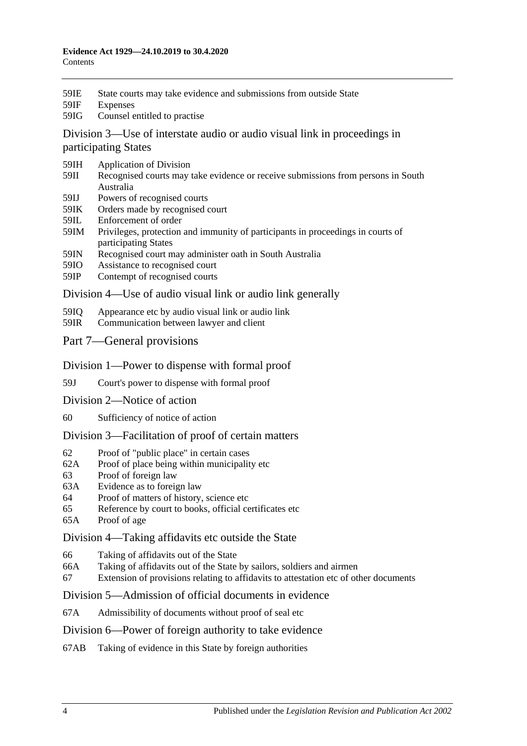- 59IE [State courts may take evidence and submissions from outside State](#page-63-2)
- 59IF [Expenses](#page-63-3)
- 59IG [Counsel entitled to practise](#page-63-4)

[Division 3—Use of interstate audio or audio visual link in proceedings in](#page-64-0)  [participating States](#page-64-0)

- 59IH [Application of Division](#page-64-1)
- 59II [Recognised courts may take evidence or receive submissions from persons in South](#page-64-2)  [Australia](#page-64-2)
- 59IJ [Powers of recognised courts](#page-64-3)
- 59IK [Orders made by recognised court](#page-64-4)
- 59IL [Enforcement of order](#page-64-5)
- 59IM [Privileges, protection and immunity of participants in proceedings in courts of](#page-65-0)  [participating States](#page-65-0)
- 59IN [Recognised court may administer oath in South Australia](#page-65-1)
- 59IO [Assistance to recognised court](#page-65-2)
- 59IP [Contempt of recognised courts](#page-65-3)

[Division 4—Use of audio visual link or audio link generally](#page-66-0)

- 59IQ [Appearance etc by audio visual link or audio link](#page-66-1)
- 59IR [Communication between lawyer and client](#page-67-0)
- [Part 7—General provisions](#page-68-0)
- [Division 1—Power to dispense with formal proof](#page-68-1)
- 59J [Court's power to dispense with formal proof](#page-68-2)
- [Division 2—Notice of action](#page-68-3)
- 60 [Sufficiency of notice of action](#page-68-4)

[Division 3—Facilitation of proof of certain matters](#page-68-5)

- 62 [Proof of "public place" in certain cases](#page-68-6)
- 62A [Proof of place being within municipality etc](#page-68-7)
- 63 [Proof of foreign law](#page-69-0)
- 63A [Evidence as to foreign law](#page-69-1)
- 64 [Proof of matters of history, science etc](#page-69-2)
- 65 [Reference by court to books, official certificates etc](#page-69-3)
- 65A [Proof of age](#page-70-0)

[Division 4—Taking affidavits etc outside the State](#page-70-1)

- 66 [Taking of affidavits out of the State](#page-70-2)
- 66A [Taking of affidavits out of the State by sailors, soldiers and airmen](#page-71-0)
- 67 [Extension of provisions relating to affidavits to attestation etc of other documents](#page-72-0)

[Division 5—Admission of official documents in evidence](#page-72-1)

- 67A [Admissibility of documents without proof of seal etc](#page-72-2)
- [Division 6—Power of foreign authority to take evidence](#page-73-0)
- 67AB [Taking of evidence in this State by foreign authorities](#page-73-1)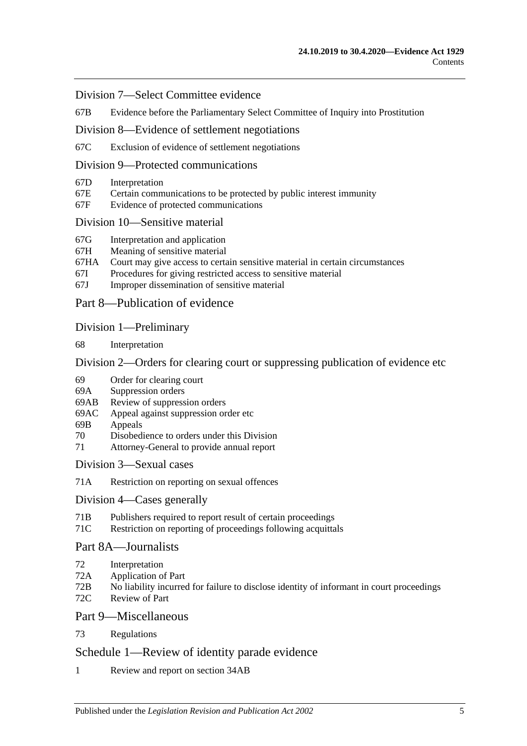#### [Division 7—Select Committee evidence](#page-73-2)

67B [Evidence before the Parliamentary Select Committee of Inquiry into Prostitution](#page-73-3)

[Division 8—Evidence of settlement negotiations](#page-74-0)

67C [Exclusion of evidence of settlement negotiations](#page-74-1)

## [Division 9—Protected communications](#page-75-0)

- 67D [Interpretation](#page-75-1)
- 67E [Certain communications to be protected by public interest immunity](#page-75-2)
- 67F [Evidence of protected communications](#page-76-0)

#### [Division 10—Sensitive material](#page-77-0)

- 67G [Interpretation and application](#page-77-1)
- 67H [Meaning of sensitive material](#page-79-0)
- 67HA [Court may give access to certain sensitive material in certain circumstances](#page-79-1)
- 67I [Procedures for giving restricted access to sensitive material](#page-80-0)
- 67J [Improper dissemination of sensitive material](#page-81-0)

## [Part 8—Publication of evidence](#page-82-0)

#### [Division 1—Preliminary](#page-82-1)

68 [Interpretation](#page-82-2)

#### [Division 2—Orders for clearing court or suppressing publication of evidence etc](#page-82-3)

- 69 [Order for clearing court](#page-82-4)
- 69A [Suppression orders](#page-83-0)
- 69AB [Review of suppression orders](#page-85-0)
- 69AC [Appeal against suppression order etc](#page-86-0)
- 69B [Appeals](#page-87-0)
- 70 [Disobedience to orders under this Division](#page-87-1)
- 71 [Attorney-General to provide annual report](#page-88-0)

[Division 3—Sexual cases](#page-88-1)

71A [Restriction on reporting on sexual offences](#page-88-2)

#### [Division 4—Cases](#page-90-0) generally

- 71B [Publishers required to report result of certain proceedings](#page-90-1)
- 71C [Restriction on reporting of proceedings following acquittals](#page-91-0)

## [Part 8A—Journalists](#page-92-0)

- 72 [Interpretation](#page-92-1)
- 72A [Application of Part](#page-92-2)
- 72B [No liability incurred for failure to disclose identity of informant in court proceedings](#page-92-3)
- 72C [Review of Part](#page-93-0)

## [Part 9—Miscellaneous](#page-94-0)

73 [Regulations](#page-94-1)

## [Schedule 1—Review of identity parade evidence](#page-96-0)

1 [Review and report on section](#page-96-1) 34AB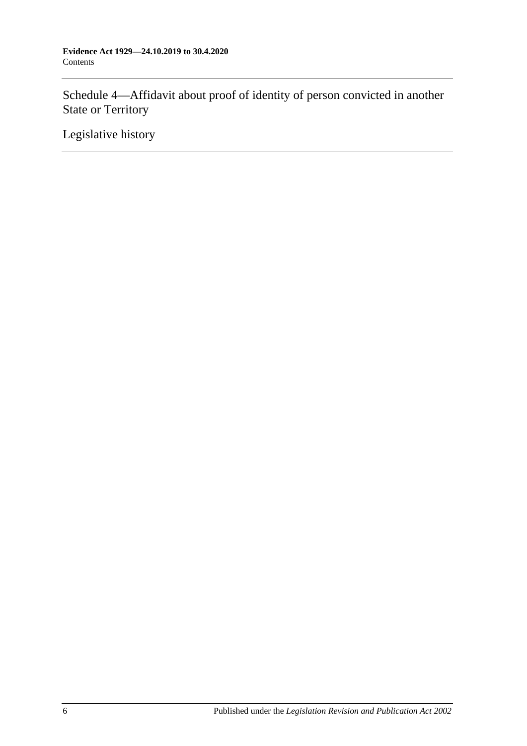[Schedule 4—Affidavit about proof of identity of person convicted in another](#page-97-0)  [State or Territory](#page-97-0)

[Legislative history](#page-98-0)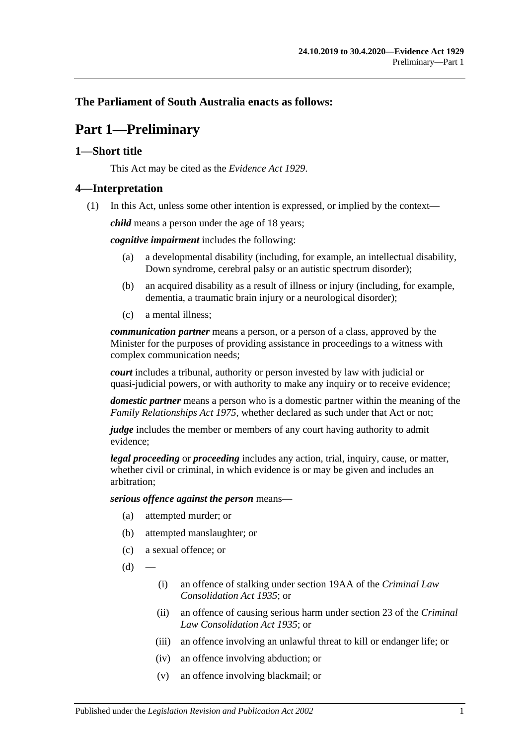## <span id="page-6-0"></span>**The Parliament of South Australia enacts as follows:**

## **Part 1—Preliminary**

## <span id="page-6-1"></span>**1—Short title**

This Act may be cited as the *Evidence Act 1929*.

## <span id="page-6-2"></span>**4—Interpretation**

(1) In this Act, unless some other intention is expressed, or implied by the context—

*child* means a person under the age of 18 years;

*cognitive impairment* includes the following:

- (a) a developmental disability (including, for example, an intellectual disability, Down syndrome, cerebral palsy or an autistic spectrum disorder);
- (b) an acquired disability as a result of illness or injury (including, for example, dementia, a traumatic brain injury or a neurological disorder);
- (c) a mental illness;

*communication partner* means a person, or a person of a class, approved by the Minister for the purposes of providing assistance in proceedings to a witness with complex communication needs;

*court* includes a tribunal, authority or person invested by law with judicial or quasi-judicial powers, or with authority to make any inquiry or to receive evidence;

*domestic partner* means a person who is a domestic partner within the meaning of the *[Family Relationships Act](http://www.legislation.sa.gov.au/index.aspx?action=legref&type=act&legtitle=Family%20Relationships%20Act%201975) 1975*, whether declared as such under that Act or not;

*judge* includes the member or members of any court having authority to admit evidence;

*legal proceeding* or *proceeding* includes any action, trial, inquiry, cause, or matter, whether civil or criminal, in which evidence is or may be given and includes an arbitration;

*serious offence against the person* means—

- (a) attempted murder; or
- (b) attempted manslaughter; or
- (c) a sexual offence; or
- $(d)$ 
	- (i) an offence of stalking under section 19AA of the *[Criminal Law](http://www.legislation.sa.gov.au/index.aspx?action=legref&type=act&legtitle=Criminal%20Law%20Consolidation%20Act%201935)  [Consolidation Act](http://www.legislation.sa.gov.au/index.aspx?action=legref&type=act&legtitle=Criminal%20Law%20Consolidation%20Act%201935) 1935*; or
	- (ii) an offence of causing serious harm under section 23 of the *[Criminal](http://www.legislation.sa.gov.au/index.aspx?action=legref&type=act&legtitle=Criminal%20Law%20Consolidation%20Act%201935)  [Law Consolidation Act](http://www.legislation.sa.gov.au/index.aspx?action=legref&type=act&legtitle=Criminal%20Law%20Consolidation%20Act%201935) 1935*; or
	- (iii) an offence involving an unlawful threat to kill or endanger life; or
	- (iv) an offence involving abduction; or
	- (v) an offence involving blackmail; or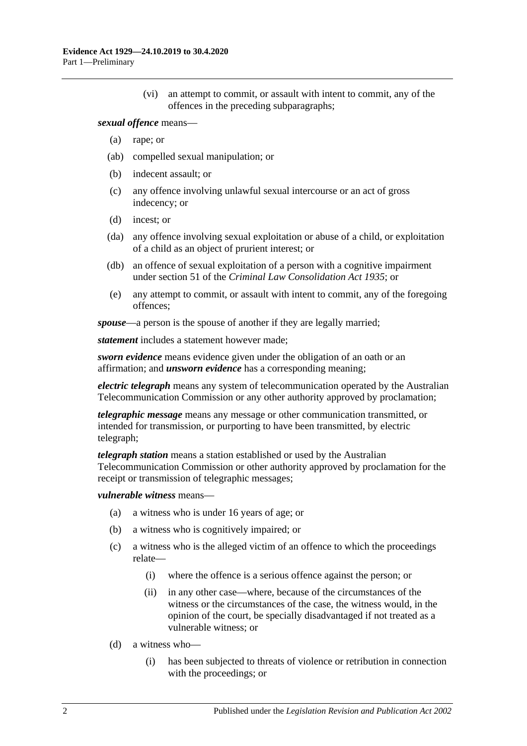(vi) an attempt to commit, or assault with intent to commit, any of the offences in the preceding subparagraphs;

#### *sexual offence* means—

- (a) rape; or
- (ab) compelled sexual manipulation; or
- (b) indecent assault; or
- (c) any offence involving unlawful sexual intercourse or an act of gross indecency; or
- (d) incest; or
- (da) any offence involving sexual exploitation or abuse of a child, or exploitation of a child as an object of prurient interest; or
- (db) an offence of sexual exploitation of a person with a cognitive impairment under section 51 of the *[Criminal Law Consolidation Act](http://www.legislation.sa.gov.au/index.aspx?action=legref&type=act&legtitle=Criminal%20Law%20Consolidation%20Act%201935) 1935*; or
- (e) any attempt to commit, or assault with intent to commit, any of the foregoing offences;

*spouse*—a person is the spouse of another if they are legally married;

*statement* includes a statement however made;

*sworn evidence* means evidence given under the obligation of an oath or an affirmation; and *unsworn evidence* has a corresponding meaning;

*electric telegraph* means any system of telecommunication operated by the Australian Telecommunication Commission or any other authority approved by proclamation;

*telegraphic message* means any message or other communication transmitted, or intended for transmission, or purporting to have been transmitted, by electric telegraph;

*telegraph station* means a station established or used by the Australian Telecommunication Commission or other authority approved by proclamation for the receipt or transmission of telegraphic messages;

#### *vulnerable witness* means—

- (a) a witness who is under 16 years of age; or
- (b) a witness who is cognitively impaired; or
- (c) a witness who is the alleged victim of an offence to which the proceedings relate—
	- (i) where the offence is a serious offence against the person; or
	- (ii) in any other case—where, because of the circumstances of the witness or the circumstances of the case, the witness would, in the opinion of the court, be specially disadvantaged if not treated as a vulnerable witness; or
- (d) a witness who—
	- (i) has been subjected to threats of violence or retribution in connection with the proceedings; or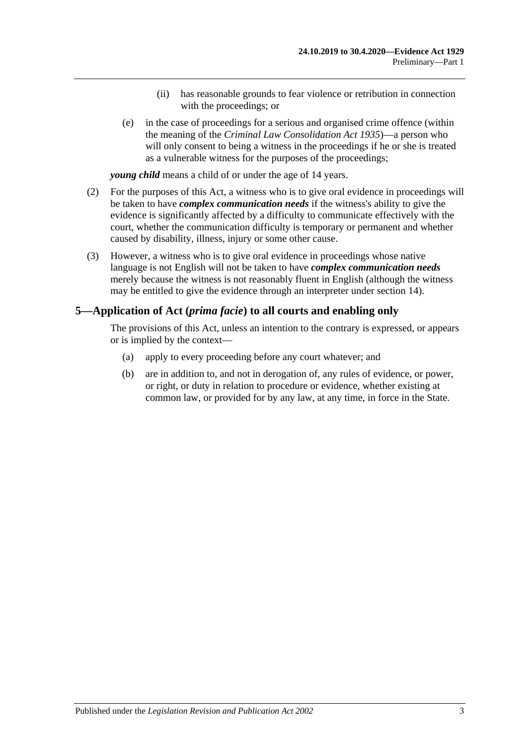- (ii) has reasonable grounds to fear violence or retribution in connection with the proceedings; or
- (e) in the case of proceedings for a serious and organised crime offence (within the meaning of the *[Criminal Law Consolidation Act](http://www.legislation.sa.gov.au/index.aspx?action=legref&type=act&legtitle=Criminal%20Law%20Consolidation%20Act%201935) 1935*)—a person who will only consent to being a witness in the proceedings if he or she is treated as a vulnerable witness for the purposes of the proceedings;

*young child* means a child of or under the age of 14 years.

- (2) For the purposes of this Act, a witness who is to give oral evidence in proceedings will be taken to have *complex communication needs* if the witness's ability to give the evidence is significantly affected by a difficulty to communicate effectively with the court, whether the communication difficulty is temporary or permanent and whether caused by disability, illness, injury or some other cause.
- (3) However, a witness who is to give oral evidence in proceedings whose native language is not English will not be taken to have *complex communication needs* merely because the witness is not reasonably fluent in English (although the witness may be entitled to give the evidence through an interpreter under [section](#page-25-0) 14).

## <span id="page-8-0"></span>**5—Application of Act (***prima facie***) to all courts and enabling only**

The provisions of this Act, unless an intention to the contrary is expressed, or appears or is implied by the context—

- (a) apply to every proceeding before any court whatever; and
- (b) are in addition to, and not in derogation of, any rules of evidence, or power, or right, or duty in relation to procedure or evidence, whether existing at common law, or provided for by any law, at any time, in force in the State.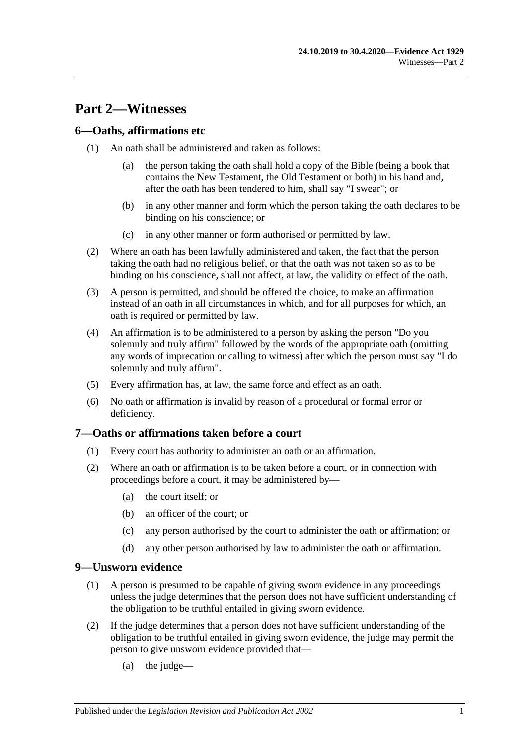## <span id="page-10-0"></span>**Part 2—Witnesses**

## <span id="page-10-1"></span>**6—Oaths, affirmations etc**

- (1) An oath shall be administered and taken as follows:
	- (a) the person taking the oath shall hold a copy of the Bible (being a book that contains the New Testament, the Old Testament or both) in his hand and, after the oath has been tendered to him, shall say "I swear"; or
	- (b) in any other manner and form which the person taking the oath declares to be binding on his conscience; or
	- (c) in any other manner or form authorised or permitted by law.
- (2) Where an oath has been lawfully administered and taken, the fact that the person taking the oath had no religious belief, or that the oath was not taken so as to be binding on his conscience, shall not affect, at law, the validity or effect of the oath.
- (3) A person is permitted, and should be offered the choice, to make an affirmation instead of an oath in all circumstances in which, and for all purposes for which, an oath is required or permitted by law.
- (4) An affirmation is to be administered to a person by asking the person "Do you solemnly and truly affirm" followed by the words of the appropriate oath (omitting any words of imprecation or calling to witness) after which the person must say "I do solemnly and truly affirm".
- (5) Every affirmation has, at law, the same force and effect as an oath.
- (6) No oath or affirmation is invalid by reason of a procedural or formal error or deficiency.

#### <span id="page-10-2"></span>**7—Oaths or affirmations taken before a court**

- (1) Every court has authority to administer an oath or an affirmation.
- (2) Where an oath or affirmation is to be taken before a court, or in connection with proceedings before a court, it may be administered by—
	- (a) the court itself; or
	- (b) an officer of the court; or
	- (c) any person authorised by the court to administer the oath or affirmation; or
	- (d) any other person authorised by law to administer the oath or affirmation.

#### <span id="page-10-3"></span>**9—Unsworn evidence**

- (1) A person is presumed to be capable of giving sworn evidence in any proceedings unless the judge determines that the person does not have sufficient understanding of the obligation to be truthful entailed in giving sworn evidence.
- (2) If the judge determines that a person does not have sufficient understanding of the obligation to be truthful entailed in giving sworn evidence, the judge may permit the person to give unsworn evidence provided that—
	- (a) the judge—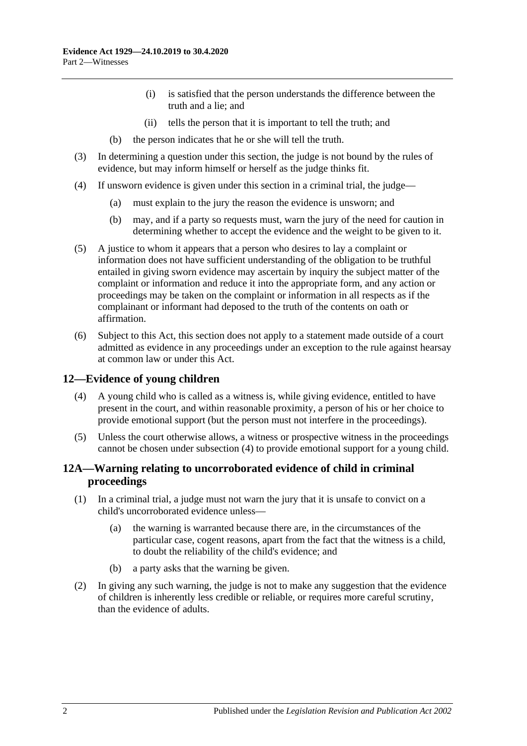- (i) is satisfied that the person understands the difference between the truth and a lie; and
- (ii) tells the person that it is important to tell the truth; and
- (b) the person indicates that he or she will tell the truth.
- (3) In determining a question under this section, the judge is not bound by the rules of evidence, but may inform himself or herself as the judge thinks fit.
- (4) If unsworn evidence is given under this section in a criminal trial, the judge—
	- (a) must explain to the jury the reason the evidence is unsworn; and
	- (b) may, and if a party so requests must, warn the jury of the need for caution in determining whether to accept the evidence and the weight to be given to it.
- (5) A justice to whom it appears that a person who desires to lay a complaint or information does not have sufficient understanding of the obligation to be truthful entailed in giving sworn evidence may ascertain by inquiry the subject matter of the complaint or information and reduce it into the appropriate form, and any action or proceedings may be taken on the complaint or information in all respects as if the complainant or informant had deposed to the truth of the contents on oath or affirmation.
- (6) Subject to this Act, this section does not apply to a statement made outside of a court admitted as evidence in any proceedings under an exception to the rule against hearsay at common law or under this Act.

## <span id="page-11-2"></span><span id="page-11-0"></span>**12—Evidence of young children**

- (4) A young child who is called as a witness is, while giving evidence, entitled to have present in the court, and within reasonable proximity, a person of his or her choice to provide emotional support (but the person must not interfere in the proceedings).
- (5) Unless the court otherwise allows, a witness or prospective witness in the proceedings cannot be chosen under [subsection](#page-11-2) (4) to provide emotional support for a young child.

## <span id="page-11-1"></span>**12A—Warning relating to uncorroborated evidence of child in criminal proceedings**

- (1) In a criminal trial, a judge must not warn the jury that it is unsafe to convict on a child's uncorroborated evidence unless—
	- (a) the warning is warranted because there are, in the circumstances of the particular case, cogent reasons, apart from the fact that the witness is a child, to doubt the reliability of the child's evidence; and
	- (b) a party asks that the warning be given.
- (2) In giving any such warning, the judge is not to make any suggestion that the evidence of children is inherently less credible or reliable, or requires more careful scrutiny, than the evidence of adults.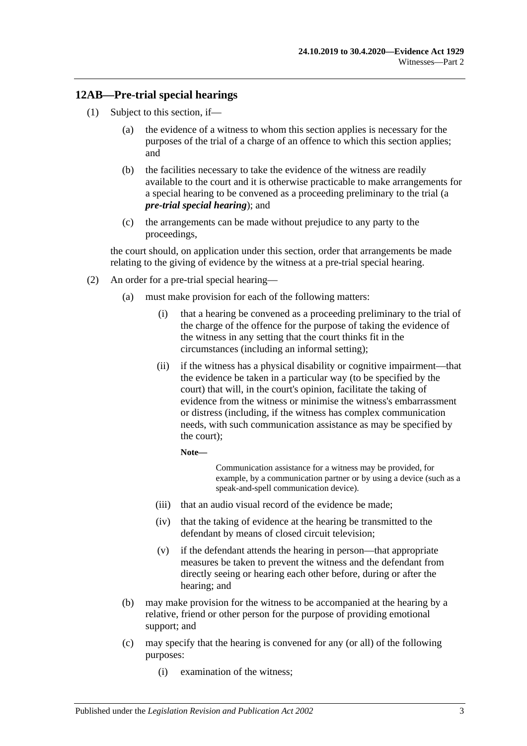## <span id="page-12-0"></span>**12AB—Pre-trial special hearings**

- <span id="page-12-1"></span>(1) Subject to this section, if—
	- (a) the evidence of a witness to whom this section applies is necessary for the purposes of the trial of a charge of an offence to which this section applies; and
	- (b) the facilities necessary to take the evidence of the witness are readily available to the court and it is otherwise practicable to make arrangements for a special hearing to be convened as a proceeding preliminary to the trial (a *pre-trial special hearing*); and
	- (c) the arrangements can be made without prejudice to any party to the proceedings,

<span id="page-12-2"></span>the court should, on application under this section, order that arrangements be made relating to the giving of evidence by the witness at a pre-trial special hearing.

- <span id="page-12-3"></span>(2) An order for a pre-trial special hearing—
	- (a) must make provision for each of the following matters:
		- (i) that a hearing be convened as a proceeding preliminary to the trial of the charge of the offence for the purpose of taking the evidence of the witness in any setting that the court thinks fit in the circumstances (including an informal setting);
		- (ii) if the witness has a physical disability or cognitive impairment—that the evidence be taken in a particular way (to be specified by the court) that will, in the court's opinion, facilitate the taking of evidence from the witness or minimise the witness's embarrassment or distress (including, if the witness has complex communication needs, with such communication assistance as may be specified by the court);

**Note—**

Communication assistance for a witness may be provided, for example, by a communication partner or by using a device (such as a speak-and-spell communication device).

- (iii) that an audio visual record of the evidence be made;
- (iv) that the taking of evidence at the hearing be transmitted to the defendant by means of closed circuit television;
- (v) if the defendant attends the hearing in person—that appropriate measures be taken to prevent the witness and the defendant from directly seeing or hearing each other before, during or after the hearing; and
- (b) may make provision for the witness to be accompanied at the hearing by a relative, friend or other person for the purpose of providing emotional support; and
- (c) may specify that the hearing is convened for any (or all) of the following purposes:
	- (i) examination of the witness;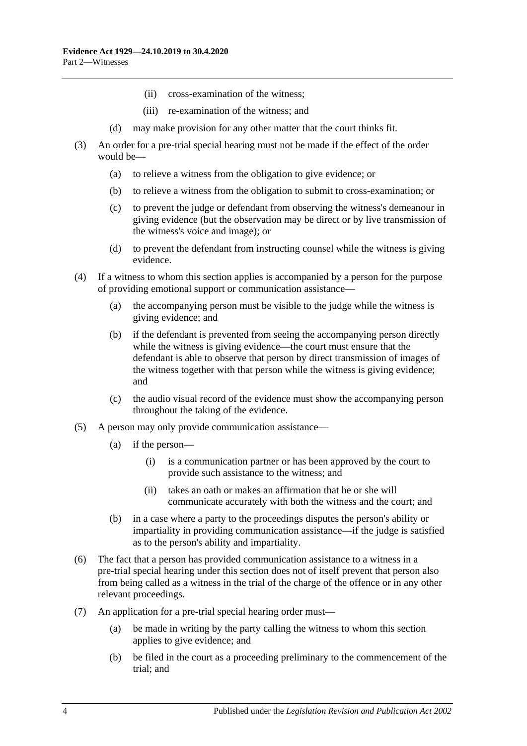- (ii) cross-examination of the witness;
- (iii) re-examination of the witness; and
- (d) may make provision for any other matter that the court thinks fit.
- (3) An order for a pre-trial special hearing must not be made if the effect of the order would be—
	- (a) to relieve a witness from the obligation to give evidence; or
	- (b) to relieve a witness from the obligation to submit to cross-examination; or
	- (c) to prevent the judge or defendant from observing the witness's demeanour in giving evidence (but the observation may be direct or by live transmission of the witness's voice and image); or
	- (d) to prevent the defendant from instructing counsel while the witness is giving evidence.
- (4) If a witness to whom this section applies is accompanied by a person for the purpose of providing emotional support or communication assistance—
	- (a) the accompanying person must be visible to the judge while the witness is giving evidence; and
	- (b) if the defendant is prevented from seeing the accompanying person directly while the witness is giving evidence—the court must ensure that the defendant is able to observe that person by direct transmission of images of the witness together with that person while the witness is giving evidence; and
	- (c) the audio visual record of the evidence must show the accompanying person throughout the taking of the evidence.
- (5) A person may only provide communication assistance—
	- (a) if the person—
		- (i) is a communication partner or has been approved by the court to provide such assistance to the witness; and
		- (ii) takes an oath or makes an affirmation that he or she will communicate accurately with both the witness and the court; and
	- (b) in a case where a party to the proceedings disputes the person's ability or impartiality in providing communication assistance—if the judge is satisfied as to the person's ability and impartiality.
- (6) The fact that a person has provided communication assistance to a witness in a pre-trial special hearing under this section does not of itself prevent that person also from being called as a witness in the trial of the charge of the offence or in any other relevant proceedings.
- (7) An application for a pre-trial special hearing order must—
	- (a) be made in writing by the party calling the witness to whom this section applies to give evidence; and
	- (b) be filed in the court as a proceeding preliminary to the commencement of the trial; and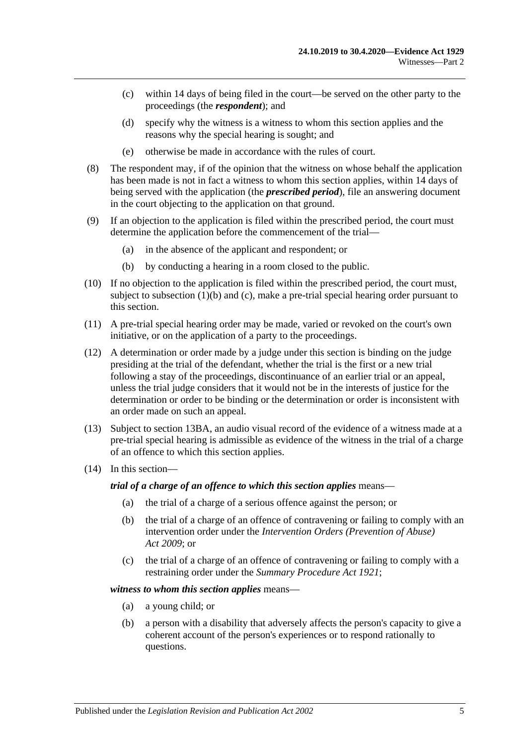- (c) within 14 days of being filed in the court—be served on the other party to the proceedings (the *respondent*); and
- (d) specify why the witness is a witness to whom this section applies and the reasons why the special hearing is sought; and
- (e) otherwise be made in accordance with the rules of court.
- (8) The respondent may, if of the opinion that the witness on whose behalf the application has been made is not in fact a witness to whom this section applies, within 14 days of being served with the application (the *prescribed period*), file an answering document in the court objecting to the application on that ground.
- (9) If an objection to the application is filed within the prescribed period, the court must determine the application before the commencement of the trial—
	- (a) in the absence of the applicant and respondent; or
	- (b) by conducting a hearing in a room closed to the public.
- (10) If no objection to the application is filed within the prescribed period, the court must, subject to [subsection](#page-12-1) (1)(b) and [\(c\),](#page-12-2) make a pre-trial special hearing order pursuant to this section.
- (11) A pre-trial special hearing order may be made, varied or revoked on the court's own initiative, or on the application of a party to the proceedings.
- (12) A determination or order made by a judge under this section is binding on the judge presiding at the trial of the defendant, whether the trial is the first or a new trial following a stay of the proceedings, discontinuance of an earlier trial or an appeal, unless the trial judge considers that it would not be in the interests of justice for the determination or order to be binding or the determination or order is inconsistent with an order made on such an appeal.
- (13) Subject to [section](#page-20-0) 13BA, an audio visual record of the evidence of a witness made at a pre-trial special hearing is admissible as evidence of the witness in the trial of a charge of an offence to which this section applies.
- (14) In this section—

*trial of a charge of an offence to which this section applies* means—

- (a) the trial of a charge of a serious offence against the person; or
- (b) the trial of a charge of an offence of contravening or failing to comply with an intervention order under the *[Intervention Orders \(Prevention of Abuse\)](http://www.legislation.sa.gov.au/index.aspx?action=legref&type=act&legtitle=Intervention%20Orders%20(Prevention%20of%20Abuse)%20Act%202009)  Act [2009](http://www.legislation.sa.gov.au/index.aspx?action=legref&type=act&legtitle=Intervention%20Orders%20(Prevention%20of%20Abuse)%20Act%202009)*; or
- (c) the trial of a charge of an offence of contravening or failing to comply with a restraining order under the *[Summary Procedure Act](http://www.legislation.sa.gov.au/index.aspx?action=legref&type=act&legtitle=Summary%20Procedure%20Act%201921) 1921*;

#### *witness to whom this section applies* means—

- (a) a young child; or
- (b) a person with a disability that adversely affects the person's capacity to give a coherent account of the person's experiences or to respond rationally to questions.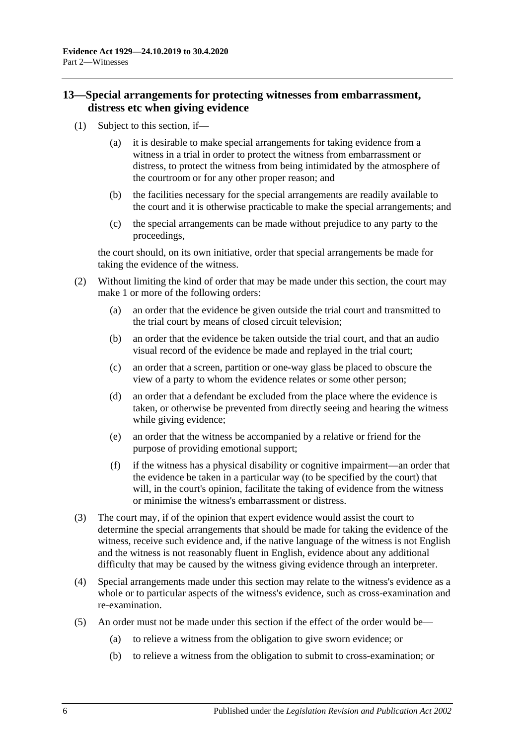## <span id="page-15-0"></span>**13—Special arrangements for protecting witnesses from embarrassment, distress etc when giving evidence**

- (1) Subject to this section, if—
	- (a) it is desirable to make special arrangements for taking evidence from a witness in a trial in order to protect the witness from embarrassment or distress, to protect the witness from being intimidated by the atmosphere of the courtroom or for any other proper reason; and
	- (b) the facilities necessary for the special arrangements are readily available to the court and it is otherwise practicable to make the special arrangements; and
	- (c) the special arrangements can be made without prejudice to any party to the proceedings,

the court should, on its own initiative, order that special arrangements be made for taking the evidence of the witness.

- (2) Without limiting the kind of order that may be made under this section, the court may make 1 or more of the following orders:
	- (a) an order that the evidence be given outside the trial court and transmitted to the trial court by means of closed circuit television;
	- (b) an order that the evidence be taken outside the trial court, and that an audio visual record of the evidence be made and replayed in the trial court;
	- (c) an order that a screen, partition or one-way glass be placed to obscure the view of a party to whom the evidence relates or some other person;
	- (d) an order that a defendant be excluded from the place where the evidence is taken, or otherwise be prevented from directly seeing and hearing the witness while giving evidence;
	- (e) an order that the witness be accompanied by a relative or friend for the purpose of providing emotional support;
	- (f) if the witness has a physical disability or cognitive impairment—an order that the evidence be taken in a particular way (to be specified by the court) that will, in the court's opinion, facilitate the taking of evidence from the witness or minimise the witness's embarrassment or distress.
- (3) The court may, if of the opinion that expert evidence would assist the court to determine the special arrangements that should be made for taking the evidence of the witness, receive such evidence and, if the native language of the witness is not English and the witness is not reasonably fluent in English, evidence about any additional difficulty that may be caused by the witness giving evidence through an interpreter.
- (4) Special arrangements made under this section may relate to the witness's evidence as a whole or to particular aspects of the witness's evidence, such as cross-examination and re-examination.
- (5) An order must not be made under this section if the effect of the order would be—
	- (a) to relieve a witness from the obligation to give sworn evidence; or
	- (b) to relieve a witness from the obligation to submit to cross-examination; or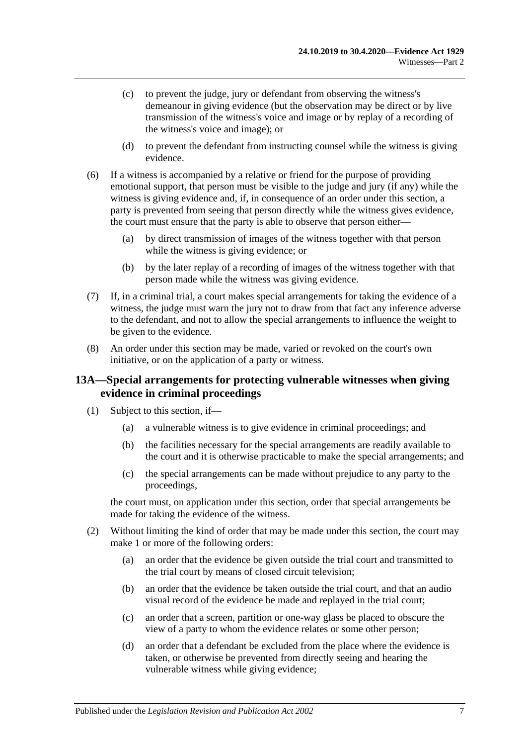- (c) to prevent the judge, jury or defendant from observing the witness's demeanour in giving evidence (but the observation may be direct or by live transmission of the witness's voice and image or by replay of a recording of the witness's voice and image); or
- (d) to prevent the defendant from instructing counsel while the witness is giving evidence.
- (6) If a witness is accompanied by a relative or friend for the purpose of providing emotional support, that person must be visible to the judge and jury (if any) while the witness is giving evidence and, if, in consequence of an order under this section, a party is prevented from seeing that person directly while the witness gives evidence, the court must ensure that the party is able to observe that person either—
	- (a) by direct transmission of images of the witness together with that person while the witness is giving evidence; or
	- (b) by the later replay of a recording of images of the witness together with that person made while the witness was giving evidence.
- (7) If, in a criminal trial, a court makes special arrangements for taking the evidence of a witness, the judge must warn the jury not to draw from that fact any inference adverse to the defendant, and not to allow the special arrangements to influence the weight to be given to the evidence.
- (8) An order under this section may be made, varied or revoked on the court's own initiative, or on the application of a party or witness.

## <span id="page-16-0"></span>**13A—Special arrangements for protecting vulnerable witnesses when giving evidence in criminal proceedings**

- (1) Subject to this section, if—
	- (a) a vulnerable witness is to give evidence in criminal proceedings; and
	- (b) the facilities necessary for the special arrangements are readily available to the court and it is otherwise practicable to make the special arrangements; and
	- (c) the special arrangements can be made without prejudice to any party to the proceedings,

the court must, on application under this section, order that special arrangements be made for taking the evidence of the witness.

- <span id="page-16-1"></span>(2) Without limiting the kind of order that may be made under this section, the court may make 1 or more of the following orders:
	- (a) an order that the evidence be given outside the trial court and transmitted to the trial court by means of closed circuit television;
	- (b) an order that the evidence be taken outside the trial court, and that an audio visual record of the evidence be made and replayed in the trial court;
	- (c) an order that a screen, partition or one-way glass be placed to obscure the view of a party to whom the evidence relates or some other person;
	- (d) an order that a defendant be excluded from the place where the evidence is taken, or otherwise be prevented from directly seeing and hearing the vulnerable witness while giving evidence;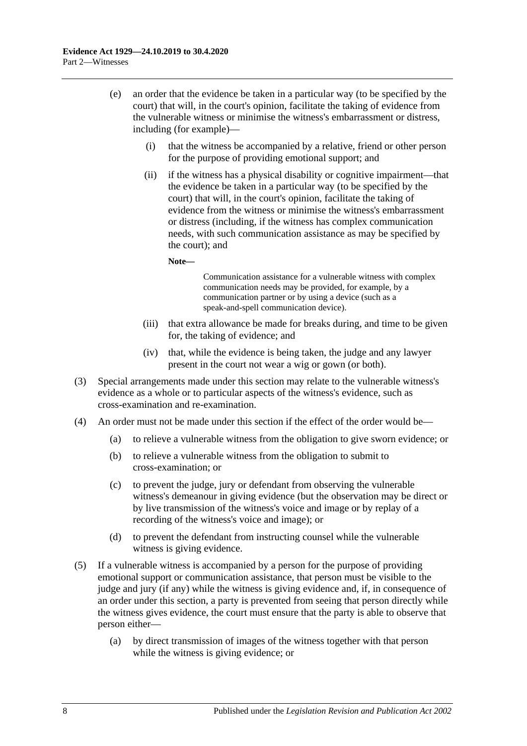- (e) an order that the evidence be taken in a particular way (to be specified by the court) that will, in the court's opinion, facilitate the taking of evidence from the vulnerable witness or minimise the witness's embarrassment or distress, including (for example)—
	- (i) that the witness be accompanied by a relative, friend or other person for the purpose of providing emotional support; and
	- (ii) if the witness has a physical disability or cognitive impairment—that the evidence be taken in a particular way (to be specified by the court) that will, in the court's opinion, facilitate the taking of evidence from the witness or minimise the witness's embarrassment or distress (including, if the witness has complex communication needs, with such communication assistance as may be specified by the court); and

**Note—**

Communication assistance for a vulnerable witness with complex communication needs may be provided, for example, by a communication partner or by using a device (such as a speak-and-spell communication device).

- (iii) that extra allowance be made for breaks during, and time to be given for, the taking of evidence; and
- (iv) that, while the evidence is being taken, the judge and any lawyer present in the court not wear a wig or gown (or both).
- (3) Special arrangements made under this section may relate to the vulnerable witness's evidence as a whole or to particular aspects of the witness's evidence, such as cross-examination and re-examination.
- (4) An order must not be made under this section if the effect of the order would be—
	- (a) to relieve a vulnerable witness from the obligation to give sworn evidence; or
	- (b) to relieve a vulnerable witness from the obligation to submit to cross-examination; or
	- (c) to prevent the judge, jury or defendant from observing the vulnerable witness's demeanour in giving evidence (but the observation may be direct or by live transmission of the witness's voice and image or by replay of a recording of the witness's voice and image); or
	- (d) to prevent the defendant from instructing counsel while the vulnerable witness is giving evidence.
- (5) If a vulnerable witness is accompanied by a person for the purpose of providing emotional support or communication assistance, that person must be visible to the judge and jury (if any) while the witness is giving evidence and, if, in consequence of an order under this section, a party is prevented from seeing that person directly while the witness gives evidence, the court must ensure that the party is able to observe that person either—
	- (a) by direct transmission of images of the witness together with that person while the witness is giving evidence; or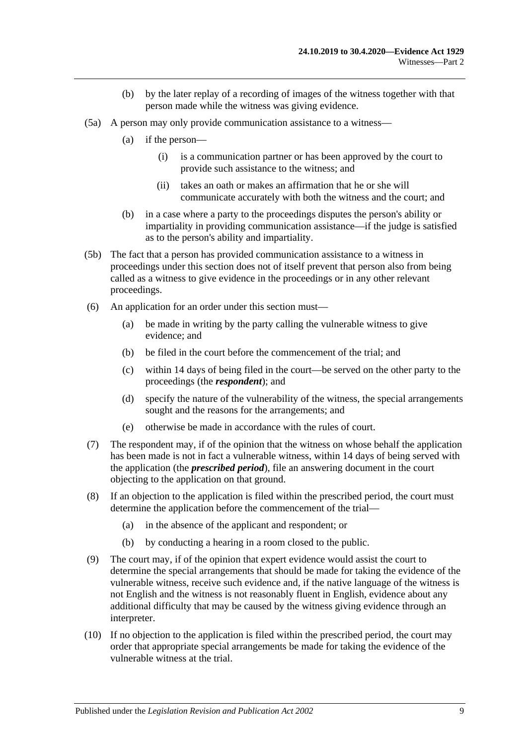- (b) by the later replay of a recording of images of the witness together with that person made while the witness was giving evidence.
- (5a) A person may only provide communication assistance to a witness—
	- (a) if the person—
		- (i) is a communication partner or has been approved by the court to provide such assistance to the witness; and
		- (ii) takes an oath or makes an affirmation that he or she will communicate accurately with both the witness and the court; and
	- (b) in a case where a party to the proceedings disputes the person's ability or impartiality in providing communication assistance—if the judge is satisfied as to the person's ability and impartiality.
- (5b) The fact that a person has provided communication assistance to a witness in proceedings under this section does not of itself prevent that person also from being called as a witness to give evidence in the proceedings or in any other relevant proceedings.
- (6) An application for an order under this section must—
	- (a) be made in writing by the party calling the vulnerable witness to give evidence; and
	- (b) be filed in the court before the commencement of the trial; and
	- (c) within 14 days of being filed in the court—be served on the other party to the proceedings (the *respondent*); and
	- (d) specify the nature of the vulnerability of the witness, the special arrangements sought and the reasons for the arrangements; and
	- (e) otherwise be made in accordance with the rules of court.
- (7) The respondent may, if of the opinion that the witness on whose behalf the application has been made is not in fact a vulnerable witness, within 14 days of being served with the application (the *prescribed period*), file an answering document in the court objecting to the application on that ground.
- (8) If an objection to the application is filed within the prescribed period, the court must determine the application before the commencement of the trial—
	- (a) in the absence of the applicant and respondent; or
	- (b) by conducting a hearing in a room closed to the public.
- (9) The court may, if of the opinion that expert evidence would assist the court to determine the special arrangements that should be made for taking the evidence of the vulnerable witness, receive such evidence and, if the native language of the witness is not English and the witness is not reasonably fluent in English, evidence about any additional difficulty that may be caused by the witness giving evidence through an interpreter.
- (10) If no objection to the application is filed within the prescribed period, the court may order that appropriate special arrangements be made for taking the evidence of the vulnerable witness at the trial.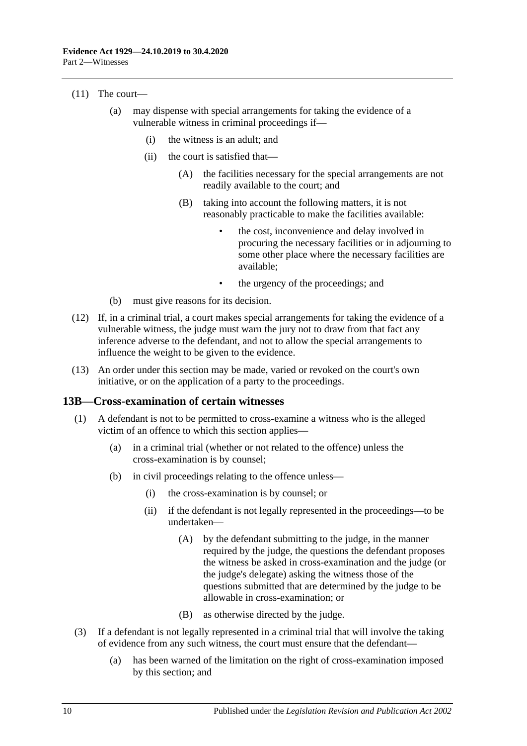#### (11) The court—

- (a) may dispense with special arrangements for taking the evidence of a vulnerable witness in criminal proceedings if—
	- (i) the witness is an adult; and
	- (ii) the court is satisfied that—
		- (A) the facilities necessary for the special arrangements are not readily available to the court; and
		- (B) taking into account the following matters, it is not reasonably practicable to make the facilities available:
			- the cost, inconvenience and delay involved in procuring the necessary facilities or in adjourning to some other place where the necessary facilities are available;
			- the urgency of the proceedings; and
- (b) must give reasons for its decision.
- (12) If, in a criminal trial, a court makes special arrangements for taking the evidence of a vulnerable witness, the judge must warn the jury not to draw from that fact any inference adverse to the defendant, and not to allow the special arrangements to influence the weight to be given to the evidence.
- (13) An order under this section may be made, varied or revoked on the court's own initiative, or on the application of a party to the proceedings.

#### <span id="page-19-0"></span>**13B—Cross-examination of certain witnesses**

- (1) A defendant is not to be permitted to cross-examine a witness who is the alleged victim of an offence to which this section applies—
	- (a) in a criminal trial (whether or not related to the offence) unless the cross-examination is by counsel;
	- (b) in civil proceedings relating to the offence unless—
		- (i) the cross-examination is by counsel; or
		- (ii) if the defendant is not legally represented in the proceedings—to be undertaken—
			- (A) by the defendant submitting to the judge, in the manner required by the judge, the questions the defendant proposes the witness be asked in cross-examination and the judge (or the judge's delegate) asking the witness those of the questions submitted that are determined by the judge to be allowable in cross-examination; or
			- (B) as otherwise directed by the judge.
- (3) If a defendant is not legally represented in a criminal trial that will involve the taking of evidence from any such witness, the court must ensure that the defendant—
	- (a) has been warned of the limitation on the right of cross-examination imposed by this section; and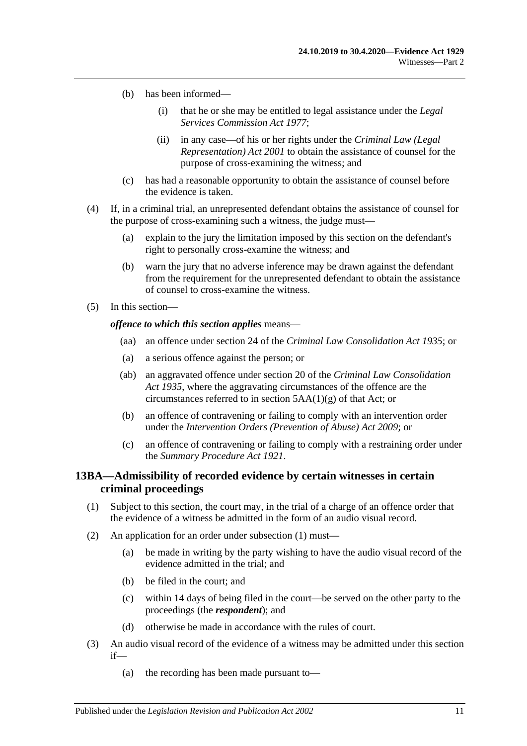- (b) has been informed—
	- (i) that he or she may be entitled to legal assistance under the *[Legal](http://www.legislation.sa.gov.au/index.aspx?action=legref&type=act&legtitle=Legal%20Services%20Commission%20Act%201977)  [Services Commission Act](http://www.legislation.sa.gov.au/index.aspx?action=legref&type=act&legtitle=Legal%20Services%20Commission%20Act%201977) 1977*;
	- (ii) in any case—of his or her rights under the *[Criminal Law \(Legal](http://www.legislation.sa.gov.au/index.aspx?action=legref&type=act&legtitle=Criminal%20Law%20(Legal%20Representation)%20Act%202001)  [Representation\) Act](http://www.legislation.sa.gov.au/index.aspx?action=legref&type=act&legtitle=Criminal%20Law%20(Legal%20Representation)%20Act%202001) 2001* to obtain the assistance of counsel for the purpose of cross-examining the witness; and
- (c) has had a reasonable opportunity to obtain the assistance of counsel before the evidence is taken.
- (4) If, in a criminal trial, an unrepresented defendant obtains the assistance of counsel for the purpose of cross-examining such a witness, the judge must—
	- (a) explain to the jury the limitation imposed by this section on the defendant's right to personally cross-examine the witness; and
	- (b) warn the jury that no adverse inference may be drawn against the defendant from the requirement for the unrepresented defendant to obtain the assistance of counsel to cross-examine the witness.
- (5) In this section—

#### *offence to which this section applies* means—

- (aa) an offence under section 24 of the *[Criminal Law Consolidation Act](http://www.legislation.sa.gov.au/index.aspx?action=legref&type=act&legtitle=Criminal%20Law%20Consolidation%20Act%201935) 1935*; or
- (a) a serious offence against the person; or
- (ab) an aggravated offence under section 20 of the *[Criminal Law Consolidation](http://www.legislation.sa.gov.au/index.aspx?action=legref&type=act&legtitle=Criminal%20Law%20Consolidation%20Act%201935)  Act [1935](http://www.legislation.sa.gov.au/index.aspx?action=legref&type=act&legtitle=Criminal%20Law%20Consolidation%20Act%201935)*, where the aggravating circumstances of the offence are the circumstances referred to in section 5AA(1)(g) of that Act; or
- (b) an offence of contravening or failing to comply with an intervention order under the *[Intervention Orders \(Prevention of Abuse\) Act](http://www.legislation.sa.gov.au/index.aspx?action=legref&type=act&legtitle=Intervention%20Orders%20(Prevention%20of%20Abuse)%20Act%202009) 2009*; or
- (c) an offence of contravening or failing to comply with a restraining order under the *[Summary Procedure Act](http://www.legislation.sa.gov.au/index.aspx?action=legref&type=act&legtitle=Summary%20Procedure%20Act%201921) 1921*.

## <span id="page-20-0"></span>**13BA—Admissibility of recorded evidence by certain witnesses in certain criminal proceedings**

- <span id="page-20-1"></span>(1) Subject to this section, the court may, in the trial of a charge of an offence order that the evidence of a witness be admitted in the form of an audio visual record.
- (2) An application for an order under [subsection](#page-20-1) (1) must—
	- (a) be made in writing by the party wishing to have the audio visual record of the evidence admitted in the trial; and
	- (b) be filed in the court; and
	- (c) within 14 days of being filed in the court—be served on the other party to the proceedings (the *respondent*); and
	- (d) otherwise be made in accordance with the rules of court.
- <span id="page-20-2"></span>(3) An audio visual record of the evidence of a witness may be admitted under this section if—
	- (a) the recording has been made pursuant to—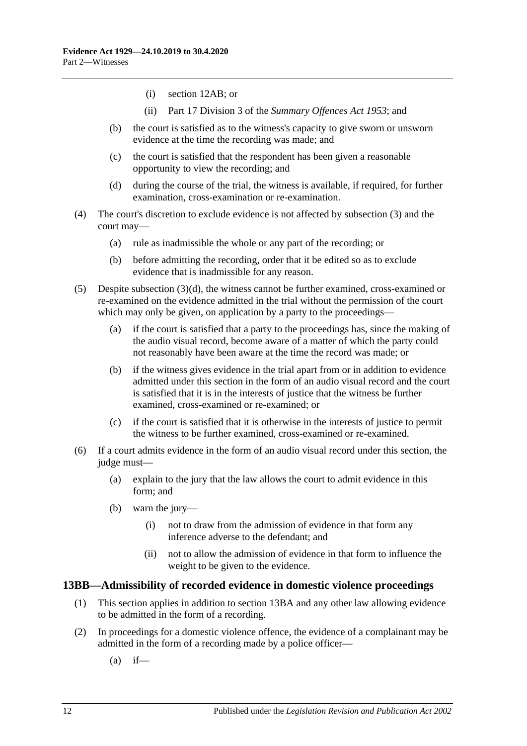- (i) [section](#page-12-0) 12AB; or
- (ii) Part 17 Division 3 of the *[Summary Offences Act](http://www.legislation.sa.gov.au/index.aspx?action=legref&type=act&legtitle=Summary%20Offences%20Act%201953) 1953*; and
- (b) the court is satisfied as to the witness's capacity to give sworn or unsworn evidence at the time the recording was made; and
- (c) the court is satisfied that the respondent has been given a reasonable opportunity to view the recording; and
- (d) during the course of the trial, the witness is available, if required, for further examination, cross-examination or re-examination.
- <span id="page-21-1"></span>(4) The court's discretion to exclude evidence is not affected by [subsection](#page-20-2) (3) and the court may—
	- (a) rule as inadmissible the whole or any part of the recording; or
	- (b) before admitting the recording, order that it be edited so as to exclude evidence that is inadmissible for any reason.
- (5) Despite [subsection](#page-21-1)  $(3)(d)$ , the witness cannot be further examined, cross-examined or re-examined on the evidence admitted in the trial without the permission of the court which may only be given, on application by a party to the proceedings—
	- (a) if the court is satisfied that a party to the proceedings has, since the making of the audio visual record, become aware of a matter of which the party could not reasonably have been aware at the time the record was made; or
	- (b) if the witness gives evidence in the trial apart from or in addition to evidence admitted under this section in the form of an audio visual record and the court is satisfied that it is in the interests of justice that the witness be further examined, cross-examined or re-examined; or
	- (c) if the court is satisfied that it is otherwise in the interests of justice to permit the witness to be further examined, cross-examined or re-examined.
- (6) If a court admits evidence in the form of an audio visual record under this section, the judge must—
	- (a) explain to the jury that the law allows the court to admit evidence in this form; and
	- (b) warn the jury—
		- (i) not to draw from the admission of evidence in that form any inference adverse to the defendant; and
		- (ii) not to allow the admission of evidence in that form to influence the weight to be given to the evidence.

#### <span id="page-21-0"></span>**13BB—Admissibility of recorded evidence in domestic violence proceedings**

- (1) This section applies in addition to [section](#page-20-0) 13BA and any other law allowing evidence to be admitted in the form of a recording.
- <span id="page-21-2"></span>(2) In proceedings for a domestic violence offence, the evidence of a complainant may be admitted in the form of a recording made by a police officer—
	- $(a)$  if—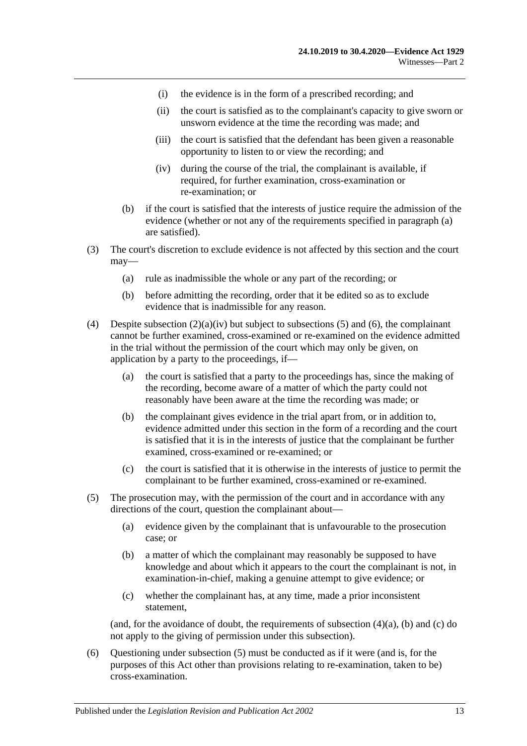- (i) the evidence is in the form of a prescribed recording; and
- (ii) the court is satisfied as to the complainant's capacity to give sworn or unsworn evidence at the time the recording was made; and
- (iii) the court is satisfied that the defendant has been given a reasonable opportunity to listen to or view the recording; and
- (iv) during the course of the trial, the complainant is available, if required, for further examination, cross-examination or re-examination; or
- <span id="page-22-0"></span>(b) if the court is satisfied that the interests of justice require the admission of the evidence (whether or not any of the requirements specified in [paragraph](#page-21-2) (a) are satisfied).
- (3) The court's discretion to exclude evidence is not affected by this section and the court may—
	- (a) rule as inadmissible the whole or any part of the recording; or
	- (b) before admitting the recording, order that it be edited so as to exclude evidence that is inadmissible for any reason.
- <span id="page-22-3"></span>(4) Despite [subsection](#page-22-0)  $(2)(a)(iv)$  but subject to [subsections](#page-22-1) (5) and [\(6\),](#page-22-2) the complainant cannot be further examined, cross-examined or re-examined on the evidence admitted in the trial without the permission of the court which may only be given, on application by a party to the proceedings, if—
	- (a) the court is satisfied that a party to the proceedings has, since the making of the recording, become aware of a matter of which the party could not reasonably have been aware at the time the recording was made; or
	- (b) the complainant gives evidence in the trial apart from, or in addition to, evidence admitted under this section in the form of a recording and the court is satisfied that it is in the interests of justice that the complainant be further examined, cross-examined or re-examined; or
	- (c) the court is satisfied that it is otherwise in the interests of justice to permit the complainant to be further examined, cross-examined or re-examined.
- <span id="page-22-4"></span><span id="page-22-1"></span>(5) The prosecution may, with the permission of the court and in accordance with any directions of the court, question the complainant about—
	- (a) evidence given by the complainant that is unfavourable to the prosecution case; or
	- (b) a matter of which the complainant may reasonably be supposed to have knowledge and about which it appears to the court the complainant is not, in examination-in-chief, making a genuine attempt to give evidence; or
	- (c) whether the complainant has, at any time, made a prior inconsistent statement,

<span id="page-22-5"></span>(and, for the avoidance of doubt, the requirements of [subsection](#page-22-3)  $(4)(a)$ ,  $(b)$  and  $(c)$  do not apply to the giving of permission under this subsection).

<span id="page-22-2"></span>(6) Questioning under [subsection](#page-22-1) (5) must be conducted as if it were (and is, for the purposes of this Act other than provisions relating to re-examination, taken to be) cross-examination.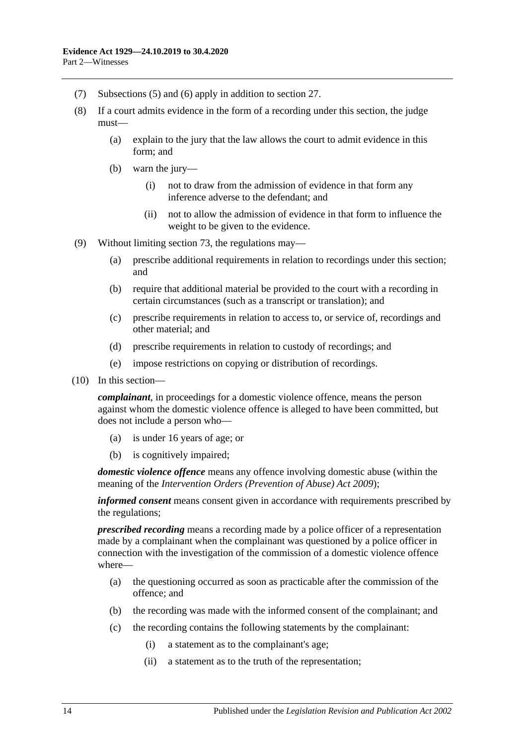- (7) [Subsections](#page-22-1) (5) and [\(6\)](#page-22-2) apply in addition to [section](#page-31-1) 27.
- (8) If a court admits evidence in the form of a recording under this section, the judge must—
	- (a) explain to the jury that the law allows the court to admit evidence in this form; and
	- (b) warn the jury—
		- (i) not to draw from the admission of evidence in that form any inference adverse to the defendant; and
		- (ii) not to allow the admission of evidence in that form to influence the weight to be given to the evidence.
- (9) Without limiting [section](#page-94-1) 73, the regulations may—
	- (a) prescribe additional requirements in relation to recordings under this section; and
	- (b) require that additional material be provided to the court with a recording in certain circumstances (such as a transcript or translation); and
	- (c) prescribe requirements in relation to access to, or service of, recordings and other material; and
	- (d) prescribe requirements in relation to custody of recordings; and
	- (e) impose restrictions on copying or distribution of recordings.
- (10) In this section—

*complainant*, in proceedings for a domestic violence offence, means the person against whom the domestic violence offence is alleged to have been committed, but does not include a person who—

- (a) is under 16 years of age; or
- (b) is cognitively impaired;

*domestic violence offence* means any offence involving domestic abuse (within the meaning of the *[Intervention Orders \(Prevention of Abuse\) Act](http://www.legislation.sa.gov.au/index.aspx?action=legref&type=act&legtitle=Intervention%20Orders%20(Prevention%20of%20Abuse)%20Act%202009) 2009*);

*informed consent* means consent given in accordance with requirements prescribed by the regulations;

*prescribed recording* means a recording made by a police officer of a representation made by a complainant when the complainant was questioned by a police officer in connection with the investigation of the commission of a domestic violence offence where—

- (a) the questioning occurred as soon as practicable after the commission of the offence; and
- (b) the recording was made with the informed consent of the complainant; and
- (c) the recording contains the following statements by the complainant:
	- (i) a statement as to the complainant's age;
	- (ii) a statement as to the truth of the representation;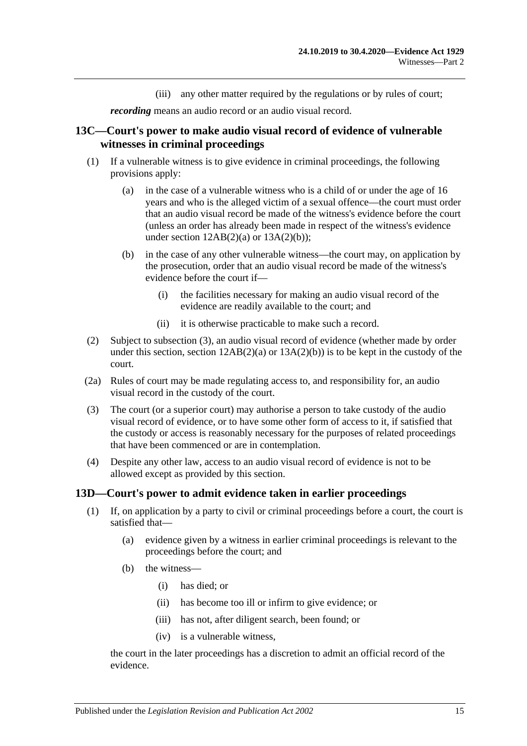(iii) any other matter required by the regulations or by rules of court;

*recording* means an audio record or an audio visual record.

## <span id="page-24-0"></span>**13C—Court's power to make audio visual record of evidence of vulnerable witnesses in criminal proceedings**

- (1) If a vulnerable witness is to give evidence in criminal proceedings, the following provisions apply:
	- (a) in the case of a vulnerable witness who is a child of or under the age of 16 years and who is the alleged victim of a sexual offence—the court must order that an audio visual record be made of the witness's evidence before the court (unless an order has already been made in respect of the witness's evidence under section  $12AB(2)(a)$  or  $13A(2)(b)$ ;
	- (b) in the case of any other vulnerable witness—the court may, on application by the prosecution, order that an audio visual record be made of the witness's evidence before the court if—
		- (i) the facilities necessary for making an audio visual record of the evidence are readily available to the court; and
		- (ii) it is otherwise practicable to make such a record.
- (2) Subject to [subsection](#page-24-2) (3), an audio visual record of evidence (whether made by order under this section, section  $12AB(2)(a)$  or  $13A(2)(b)$  is to be kept in the custody of the court.
- (2a) Rules of court may be made regulating access to, and responsibility for, an audio visual record in the custody of the court.
- <span id="page-24-2"></span>(3) The court (or a superior court) may authorise a person to take custody of the audio visual record of evidence, or to have some other form of access to it, if satisfied that the custody or access is reasonably necessary for the purposes of related proceedings that have been commenced or are in contemplation.
- (4) Despite any other law, access to an audio visual record of evidence is not to be allowed except as provided by this section.

#### <span id="page-24-1"></span>**13D—Court's power to admit evidence taken in earlier proceedings**

- (1) If, on application by a party to civil or criminal proceedings before a court, the court is satisfied that—
	- (a) evidence given by a witness in earlier criminal proceedings is relevant to the proceedings before the court; and
	- (b) the witness—
		- (i) has died; or
		- (ii) has become too ill or infirm to give evidence; or
		- (iii) has not, after diligent search, been found; or
		- (iv) is a vulnerable witness,

the court in the later proceedings has a discretion to admit an official record of the evidence.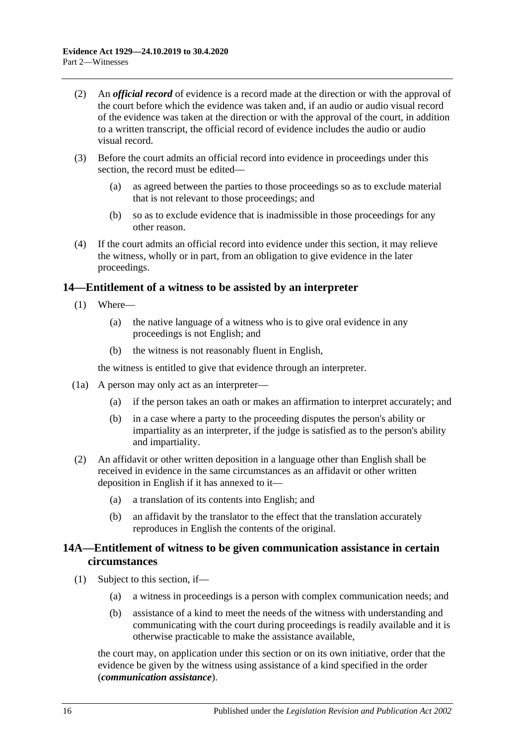- (2) An *official record* of evidence is a record made at the direction or with the approval of the court before which the evidence was taken and, if an audio or audio visual record of the evidence was taken at the direction or with the approval of the court, in addition to a written transcript, the official record of evidence includes the audio or audio visual record.
- (3) Before the court admits an official record into evidence in proceedings under this section, the record must be edited—
	- (a) as agreed between the parties to those proceedings so as to exclude material that is not relevant to those proceedings; and
	- (b) so as to exclude evidence that is inadmissible in those proceedings for any other reason.
- (4) If the court admits an official record into evidence under this section, it may relieve the witness, wholly or in part, from an obligation to give evidence in the later proceedings.

## <span id="page-25-0"></span>**14—Entitlement of a witness to be assisted by an interpreter**

- (1) Where—
	- (a) the native language of a witness who is to give oral evidence in any proceedings is not English; and
	- (b) the witness is not reasonably fluent in English,

the witness is entitled to give that evidence through an interpreter.

- (1a) A person may only act as an interpreter—
	- (a) if the person takes an oath or makes an affirmation to interpret accurately; and
	- (b) in a case where a party to the proceeding disputes the person's ability or impartiality as an interpreter, if the judge is satisfied as to the person's ability and impartiality.
- (2) An affidavit or other written deposition in a language other than English shall be received in evidence in the same circumstances as an affidavit or other written deposition in English if it has annexed to it—
	- (a) a translation of its contents into English; and
	- (b) an affidavit by the translator to the effect that the translation accurately reproduces in English the contents of the original.

## <span id="page-25-1"></span>**14A—Entitlement of witness to be given communication assistance in certain circumstances**

- (1) Subject to this section, if—
	- (a) a witness in proceedings is a person with complex communication needs; and
	- (b) assistance of a kind to meet the needs of the witness with understanding and communicating with the court during proceedings is readily available and it is otherwise practicable to make the assistance available,

the court may, on application under this section or on its own initiative, order that the evidence be given by the witness using assistance of a kind specified in the order (*communication assistance*).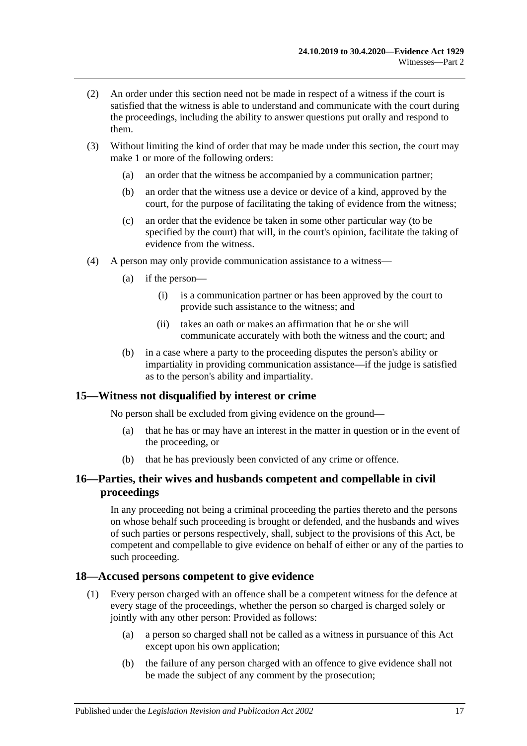- (2) An order under this section need not be made in respect of a witness if the court is satisfied that the witness is able to understand and communicate with the court during the proceedings, including the ability to answer questions put orally and respond to them.
- (3) Without limiting the kind of order that may be made under this section, the court may make 1 or more of the following orders:
	- (a) an order that the witness be accompanied by a communication partner;
	- (b) an order that the witness use a device or device of a kind, approved by the court, for the purpose of facilitating the taking of evidence from the witness;
	- (c) an order that the evidence be taken in some other particular way (to be specified by the court) that will, in the court's opinion, facilitate the taking of evidence from the witness.
- (4) A person may only provide communication assistance to a witness—
	- (a) if the person—
		- (i) is a communication partner or has been approved by the court to provide such assistance to the witness; and
		- (ii) takes an oath or makes an affirmation that he or she will communicate accurately with both the witness and the court; and
	- (b) in a case where a party to the proceeding disputes the person's ability or impartiality in providing communication assistance—if the judge is satisfied as to the person's ability and impartiality.

## <span id="page-26-0"></span>**15—Witness not disqualified by interest or crime**

No person shall be excluded from giving evidence on the ground—

- (a) that he has or may have an interest in the matter in question or in the event of the proceeding, or
- (b) that he has previously been convicted of any crime or offence.

## <span id="page-26-1"></span>**16—Parties, their wives and husbands competent and compellable in civil proceedings**

In any proceeding not being a criminal proceeding the parties thereto and the persons on whose behalf such proceeding is brought or defended, and the husbands and wives of such parties or persons respectively, shall, subject to the provisions of this Act, be competent and compellable to give evidence on behalf of either or any of the parties to such proceeding.

#### <span id="page-26-2"></span>**18—Accused persons competent to give evidence**

- (1) Every person charged with an offence shall be a competent witness for the defence at every stage of the proceedings, whether the person so charged is charged solely or jointly with any other person: Provided as follows:
	- (a) a person so charged shall not be called as a witness in pursuance of this Act except upon his own application;
	- (b) the failure of any person charged with an offence to give evidence shall not be made the subject of any comment by the prosecution;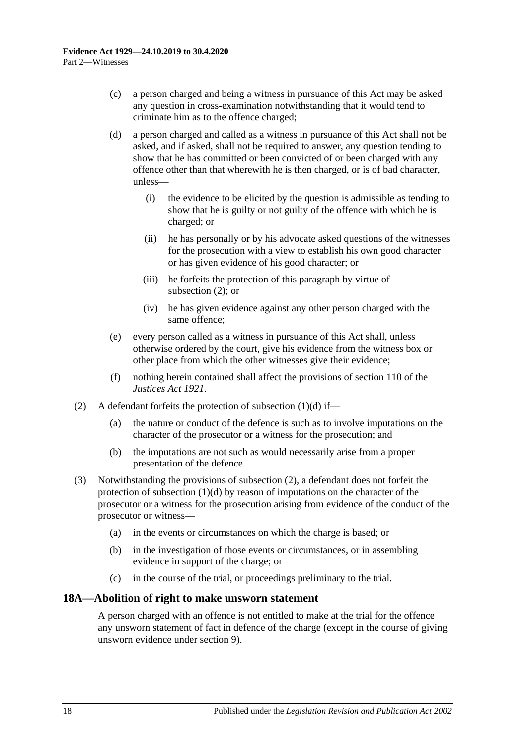- (c) a person charged and being a witness in pursuance of this Act may be asked any question in cross-examination notwithstanding that it would tend to criminate him as to the offence charged;
- <span id="page-27-2"></span>(d) a person charged and called as a witness in pursuance of this Act shall not be asked, and if asked, shall not be required to answer, any question tending to show that he has committed or been convicted of or been charged with any offence other than that wherewith he is then charged, or is of bad character, unless—
	- (i) the evidence to be elicited by the question is admissible as tending to show that he is guilty or not guilty of the offence with which he is charged; or
	- (ii) he has personally or by his advocate asked questions of the witnesses for the prosecution with a view to establish his own good character or has given evidence of his good character; or
	- (iii) he forfeits the protection of this paragraph by virtue of [subsection](#page-27-1) (2); or
	- (iv) he has given evidence against any other person charged with the same offence;
- (e) every person called as a witness in pursuance of this Act shall, unless otherwise ordered by the court, give his evidence from the witness box or other place from which the other witnesses give their evidence;
- (f) nothing herein contained shall affect the provisions of section 110 of the *[Justices Act](http://www.legislation.sa.gov.au/index.aspx?action=legref&type=act&legtitle=Justices%20Act%201921) 1921*.
- <span id="page-27-1"></span>(2) A defendant forfeits the protection of [subsection](#page-27-2)  $(1)(d)$  if—
	- (a) the nature or conduct of the defence is such as to involve imputations on the character of the prosecutor or a witness for the prosecution; and
	- (b) the imputations are not such as would necessarily arise from a proper presentation of the defence.
- (3) Notwithstanding the provisions of [subsection](#page-27-1) (2), a defendant does not forfeit the protection of [subsection](#page-27-2)  $(1)(d)$  by reason of imputations on the character of the prosecutor or a witness for the prosecution arising from evidence of the conduct of the prosecutor or witness—
	- (a) in the events or circumstances on which the charge is based; or
	- (b) in the investigation of those events or circumstances, or in assembling evidence in support of the charge; or
	- (c) in the course of the trial, or proceedings preliminary to the trial.

## <span id="page-27-0"></span>**18A—Abolition of right to make unsworn statement**

A person charged with an offence is not entitled to make at the trial for the offence any unsworn statement of fact in defence of the charge (except in the course of giving unsworn evidence under [section](#page-10-3) 9).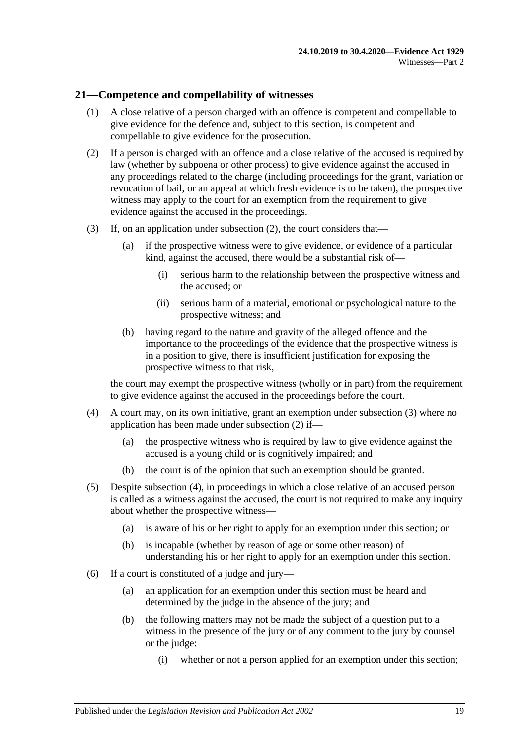## <span id="page-28-0"></span>**21—Competence and compellability of witnesses**

- (1) A close relative of a person charged with an offence is competent and compellable to give evidence for the defence and, subject to this section, is competent and compellable to give evidence for the prosecution.
- <span id="page-28-1"></span>(2) If a person is charged with an offence and a close relative of the accused is required by law (whether by subpoena or other process) to give evidence against the accused in any proceedings related to the charge (including proceedings for the grant, variation or revocation of bail, or an appeal at which fresh evidence is to be taken), the prospective witness may apply to the court for an exemption from the requirement to give evidence against the accused in the proceedings.
- <span id="page-28-2"></span>(3) If, on an application under [subsection](#page-28-1) (2), the court considers that—
	- (a) if the prospective witness were to give evidence, or evidence of a particular kind, against the accused, there would be a substantial risk of—
		- (i) serious harm to the relationship between the prospective witness and the accused; or
		- (ii) serious harm of a material, emotional or psychological nature to the prospective witness; and
	- (b) having regard to the nature and gravity of the alleged offence and the importance to the proceedings of the evidence that the prospective witness is in a position to give, there is insufficient justification for exposing the prospective witness to that risk,

the court may exempt the prospective witness (wholly or in part) from the requirement to give evidence against the accused in the proceedings before the court.

- <span id="page-28-3"></span>(4) A court may, on its own initiative, grant an exemption under [subsection](#page-28-2) (3) where no application has been made under [subsection](#page-28-1) (2) if—
	- (a) the prospective witness who is required by law to give evidence against the accused is a young child or is cognitively impaired; and
	- (b) the court is of the opinion that such an exemption should be granted.
- <span id="page-28-4"></span>(5) Despite [subsection](#page-28-3) (4), in proceedings in which a close relative of an accused person is called as a witness against the accused, the court is not required to make any inquiry about whether the prospective witness—
	- (a) is aware of his or her right to apply for an exemption under this section; or
	- (b) is incapable (whether by reason of age or some other reason) of understanding his or her right to apply for an exemption under this section.
- (6) If a court is constituted of a judge and jury—
	- (a) an application for an exemption under this section must be heard and determined by the judge in the absence of the jury; and
	- (b) the following matters may not be made the subject of a question put to a witness in the presence of the jury or of any comment to the jury by counsel or the judge:
		- (i) whether or not a person applied for an exemption under this section;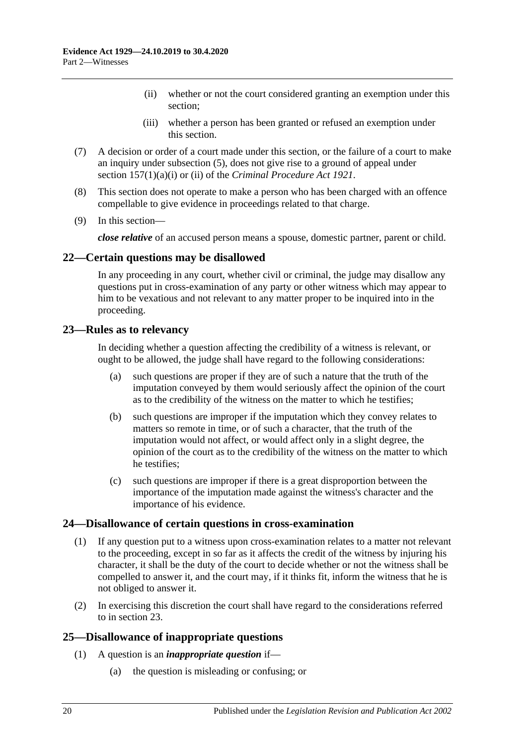- (ii) whether or not the court considered granting an exemption under this section;
- (iii) whether a person has been granted or refused an exemption under this section.
- (7) A decision or order of a court made under this section, or the failure of a court to make an inquiry under [subsection](#page-28-4) (5), does not give rise to a ground of appeal under section 157(1)(a)(i) or (ii) of the *[Criminal Procedure Act](http://www.legislation.sa.gov.au/index.aspx?action=legref&type=act&legtitle=Criminal%20Procedure%20Act%201921) 1921*.
- (8) This section does not operate to make a person who has been charged with an offence compellable to give evidence in proceedings related to that charge.
- (9) In this section—

*close relative* of an accused person means a spouse, domestic partner, parent or child.

## <span id="page-29-0"></span>**22—Certain questions may be disallowed**

In any proceeding in any court, whether civil or criminal, the judge may disallow any questions put in cross-examination of any party or other witness which may appear to him to be vexatious and not relevant to any matter proper to be inquired into in the proceeding.

## <span id="page-29-1"></span>**23—Rules as to relevancy**

In deciding whether a question affecting the credibility of a witness is relevant, or ought to be allowed, the judge shall have regard to the following considerations:

- (a) such questions are proper if they are of such a nature that the truth of the imputation conveyed by them would seriously affect the opinion of the court as to the credibility of the witness on the matter to which he testifies;
- (b) such questions are improper if the imputation which they convey relates to matters so remote in time, or of such a character, that the truth of the imputation would not affect, or would affect only in a slight degree, the opinion of the court as to the credibility of the witness on the matter to which he testifies;
- (c) such questions are improper if there is a great disproportion between the importance of the imputation made against the witness's character and the importance of his evidence.

#### <span id="page-29-2"></span>**24—Disallowance of certain questions in cross-examination**

- (1) If any question put to a witness upon cross-examination relates to a matter not relevant to the proceeding, except in so far as it affects the credit of the witness by injuring his character, it shall be the duty of the court to decide whether or not the witness shall be compelled to answer it, and the court may, if it thinks fit, inform the witness that he is not obliged to answer it.
- (2) In exercising this discretion the court shall have regard to the considerations referred to in [section](#page-29-1) 23.

## <span id="page-29-3"></span>**25—Disallowance of inappropriate questions**

- (1) A question is an *inappropriate question* if—
	- (a) the question is misleading or confusing; or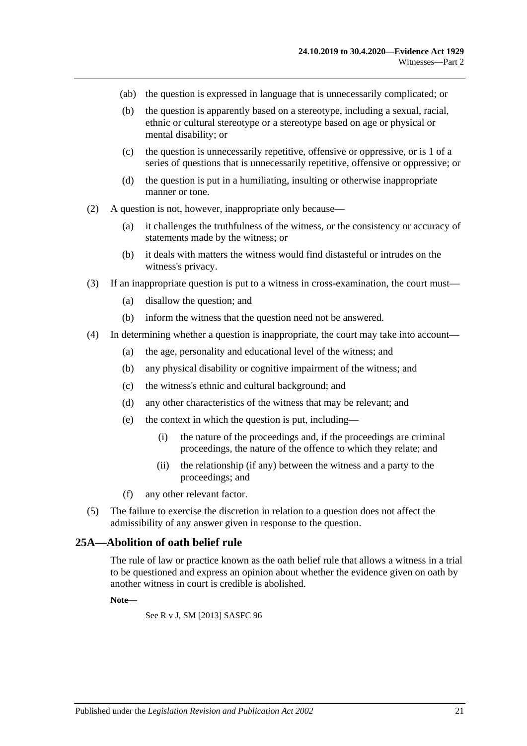- (ab) the question is expressed in language that is unnecessarily complicated; or
- (b) the question is apparently based on a stereotype, including a sexual, racial, ethnic or cultural stereotype or a stereotype based on age or physical or mental disability; or
- (c) the question is unnecessarily repetitive, offensive or oppressive, or is 1 of a series of questions that is unnecessarily repetitive, offensive or oppressive; or
- (d) the question is put in a humiliating, insulting or otherwise inappropriate manner or tone.
- (2) A question is not, however, inappropriate only because—
	- (a) it challenges the truthfulness of the witness, or the consistency or accuracy of statements made by the witness; or
	- (b) it deals with matters the witness would find distasteful or intrudes on the witness's privacy.
- (3) If an inappropriate question is put to a witness in cross-examination, the court must—
	- (a) disallow the question; and
	- (b) inform the witness that the question need not be answered.
- (4) In determining whether a question is inappropriate, the court may take into account—
	- (a) the age, personality and educational level of the witness; and
	- (b) any physical disability or cognitive impairment of the witness; and
	- (c) the witness's ethnic and cultural background; and
	- (d) any other characteristics of the witness that may be relevant; and
	- (e) the context in which the question is put, including—
		- (i) the nature of the proceedings and, if the proceedings are criminal proceedings, the nature of the offence to which they relate; and
		- (ii) the relationship (if any) between the witness and a party to the proceedings; and
	- (f) any other relevant factor.
- (5) The failure to exercise the discretion in relation to a question does not affect the admissibility of any answer given in response to the question.

#### <span id="page-30-0"></span>**25A—Abolition of oath belief rule**

The rule of law or practice known as the oath belief rule that allows a witness in a trial to be questioned and express an opinion about whether the evidence given on oath by another witness in court is credible is abolished.

#### **Note—**

See R v J, SM [2013] SASFC 96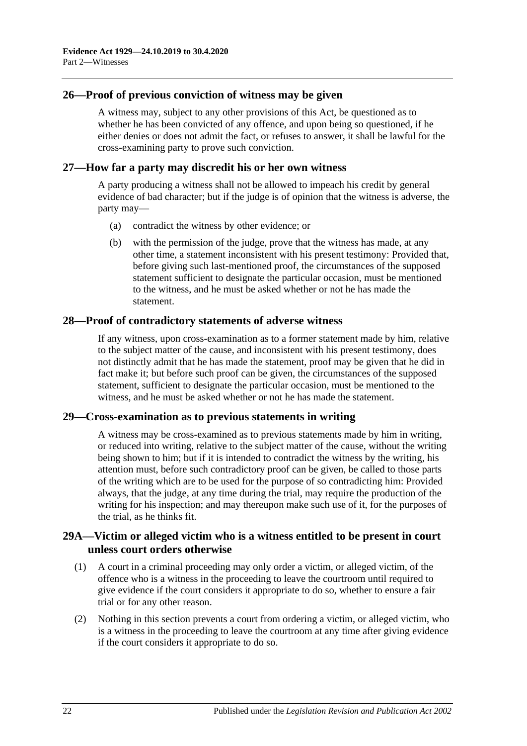## <span id="page-31-0"></span>**26—Proof of previous conviction of witness may be given**

A witness may, subject to any other provisions of this Act, be questioned as to whether he has been convicted of any offence, and upon being so questioned, if he either denies or does not admit the fact, or refuses to answer, it shall be lawful for the cross-examining party to prove such conviction.

#### <span id="page-31-1"></span>**27—How far a party may discredit his or her own witness**

A party producing a witness shall not be allowed to impeach his credit by general evidence of bad character; but if the judge is of opinion that the witness is adverse, the party may—

- (a) contradict the witness by other evidence; or
- (b) with the permission of the judge, prove that the witness has made, at any other time, a statement inconsistent with his present testimony: Provided that, before giving such last-mentioned proof, the circumstances of the supposed statement sufficient to designate the particular occasion, must be mentioned to the witness, and he must be asked whether or not he has made the statement.

## <span id="page-31-2"></span>**28—Proof of contradictory statements of adverse witness**

If any witness, upon cross-examination as to a former statement made by him, relative to the subject matter of the cause, and inconsistent with his present testimony, does not distinctly admit that he has made the statement, proof may be given that he did in fact make it; but before such proof can be given, the circumstances of the supposed statement, sufficient to designate the particular occasion, must be mentioned to the witness, and he must be asked whether or not he has made the statement.

#### <span id="page-31-3"></span>**29—Cross-examination as to previous statements in writing**

A witness may be cross-examined as to previous statements made by him in writing, or reduced into writing, relative to the subject matter of the cause, without the writing being shown to him; but if it is intended to contradict the witness by the writing, his attention must, before such contradictory proof can be given, be called to those parts of the writing which are to be used for the purpose of so contradicting him: Provided always, that the judge, at any time during the trial, may require the production of the writing for his inspection; and may thereupon make such use of it, for the purposes of the trial, as he thinks fit.

## <span id="page-31-4"></span>**29A—Victim or alleged victim who is a witness entitled to be present in court unless court orders otherwise**

- (1) A court in a criminal proceeding may only order a victim, or alleged victim, of the offence who is a witness in the proceeding to leave the courtroom until required to give evidence if the court considers it appropriate to do so, whether to ensure a fair trial or for any other reason.
- (2) Nothing in this section prevents a court from ordering a victim, or alleged victim, who is a witness in the proceeding to leave the courtroom at any time after giving evidence if the court considers it appropriate to do so.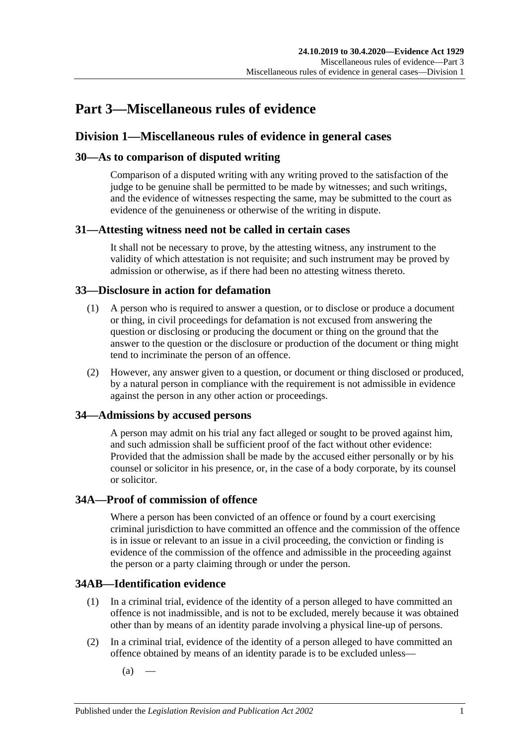## <span id="page-32-0"></span>**Part 3—Miscellaneous rules of evidence**

## <span id="page-32-1"></span>**Division 1—Miscellaneous rules of evidence in general cases**

## <span id="page-32-2"></span>**30—As to comparison of disputed writing**

Comparison of a disputed writing with any writing proved to the satisfaction of the judge to be genuine shall be permitted to be made by witnesses; and such writings, and the evidence of witnesses respecting the same, may be submitted to the court as evidence of the genuineness or otherwise of the writing in dispute.

## <span id="page-32-3"></span>**31—Attesting witness need not be called in certain cases**

It shall not be necessary to prove, by the attesting witness, any instrument to the validity of which attestation is not requisite; and such instrument may be proved by admission or otherwise, as if there had been no attesting witness thereto.

## <span id="page-32-4"></span>**33—Disclosure in action for defamation**

- (1) A person who is required to answer a question, or to disclose or produce a document or thing, in civil proceedings for defamation is not excused from answering the question or disclosing or producing the document or thing on the ground that the answer to the question or the disclosure or production of the document or thing might tend to incriminate the person of an offence.
- (2) However, any answer given to a question, or document or thing disclosed or produced, by a natural person in compliance with the requirement is not admissible in evidence against the person in any other action or proceedings.

## <span id="page-32-5"></span>**34—Admissions by accused persons**

A person may admit on his trial any fact alleged or sought to be proved against him, and such admission shall be sufficient proof of the fact without other evidence: Provided that the admission shall be made by the accused either personally or by his counsel or solicitor in his presence, or, in the case of a body corporate, by its counsel or solicitor.

## <span id="page-32-6"></span>**34A—Proof of commission of offence**

Where a person has been convicted of an offence or found by a court exercising criminal jurisdiction to have committed an offence and the commission of the offence is in issue or relevant to an issue in a civil proceeding, the conviction or finding is evidence of the commission of the offence and admissible in the proceeding against the person or a party claiming through or under the person.

## <span id="page-32-7"></span>**34AB—Identification evidence**

- (1) In a criminal trial, evidence of the identity of a person alleged to have committed an offence is not inadmissible, and is not to be excluded, merely because it was obtained other than by means of an identity parade involving a physical line-up of persons.
- <span id="page-32-8"></span>(2) In a criminal trial, evidence of the identity of a person alleged to have committed an offence obtained by means of an identity parade is to be excluded unless—
	- $(a)$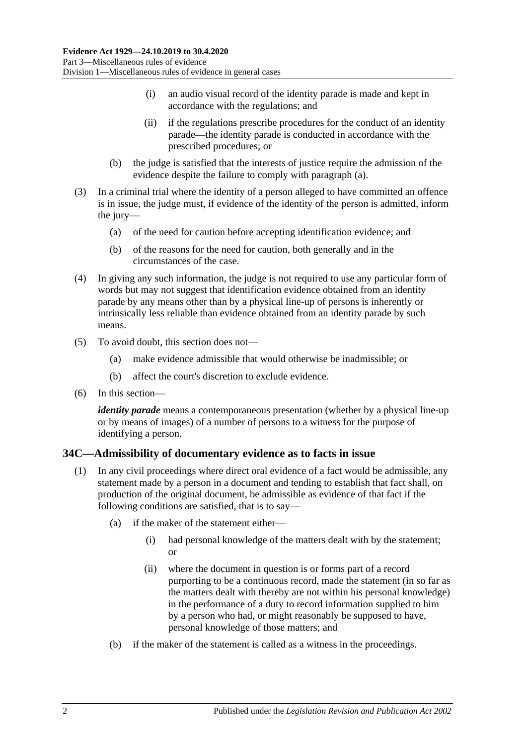- (i) an audio visual record of the identity parade is made and kept in accordance with the regulations; and
- (ii) if the regulations prescribe procedures for the conduct of an identity parade—the identity parade is conducted in accordance with the prescribed procedures; or
- (b) the judge is satisfied that the interests of justice require the admission of the evidence despite the failure to comply with [paragraph](#page-32-8) (a).
- (3) In a criminal trial where the identity of a person alleged to have committed an offence is in issue, the judge must, if evidence of the identity of the person is admitted, inform the jury—
	- (a) of the need for caution before accepting identification evidence; and
	- (b) of the reasons for the need for caution, both generally and in the circumstances of the case.
- (4) In giving any such information, the judge is not required to use any particular form of words but may not suggest that identification evidence obtained from an identity parade by any means other than by a physical line-up of persons is inherently or intrinsically less reliable than evidence obtained from an identity parade by such means.
- (5) To avoid doubt, this section does not—
	- (a) make evidence admissible that would otherwise be inadmissible; or
	- (b) affect the court's discretion to exclude evidence.
- (6) In this section—

*identity parade* means a contemporaneous presentation (whether by a physical line-up or by means of images) of a number of persons to a witness for the purpose of identifying a person.

## <span id="page-33-1"></span><span id="page-33-0"></span>**34C—Admissibility of documentary evidence as to facts in issue**

- (1) In any civil proceedings where direct oral evidence of a fact would be admissible, any statement made by a person in a document and tending to establish that fact shall, on production of the original document, be admissible as evidence of that fact if the following conditions are satisfied, that is to say—
	- (a) if the maker of the statement either—
		- (i) had personal knowledge of the matters dealt with by the statement; or
		- (ii) where the document in question is or forms part of a record purporting to be a continuous record, made the statement (in so far as the matters dealt with thereby are not within his personal knowledge) in the performance of a duty to record information supplied to him by a person who had, or might reasonably be supposed to have, personal knowledge of those matters; and
	- (b) if the maker of the statement is called as a witness in the proceedings.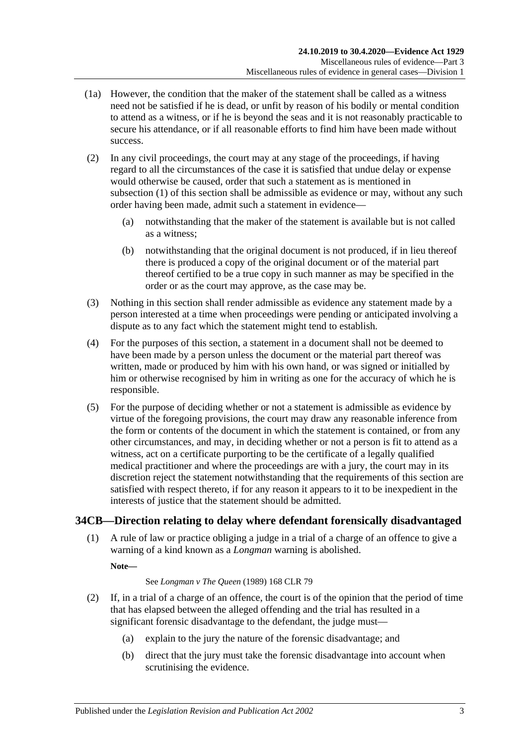- (1a) However, the condition that the maker of the statement shall be called as a witness need not be satisfied if he is dead, or unfit by reason of his bodily or mental condition to attend as a witness, or if he is beyond the seas and it is not reasonably practicable to secure his attendance, or if all reasonable efforts to find him have been made without success.
- (2) In any civil proceedings, the court may at any stage of the proceedings, if having regard to all the circumstances of the case it is satisfied that undue delay or expense would otherwise be caused, order that such a statement as is mentioned in [subsection](#page-33-1) (1) of this section shall be admissible as evidence or may, without any such order having been made, admit such a statement in evidence—
	- (a) notwithstanding that the maker of the statement is available but is not called as a witness;
	- (b) notwithstanding that the original document is not produced, if in lieu thereof there is produced a copy of the original document or of the material part thereof certified to be a true copy in such manner as may be specified in the order or as the court may approve, as the case may be.
- (3) Nothing in this section shall render admissible as evidence any statement made by a person interested at a time when proceedings were pending or anticipated involving a dispute as to any fact which the statement might tend to establish.
- (4) For the purposes of this section, a statement in a document shall not be deemed to have been made by a person unless the document or the material part thereof was written, made or produced by him with his own hand, or was signed or initialled by him or otherwise recognised by him in writing as one for the accuracy of which he is responsible.
- (5) For the purpose of deciding whether or not a statement is admissible as evidence by virtue of the foregoing provisions, the court may draw any reasonable inference from the form or contents of the document in which the statement is contained, or from any other circumstances, and may, in deciding whether or not a person is fit to attend as a witness, act on a certificate purporting to be the certificate of a legally qualified medical practitioner and where the proceedings are with a jury, the court may in its discretion reject the statement notwithstanding that the requirements of this section are satisfied with respect thereto, if for any reason it appears to it to be inexpedient in the interests of justice that the statement should be admitted.

## <span id="page-34-0"></span>**34CB—Direction relating to delay where defendant forensically disadvantaged**

(1) A rule of law or practice obliging a judge in a trial of a charge of an offence to give a warning of a kind known as a *Longman* warning is abolished.

**Note—**

#### See *Longman v The Queen* (1989) 168 CLR 79

- <span id="page-34-1"></span>(2) If, in a trial of a charge of an offence, the court is of the opinion that the period of time that has elapsed between the alleged offending and the trial has resulted in a significant forensic disadvantage to the defendant, the judge must—
	- (a) explain to the jury the nature of the forensic disadvantage; and
	- (b) direct that the jury must take the forensic disadvantage into account when scrutinising the evidence.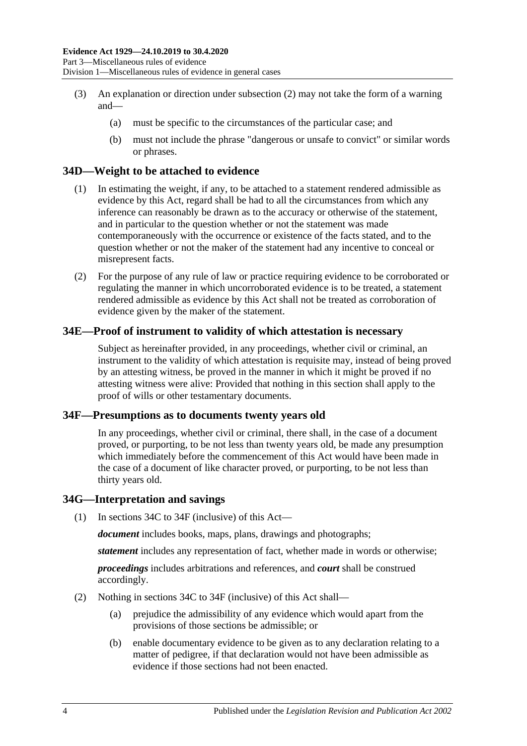- (3) An explanation or direction under [subsection](#page-34-1) (2) may not take the form of a warning and—
	- (a) must be specific to the circumstances of the particular case; and
	- (b) must not include the phrase "dangerous or unsafe to convict" or similar words or phrases.

## <span id="page-35-0"></span>**34D—Weight to be attached to evidence**

- (1) In estimating the weight, if any, to be attached to a statement rendered admissible as evidence by this Act, regard shall be had to all the circumstances from which any inference can reasonably be drawn as to the accuracy or otherwise of the statement, and in particular to the question whether or not the statement was made contemporaneously with the occurrence or existence of the facts stated, and to the question whether or not the maker of the statement had any incentive to conceal or misrepresent facts.
- (2) For the purpose of any rule of law or practice requiring evidence to be corroborated or regulating the manner in which uncorroborated evidence is to be treated, a statement rendered admissible as evidence by this Act shall not be treated as corroboration of evidence given by the maker of the statement.

## <span id="page-35-1"></span>**34E—Proof of instrument to validity of which attestation is necessary**

Subject as hereinafter provided, in any proceedings, whether civil or criminal, an instrument to the validity of which attestation is requisite may, instead of being proved by an attesting witness, be proved in the manner in which it might be proved if no attesting witness were alive: Provided that nothing in this section shall apply to the proof of wills or other testamentary documents.

#### <span id="page-35-2"></span>**34F—Presumptions as to documents twenty years old**

In any proceedings, whether civil or criminal, there shall, in the case of a document proved, or purporting, to be not less than twenty years old, be made any presumption which immediately before the commencement of this Act would have been made in the case of a document of like character proved, or purporting, to be not less than thirty years old.

#### <span id="page-35-3"></span>**34G—Interpretation and savings**

(1) In [sections](#page-33-0) 34C to [34F](#page-35-2) (inclusive) of this Act—

*document* includes books, maps, plans, drawings and photographs;

*statement* includes any representation of fact, whether made in words or otherwise;

*proceedings* includes arbitrations and references, and *court* shall be construed accordingly.

- (2) Nothing in [sections](#page-33-0) 34C to [34F](#page-35-2) (inclusive) of this Act shall—
	- (a) prejudice the admissibility of any evidence which would apart from the provisions of those sections be admissible; or
	- (b) enable documentary evidence to be given as to any declaration relating to a matter of pedigree, if that declaration would not have been admissible as evidence if those sections had not been enacted.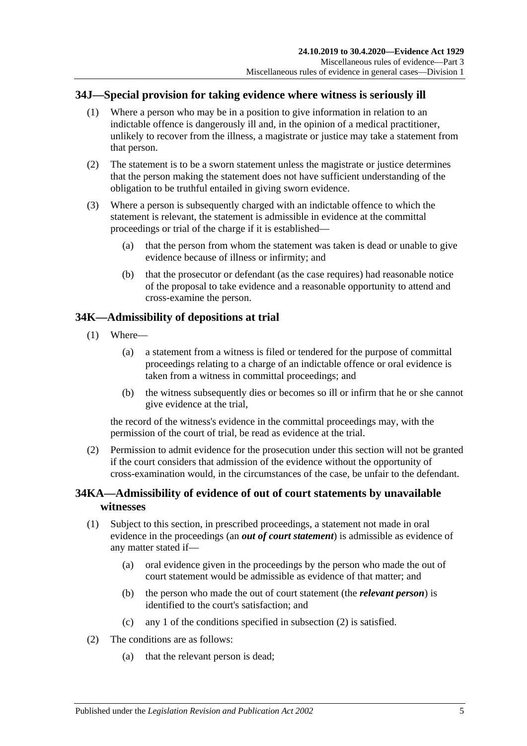# **34J—Special provision for taking evidence where witness is seriously ill**

- (1) Where a person who may be in a position to give information in relation to an indictable offence is dangerously ill and, in the opinion of a medical practitioner, unlikely to recover from the illness, a magistrate or justice may take a statement from that person.
- (2) The statement is to be a sworn statement unless the magistrate or justice determines that the person making the statement does not have sufficient understanding of the obligation to be truthful entailed in giving sworn evidence.
- (3) Where a person is subsequently charged with an indictable offence to which the statement is relevant, the statement is admissible in evidence at the committal proceedings or trial of the charge if it is established—
	- (a) that the person from whom the statement was taken is dead or unable to give evidence because of illness or infirmity; and
	- (b) that the prosecutor or defendant (as the case requires) had reasonable notice of the proposal to take evidence and a reasonable opportunity to attend and cross-examine the person.

# **34K—Admissibility of depositions at trial**

- (1) Where—
	- (a) a statement from a witness is filed or tendered for the purpose of committal proceedings relating to a charge of an indictable offence or oral evidence is taken from a witness in committal proceedings; and
	- (b) the witness subsequently dies or becomes so ill or infirm that he or she cannot give evidence at the trial,

the record of the witness's evidence in the committal proceedings may, with the permission of the court of trial, be read as evidence at the trial.

(2) Permission to admit evidence for the prosecution under this section will not be granted if the court considers that admission of the evidence without the opportunity of cross-examination would, in the circumstances of the case, be unfair to the defendant.

# **34KA—Admissibility of evidence of out of court statements by unavailable witnesses**

- (1) Subject to this section, in prescribed proceedings, a statement not made in oral evidence in the proceedings (an *out of court statement*) is admissible as evidence of any matter stated if—
	- (a) oral evidence given in the proceedings by the person who made the out of court statement would be admissible as evidence of that matter; and
	- (b) the person who made the out of court statement (the *relevant person*) is identified to the court's satisfaction; and
	- (c) any 1 of the conditions specified in [subsection](#page-36-0) (2) is satisfied.
- <span id="page-36-0"></span>(2) The conditions are as follows:
	- (a) that the relevant person is dead;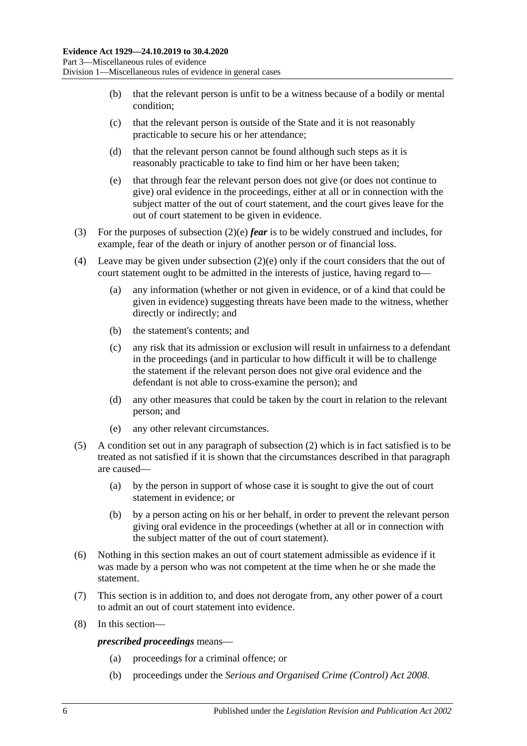- (b) that the relevant person is unfit to be a witness because of a bodily or mental condition;
- (c) that the relevant person is outside of the State and it is not reasonably practicable to secure his or her attendance;
- (d) that the relevant person cannot be found although such steps as it is reasonably practicable to take to find him or her have been taken;
- <span id="page-37-0"></span>(e) that through fear the relevant person does not give (or does not continue to give) oral evidence in the proceedings, either at all or in connection with the subject matter of the out of court statement, and the court gives leave for the out of court statement to be given in evidence.
- (3) For the purposes of [subsection](#page-37-0) (2)(e) *fear* is to be widely construed and includes, for example, fear of the death or injury of another person or of financial loss.
- (4) Leave may be given under [subsection](#page-37-0) (2)(e) only if the court considers that the out of court statement ought to be admitted in the interests of justice, having regard to—
	- (a) any information (whether or not given in evidence, or of a kind that could be given in evidence) suggesting threats have been made to the witness, whether directly or indirectly; and
	- (b) the statement's contents; and
	- (c) any risk that its admission or exclusion will result in unfairness to a defendant in the proceedings (and in particular to how difficult it will be to challenge the statement if the relevant person does not give oral evidence and the defendant is not able to cross-examine the person); and
	- (d) any other measures that could be taken by the court in relation to the relevant person; and
	- (e) any other relevant circumstances.
- (5) A condition set out in any paragraph of [subsection](#page-36-0) (2) which is in fact satisfied is to be treated as not satisfied if it is shown that the circumstances described in that paragraph are caused—
	- (a) by the person in support of whose case it is sought to give the out of court statement in evidence; or
	- (b) by a person acting on his or her behalf, in order to prevent the relevant person giving oral evidence in the proceedings (whether at all or in connection with the subject matter of the out of court statement).
- (6) Nothing in this section makes an out of court statement admissible as evidence if it was made by a person who was not competent at the time when he or she made the statement.
- (7) This section is in addition to, and does not derogate from, any other power of a court to admit an out of court statement into evidence.
- (8) In this section—

*prescribed proceedings* means—

- (a) proceedings for a criminal offence; or
- (b) proceedings under the *[Serious and Organised Crime \(Control\) Act](http://www.legislation.sa.gov.au/index.aspx?action=legref&type=act&legtitle=Serious%20and%20Organised%20Crime%20(Control)%20Act%202008) 2008*.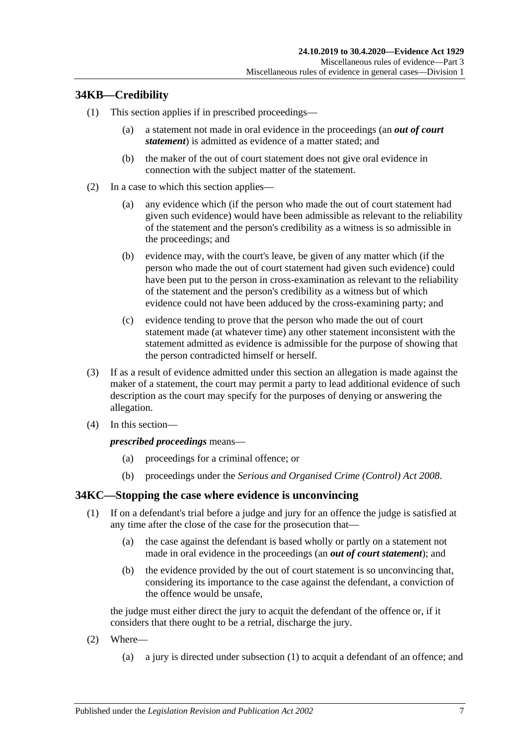# **34KB—Credibility**

- (1) This section applies if in prescribed proceedings—
	- (a) a statement not made in oral evidence in the proceedings (an *out of court statement*) is admitted as evidence of a matter stated; and
	- (b) the maker of the out of court statement does not give oral evidence in connection with the subject matter of the statement.
- (2) In a case to which this section applies—
	- (a) any evidence which (if the person who made the out of court statement had given such evidence) would have been admissible as relevant to the reliability of the statement and the person's credibility as a witness is so admissible in the proceedings; and
	- (b) evidence may, with the court's leave, be given of any matter which (if the person who made the out of court statement had given such evidence) could have been put to the person in cross-examination as relevant to the reliability of the statement and the person's credibility as a witness but of which evidence could not have been adduced by the cross-examining party; and
	- (c) evidence tending to prove that the person who made the out of court statement made (at whatever time) any other statement inconsistent with the statement admitted as evidence is admissible for the purpose of showing that the person contradicted himself or herself.
- (3) If as a result of evidence admitted under this section an allegation is made against the maker of a statement, the court may permit a party to lead additional evidence of such description as the court may specify for the purposes of denying or answering the allegation.
- (4) In this section—

### *prescribed proceedings* means—

- (a) proceedings for a criminal offence; or
- (b) proceedings under the *[Serious and Organised Crime \(Control\) Act](http://www.legislation.sa.gov.au/index.aspx?action=legref&type=act&legtitle=Serious%20and%20Organised%20Crime%20(Control)%20Act%202008) 2008*.

# <span id="page-38-0"></span>**34KC—Stopping the case where evidence is unconvincing**

- (1) If on a defendant's trial before a judge and jury for an offence the judge is satisfied at any time after the close of the case for the prosecution that—
	- (a) the case against the defendant is based wholly or partly on a statement not made in oral evidence in the proceedings (an *out of court statement*); and
	- (b) the evidence provided by the out of court statement is so unconvincing that, considering its importance to the case against the defendant, a conviction of the offence would be unsafe,

the judge must either direct the jury to acquit the defendant of the offence or, if it considers that there ought to be a retrial, discharge the jury.

- (2) Where—
	- (a) a jury is directed under [subsection](#page-38-0) (1) to acquit a defendant of an offence; and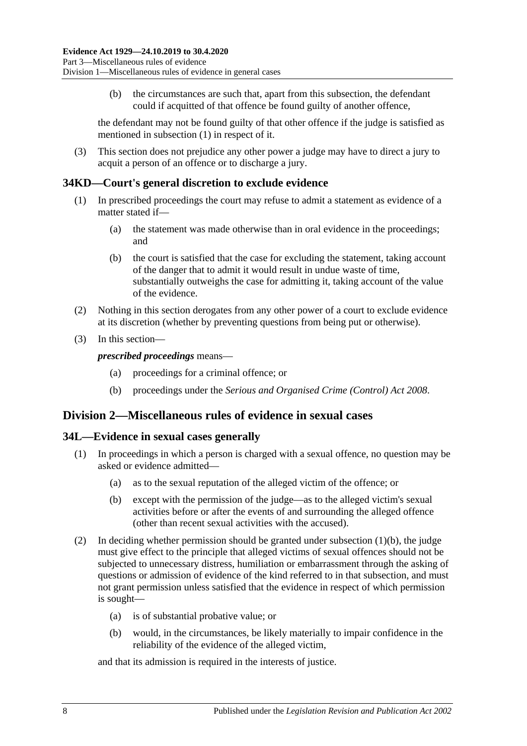(b) the circumstances are such that, apart from this subsection, the defendant could if acquitted of that offence be found guilty of another offence,

the defendant may not be found guilty of that other offence if the judge is satisfied as mentioned in [subsection](#page-38-0) (1) in respect of it.

(3) This section does not prejudice any other power a judge may have to direct a jury to acquit a person of an offence or to discharge a jury.

### **34KD—Court's general discretion to exclude evidence**

- (1) In prescribed proceedings the court may refuse to admit a statement as evidence of a matter stated if—
	- (a) the statement was made otherwise than in oral evidence in the proceedings; and
	- (b) the court is satisfied that the case for excluding the statement, taking account of the danger that to admit it would result in undue waste of time, substantially outweighs the case for admitting it, taking account of the value of the evidence.
- (2) Nothing in this section derogates from any other power of a court to exclude evidence at its discretion (whether by preventing questions from being put or otherwise).
- (3) In this section—

*prescribed proceedings* means—

- (a) proceedings for a criminal offence; or
- (b) proceedings under the *[Serious and Organised Crime \(Control\) Act](http://www.legislation.sa.gov.au/index.aspx?action=legref&type=act&legtitle=Serious%20and%20Organised%20Crime%20(Control)%20Act%202008) 2008*.

# **Division 2—Miscellaneous rules of evidence in sexual cases**

### **34L—Evidence in sexual cases generally**

- <span id="page-39-0"></span>(1) In proceedings in which a person is charged with a sexual offence, no question may be asked or evidence admitted—
	- (a) as to the sexual reputation of the alleged victim of the offence; or
	- (b) except with the permission of the judge—as to the alleged victim's sexual activities before or after the events of and surrounding the alleged offence (other than recent sexual activities with the accused).
- (2) In deciding whether permission should be granted under [subsection](#page-39-0) (1)(b), the judge must give effect to the principle that alleged victims of sexual offences should not be subjected to unnecessary distress, humiliation or embarrassment through the asking of questions or admission of evidence of the kind referred to in that subsection, and must not grant permission unless satisfied that the evidence in respect of which permission is sought—
	- (a) is of substantial probative value; or
	- (b) would, in the circumstances, be likely materially to impair confidence in the reliability of the evidence of the alleged victim,

and that its admission is required in the interests of justice.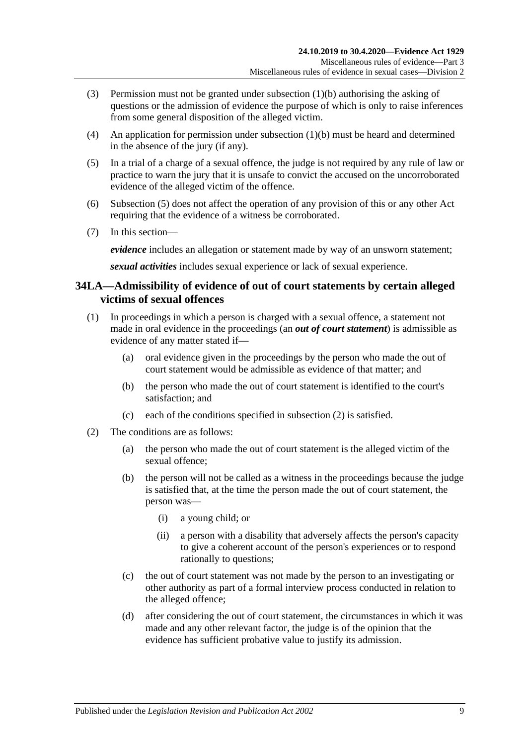- (3) Permission must not be granted under [subsection](#page-39-0) (1)(b) authorising the asking of questions or the admission of evidence the purpose of which is only to raise inferences from some general disposition of the alleged victim.
- (4) An application for permission under [subsection](#page-39-0) (1)(b) must be heard and determined in the absence of the jury (if any).
- <span id="page-40-0"></span>(5) In a trial of a charge of a sexual offence, the judge is not required by any rule of law or practice to warn the jury that it is unsafe to convict the accused on the uncorroborated evidence of the alleged victim of the offence.
- (6) [Subsection](#page-40-0) (5) does not affect the operation of any provision of this or any other Act requiring that the evidence of a witness be corroborated.
- (7) In this section—

*evidence* includes an allegation or statement made by way of an unsworn statement;

*sexual activities* includes sexual experience or lack of sexual experience.

# **34LA—Admissibility of evidence of out of court statements by certain alleged victims of sexual offences**

- (1) In proceedings in which a person is charged with a sexual offence, a statement not made in oral evidence in the proceedings (an *out of court statement*) is admissible as evidence of any matter stated if—
	- (a) oral evidence given in the proceedings by the person who made the out of court statement would be admissible as evidence of that matter; and
	- (b) the person who made the out of court statement is identified to the court's satisfaction; and
	- (c) each of the conditions specified in [subsection](#page-40-1) (2) is satisfied.
- <span id="page-40-2"></span><span id="page-40-1"></span>(2) The conditions are as follows:
	- (a) the person who made the out of court statement is the alleged victim of the sexual offence;
	- (b) the person will not be called as a witness in the proceedings because the judge is satisfied that, at the time the person made the out of court statement, the person was—
		- (i) a young child; or
		- (ii) a person with a disability that adversely affects the person's capacity to give a coherent account of the person's experiences or to respond rationally to questions;
	- (c) the out of court statement was not made by the person to an investigating or other authority as part of a formal interview process conducted in relation to the alleged offence;
	- (d) after considering the out of court statement, the circumstances in which it was made and any other relevant factor, the judge is of the opinion that the evidence has sufficient probative value to justify its admission.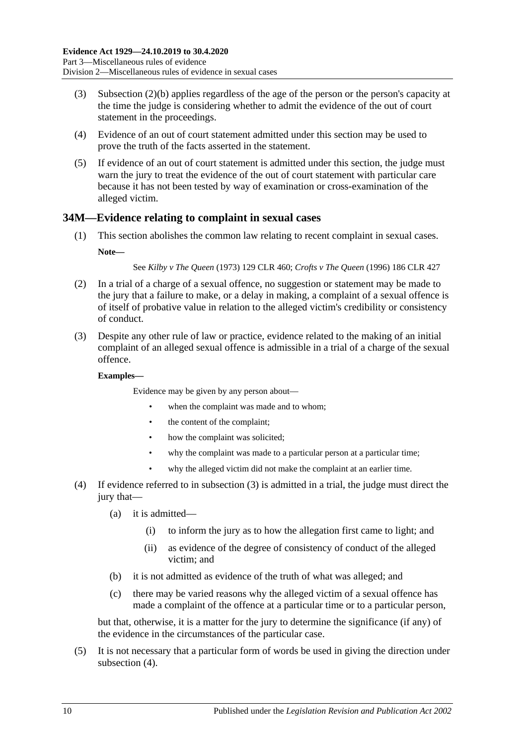- (3) [Subsection \(2\)\(b\)](#page-40-2) applies regardless of the age of the person or the person's capacity at the time the judge is considering whether to admit the evidence of the out of court statement in the proceedings.
- (4) Evidence of an out of court statement admitted under this section may be used to prove the truth of the facts asserted in the statement.
- (5) If evidence of an out of court statement is admitted under this section, the judge must warn the jury to treat the evidence of the out of court statement with particular care because it has not been tested by way of examination or cross-examination of the alleged victim.

# **34M—Evidence relating to complaint in sexual cases**

(1) This section abolishes the common law relating to recent complaint in sexual cases. **Note—**

See *Kilby v The Queen* (1973) 129 CLR 460; *Crofts v The Queen* (1996) 186 CLR 427

- (2) In a trial of a charge of a sexual offence, no suggestion or statement may be made to the jury that a failure to make, or a delay in making, a complaint of a sexual offence is of itself of probative value in relation to the alleged victim's credibility or consistency of conduct.
- <span id="page-41-0"></span>(3) Despite any other rule of law or practice, evidence related to the making of an initial complaint of an alleged sexual offence is admissible in a trial of a charge of the sexual offence.

#### **Examples—**

Evidence may be given by any person about—

- when the complaint was made and to whom:
- the content of the complaint;
- how the complaint was solicited;
- why the complaint was made to a particular person at a particular time:
- why the alleged victim did not make the complaint at an earlier time.
- <span id="page-41-1"></span>(4) If evidence referred to in [subsection](#page-41-0) (3) is admitted in a trial, the judge must direct the jury that—
	- (a) it is admitted—
		- (i) to inform the jury as to how the allegation first came to light; and
		- (ii) as evidence of the degree of consistency of conduct of the alleged victim; and
	- (b) it is not admitted as evidence of the truth of what was alleged; and
	- (c) there may be varied reasons why the alleged victim of a sexual offence has made a complaint of the offence at a particular time or to a particular person,

but that, otherwise, it is a matter for the jury to determine the significance (if any) of the evidence in the circumstances of the particular case.

(5) It is not necessary that a particular form of words be used in giving the direction under [subsection](#page-41-1)  $(4)$ .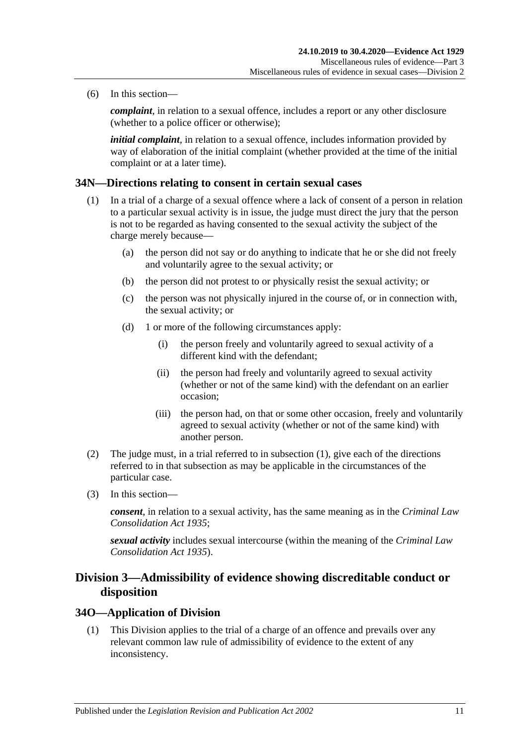(6) In this section—

*complaint*, in relation to a sexual offence, includes a report or any other disclosure (whether to a police officer or otherwise);

*initial complaint*, in relation to a sexual offence, includes information provided by way of elaboration of the initial complaint (whether provided at the time of the initial complaint or at a later time).

### <span id="page-42-0"></span>**34N—Directions relating to consent in certain sexual cases**

- (1) In a trial of a charge of a sexual offence where a lack of consent of a person in relation to a particular sexual activity is in issue, the judge must direct the jury that the person is not to be regarded as having consented to the sexual activity the subject of the charge merely because—
	- (a) the person did not say or do anything to indicate that he or she did not freely and voluntarily agree to the sexual activity; or
	- (b) the person did not protest to or physically resist the sexual activity; or
	- (c) the person was not physically injured in the course of, or in connection with, the sexual activity; or
	- (d) 1 or more of the following circumstances apply:
		- (i) the person freely and voluntarily agreed to sexual activity of a different kind with the defendant;
		- (ii) the person had freely and voluntarily agreed to sexual activity (whether or not of the same kind) with the defendant on an earlier occasion;
		- (iii) the person had, on that or some other occasion, freely and voluntarily agreed to sexual activity (whether or not of the same kind) with another person.
- (2) The judge must, in a trial referred to in [subsection](#page-42-0) (1), give each of the directions referred to in that subsection as may be applicable in the circumstances of the particular case.
- (3) In this section—

*consent*, in relation to a sexual activity, has the same meaning as in the *[Criminal Law](http://www.legislation.sa.gov.au/index.aspx?action=legref&type=act&legtitle=Criminal%20Law%20Consolidation%20Act%201935)  [Consolidation Act](http://www.legislation.sa.gov.au/index.aspx?action=legref&type=act&legtitle=Criminal%20Law%20Consolidation%20Act%201935) 1935*;

*sexual activity* includes sexual intercourse (within the meaning of the *[Criminal Law](http://www.legislation.sa.gov.au/index.aspx?action=legref&type=act&legtitle=Criminal%20Law%20Consolidation%20Act%201935)  [Consolidation Act](http://www.legislation.sa.gov.au/index.aspx?action=legref&type=act&legtitle=Criminal%20Law%20Consolidation%20Act%201935) 1935*).

# **Division 3—Admissibility of evidence showing discreditable conduct or disposition**

### **34O—Application of Division**

(1) This Division applies to the trial of a charge of an offence and prevails over any relevant common law rule of admissibility of evidence to the extent of any inconsistency.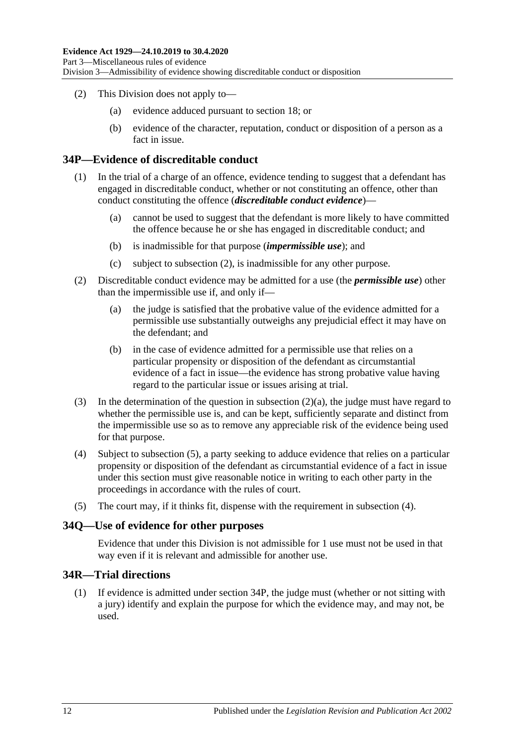- (2) This Division does not apply to—
	- (a) evidence adduced pursuant to [section](#page-26-0) 18; or
	- (b) evidence of the character, reputation, conduct or disposition of a person as a fact in issue.

### <span id="page-43-4"></span>**34P—Evidence of discreditable conduct**

- (1) In the trial of a charge of an offence, evidence tending to suggest that a defendant has engaged in discreditable conduct, whether or not constituting an offence, other than conduct constituting the offence (*discreditable conduct evidence*)—
	- (a) cannot be used to suggest that the defendant is more likely to have committed the offence because he or she has engaged in discreditable conduct; and
	- (b) is inadmissible for that purpose (*impermissible use*); and
	- (c) subject to [subsection](#page-43-0) (2), is inadmissible for any other purpose.
- <span id="page-43-1"></span><span id="page-43-0"></span>(2) Discreditable conduct evidence may be admitted for a use (the *permissible use*) other than the impermissible use if, and only if—
	- (a) the judge is satisfied that the probative value of the evidence admitted for a permissible use substantially outweighs any prejudicial effect it may have on the defendant; and
	- (b) in the case of evidence admitted for a permissible use that relies on a particular propensity or disposition of the defendant as circumstantial evidence of a fact in issue—the evidence has strong probative value having regard to the particular issue or issues arising at trial.
- (3) In the determination of the question in [subsection](#page-43-1) (2)(a), the judge must have regard to whether the permissible use is, and can be kept, sufficiently separate and distinct from the impermissible use so as to remove any appreciable risk of the evidence being used for that purpose.
- <span id="page-43-3"></span>(4) Subject to [subsection](#page-43-2) (5), a party seeking to adduce evidence that relies on a particular propensity or disposition of the defendant as circumstantial evidence of a fact in issue under this section must give reasonable notice in writing to each other party in the proceedings in accordance with the rules of court.
- <span id="page-43-2"></span>(5) The court may, if it thinks fit, dispense with the requirement in [subsection](#page-43-3) (4).

### **34Q—Use of evidence for other purposes**

Evidence that under this Division is not admissible for 1 use must not be used in that way even if it is relevant and admissible for another use.

# **34R—Trial directions**

(1) If evidence is admitted under [section](#page-43-4) 34P, the judge must (whether or not sitting with a jury) identify and explain the purpose for which the evidence may, and may not, be used.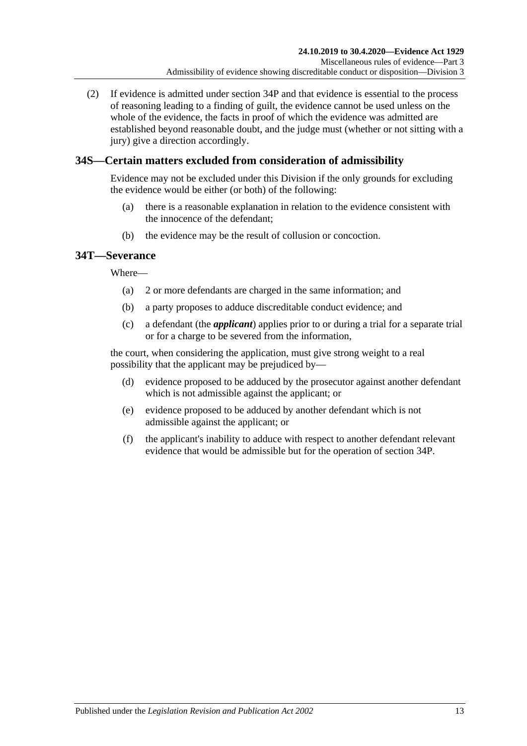(2) If evidence is admitted under [section](#page-43-4) 34P and that evidence is essential to the process of reasoning leading to a finding of guilt, the evidence cannot be used unless on the whole of the evidence, the facts in proof of which the evidence was admitted are established beyond reasonable doubt, and the judge must (whether or not sitting with a jury) give a direction accordingly.

# **34S—Certain matters excluded from consideration of admissibility**

Evidence may not be excluded under this Division if the only grounds for excluding the evidence would be either (or both) of the following:

- (a) there is a reasonable explanation in relation to the evidence consistent with the innocence of the defendant;
- (b) the evidence may be the result of collusion or concoction.

# **34T—Severance**

Where—

- (a) 2 or more defendants are charged in the same information; and
- (b) a party proposes to adduce discreditable conduct evidence; and
- (c) a defendant (the *applicant*) applies prior to or during a trial for a separate trial or for a charge to be severed from the information,

the court, when considering the application, must give strong weight to a real possibility that the applicant may be prejudiced by—

- (d) evidence proposed to be adduced by the prosecutor against another defendant which is not admissible against the applicant; or
- (e) evidence proposed to be adduced by another defendant which is not admissible against the applicant; or
- (f) the applicant's inability to adduce with respect to another defendant relevant evidence that would be admissible but for the operation of [section](#page-43-4) 34P.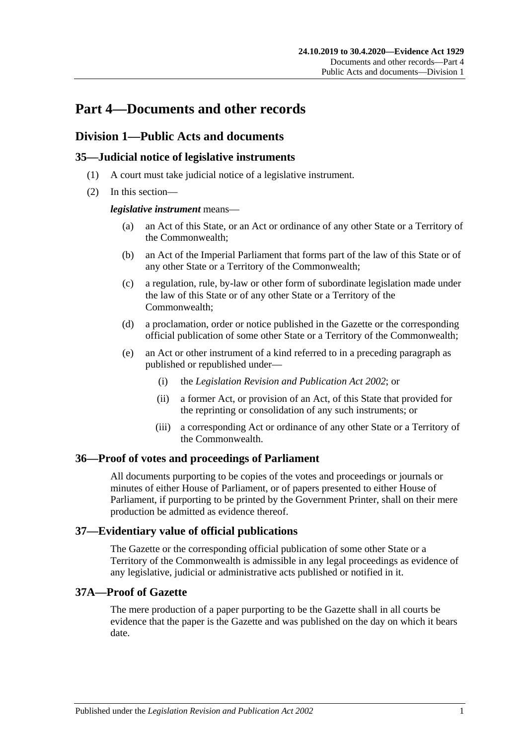# **Part 4—Documents and other records**

# **Division 1—Public Acts and documents**

# **35—Judicial notice of legislative instruments**

- (1) A court must take judicial notice of a legislative instrument.
- (2) In this section—

### *legislative instrument* means—

- (a) an Act of this State, or an Act or ordinance of any other State or a Territory of the Commonwealth;
- (b) an Act of the Imperial Parliament that forms part of the law of this State or of any other State or a Territory of the Commonwealth;
- (c) a regulation, rule, by-law or other form of subordinate legislation made under the law of this State or of any other State or a Territory of the Commonwealth;
- (d) a proclamation, order or notice published in the Gazette or the corresponding official publication of some other State or a Territory of the Commonwealth;
- (e) an Act or other instrument of a kind referred to in a preceding paragraph as published or republished under—
	- (i) the *[Legislation Revision and Publication Act](http://www.legislation.sa.gov.au/index.aspx?action=legref&type=act&legtitle=Legislation%20Revision%20and%20Publication%20Act%202002) 2002*; or
	- (ii) a former Act, or provision of an Act, of this State that provided for the reprinting or consolidation of any such instruments; or
	- (iii) a corresponding Act or ordinance of any other State or a Territory of the Commonwealth.

# **36—Proof of votes and proceedings of Parliament**

All documents purporting to be copies of the votes and proceedings or journals or minutes of either House of Parliament, or of papers presented to either House of Parliament, if purporting to be printed by the Government Printer, shall on their mere production be admitted as evidence thereof.

# **37—Evidentiary value of official publications**

The Gazette or the corresponding official publication of some other State or a Territory of the Commonwealth is admissible in any legal proceedings as evidence of any legislative, judicial or administrative acts published or notified in it.

# **37A—Proof of Gazette**

The mere production of a paper purporting to be the Gazette shall in all courts be evidence that the paper is the Gazette and was published on the day on which it bears date.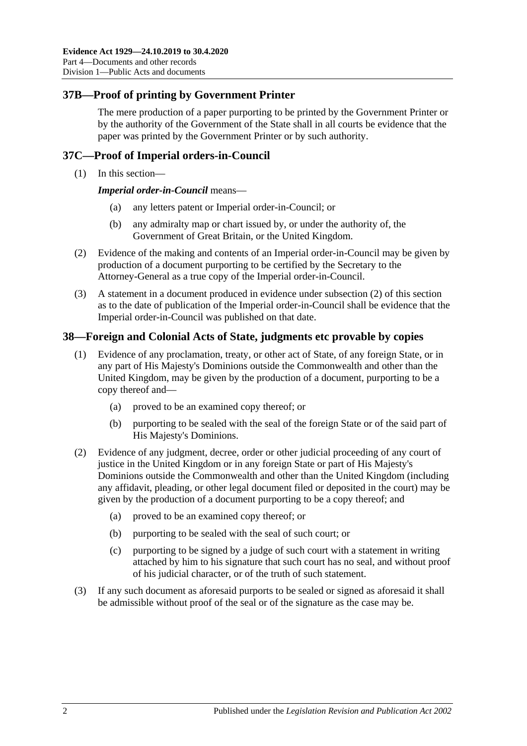# **37B—Proof of printing by Government Printer**

The mere production of a paper purporting to be printed by the Government Printer or by the authority of the Government of the State shall in all courts be evidence that the paper was printed by the Government Printer or by such authority.

# **37C—Proof of Imperial orders-in-Council**

(1) In this section—

*Imperial order-in-Council* means—

- (a) any letters patent or Imperial order-in-Council; or
- (b) any admiralty map or chart issued by, or under the authority of, the Government of Great Britain, or the United Kingdom.
- <span id="page-47-0"></span>(2) Evidence of the making and contents of an Imperial order-in-Council may be given by production of a document purporting to be certified by the Secretary to the Attorney-General as a true copy of the Imperial order-in-Council.
- (3) A statement in a document produced in evidence under [subsection](#page-47-0) (2) of this section as to the date of publication of the Imperial order-in-Council shall be evidence that the Imperial order-in-Council was published on that date.

### **38—Foreign and Colonial Acts of State, judgments etc provable by copies**

- (1) Evidence of any proclamation, treaty, or other act of State, of any foreign State, or in any part of His Majesty's Dominions outside the Commonwealth and other than the United Kingdom, may be given by the production of a document, purporting to be a copy thereof and—
	- (a) proved to be an examined copy thereof; or
	- (b) purporting to be sealed with the seal of the foreign State or of the said part of His Majesty's Dominions.
- (2) Evidence of any judgment, decree, order or other judicial proceeding of any court of justice in the United Kingdom or in any foreign State or part of His Majesty's Dominions outside the Commonwealth and other than the United Kingdom (including any affidavit, pleading, or other legal document filed or deposited in the court) may be given by the production of a document purporting to be a copy thereof; and
	- (a) proved to be an examined copy thereof; or
	- (b) purporting to be sealed with the seal of such court; or
	- (c) purporting to be signed by a judge of such court with a statement in writing attached by him to his signature that such court has no seal, and without proof of his judicial character, or of the truth of such statement.
- (3) If any such document as aforesaid purports to be sealed or signed as aforesaid it shall be admissible without proof of the seal or of the signature as the case may be.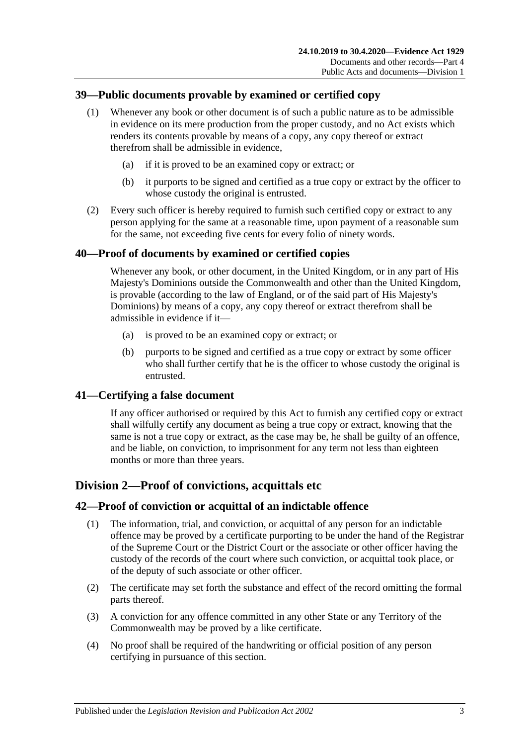# **39—Public documents provable by examined or certified copy**

- (1) Whenever any book or other document is of such a public nature as to be admissible in evidence on its mere production from the proper custody, and no Act exists which renders its contents provable by means of a copy, any copy thereof or extract therefrom shall be admissible in evidence,
	- (a) if it is proved to be an examined copy or extract; or
	- (b) it purports to be signed and certified as a true copy or extract by the officer to whose custody the original is entrusted.
- (2) Every such officer is hereby required to furnish such certified copy or extract to any person applying for the same at a reasonable time, upon payment of a reasonable sum for the same, not exceeding five cents for every folio of ninety words.

# **40—Proof of documents by examined or certified copies**

Whenever any book, or other document, in the United Kingdom, or in any part of His Majesty's Dominions outside the Commonwealth and other than the United Kingdom, is provable (according to the law of England, or of the said part of His Majesty's Dominions) by means of a copy, any copy thereof or extract therefrom shall be admissible in evidence if it—

- (a) is proved to be an examined copy or extract; or
- (b) purports to be signed and certified as a true copy or extract by some officer who shall further certify that he is the officer to whose custody the original is entrusted.

# **41—Certifying a false document**

If any officer authorised or required by this Act to furnish any certified copy or extract shall wilfully certify any document as being a true copy or extract, knowing that the same is not a true copy or extract, as the case may be, he shall be guilty of an offence, and be liable, on conviction, to imprisonment for any term not less than eighteen months or more than three years.

# **Division 2—Proof of convictions, acquittals etc**

# **42—Proof of conviction or acquittal of an indictable offence**

- (1) The information, trial, and conviction, or acquittal of any person for an indictable offence may be proved by a certificate purporting to be under the hand of the Registrar of the Supreme Court or the District Court or the associate or other officer having the custody of the records of the court where such conviction, or acquittal took place, or of the deputy of such associate or other officer.
- (2) The certificate may set forth the substance and effect of the record omitting the formal parts thereof.
- (3) A conviction for any offence committed in any other State or any Territory of the Commonwealth may be proved by a like certificate.
- (4) No proof shall be required of the handwriting or official position of any person certifying in pursuance of this section.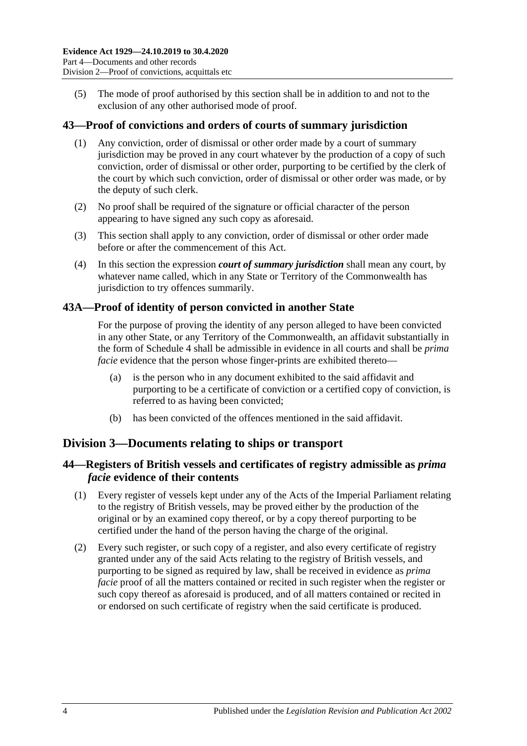(5) The mode of proof authorised by this section shall be in addition to and not to the exclusion of any other authorised mode of proof.

# **43—Proof of convictions and orders of courts of summary jurisdiction**

- (1) Any conviction, order of dismissal or other order made by a court of summary jurisdiction may be proved in any court whatever by the production of a copy of such conviction, order of dismissal or other order, purporting to be certified by the clerk of the court by which such conviction, order of dismissal or other order was made, or by the deputy of such clerk.
- (2) No proof shall be required of the signature or official character of the person appearing to have signed any such copy as aforesaid.
- (3) This section shall apply to any conviction, order of dismissal or other order made before or after the commencement of this Act.
- (4) In this section the expression *court of summary jurisdiction* shall mean any court, by whatever name called, which in any State or Territory of the Commonwealth has jurisdiction to try offences summarily.

### **43A—Proof of identity of person convicted in another State**

For the purpose of proving the identity of any person alleged to have been convicted in any other State, or any Territory of the Commonwealth, an affidavit substantially in the form of [Schedule 4](#page-97-0) shall be admissible in evidence in all courts and shall be *prima facie* evidence that the person whose finger-prints are exhibited thereto—

- (a) is the person who in any document exhibited to the said affidavit and purporting to be a certificate of conviction or a certified copy of conviction, is referred to as having been convicted;
- (b) has been convicted of the offences mentioned in the said affidavit.

# **Division 3—Documents relating to ships or transport**

# **44—Registers of British vessels and certificates of registry admissible as** *prima facie* **evidence of their contents**

- (1) Every register of vessels kept under any of the Acts of the Imperial Parliament relating to the registry of British vessels, may be proved either by the production of the original or by an examined copy thereof, or by a copy thereof purporting to be certified under the hand of the person having the charge of the original.
- (2) Every such register, or such copy of a register, and also every certificate of registry granted under any of the said Acts relating to the registry of British vessels, and purporting to be signed as required by law, shall be received in evidence as *prima facie* proof of all the matters contained or recited in such register when the register or such copy thereof as aforesaid is produced, and of all matters contained or recited in or endorsed on such certificate of registry when the said certificate is produced.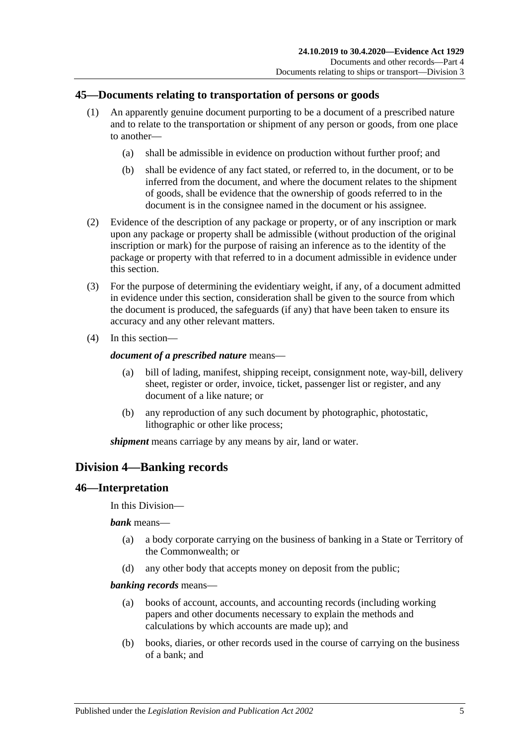# **45—Documents relating to transportation of persons or goods**

- (1) An apparently genuine document purporting to be a document of a prescribed nature and to relate to the transportation or shipment of any person or goods, from one place to another—
	- (a) shall be admissible in evidence on production without further proof; and
	- (b) shall be evidence of any fact stated, or referred to, in the document, or to be inferred from the document, and where the document relates to the shipment of goods, shall be evidence that the ownership of goods referred to in the document is in the consignee named in the document or his assignee.
- (2) Evidence of the description of any package or property, or of any inscription or mark upon any package or property shall be admissible (without production of the original inscription or mark) for the purpose of raising an inference as to the identity of the package or property with that referred to in a document admissible in evidence under this section.
- (3) For the purpose of determining the evidentiary weight, if any, of a document admitted in evidence under this section, consideration shall be given to the source from which the document is produced, the safeguards (if any) that have been taken to ensure its accuracy and any other relevant matters.
- (4) In this section—

### *document of a prescribed nature* means—

- (a) bill of lading, manifest, shipping receipt, consignment note, way-bill, delivery sheet, register or order, invoice, ticket, passenger list or register, and any document of a like nature; or
- (b) any reproduction of any such document by photographic, photostatic, lithographic or other like process;

*shipment* means carriage by any means by air, land or water.

# **Division 4—Banking records**

# **46—Interpretation**

In this Division—

*bank* means—

- (a) a body corporate carrying on the business of banking in a State or Territory of the Commonwealth; or
- (d) any other body that accepts money on deposit from the public;

### *banking records* means—

- (a) books of account, accounts, and accounting records (including working papers and other documents necessary to explain the methods and calculations by which accounts are made up); and
- (b) books, diaries, or other records used in the course of carrying on the business of a bank; and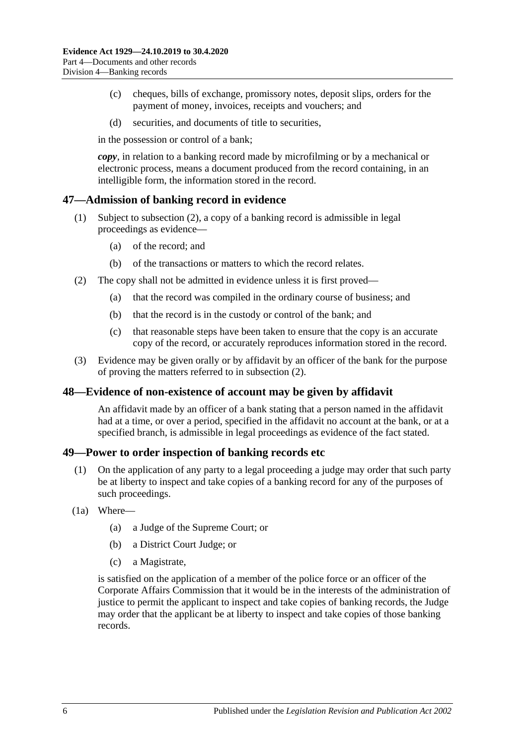- (c) cheques, bills of exchange, promissory notes, deposit slips, orders for the payment of money, invoices, receipts and vouchers; and
- (d) securities, and documents of title to securities,

in the possession or control of a bank;

*copy*, in relation to a banking record made by microfilming or by a mechanical or electronic process, means a document produced from the record containing, in an intelligible form, the information stored in the record.

### **47—Admission of banking record in evidence**

- (1) Subject to [subsection](#page-51-0) (2), a copy of a banking record is admissible in legal proceedings as evidence—
	- (a) of the record; and
	- (b) of the transactions or matters to which the record relates.
- <span id="page-51-0"></span>(2) The copy shall not be admitted in evidence unless it is first proved—
	- (a) that the record was compiled in the ordinary course of business; and
	- (b) that the record is in the custody or control of the bank; and
	- (c) that reasonable steps have been taken to ensure that the copy is an accurate copy of the record, or accurately reproduces information stored in the record.
- (3) Evidence may be given orally or by affidavit by an officer of the bank for the purpose of proving the matters referred to in [subsection](#page-51-0) (2).

### **48—Evidence of non-existence of account may be given by affidavit**

An affidavit made by an officer of a bank stating that a person named in the affidavit had at a time, or over a period, specified in the affidavit no account at the bank, or at a specified branch, is admissible in legal proceedings as evidence of the fact stated.

### **49—Power to order inspection of banking records etc**

- (1) On the application of any party to a legal proceeding a judge may order that such party be at liberty to inspect and take copies of a banking record for any of the purposes of such proceedings.
- <span id="page-51-1"></span>(1a) Where—
	- (a) a Judge of the Supreme Court; or
	- (b) a District Court Judge; or
	- (c) a Magistrate,

is satisfied on the application of a member of the police force or an officer of the Corporate Affairs Commission that it would be in the interests of the administration of justice to permit the applicant to inspect and take copies of banking records, the Judge may order that the applicant be at liberty to inspect and take copies of those banking records.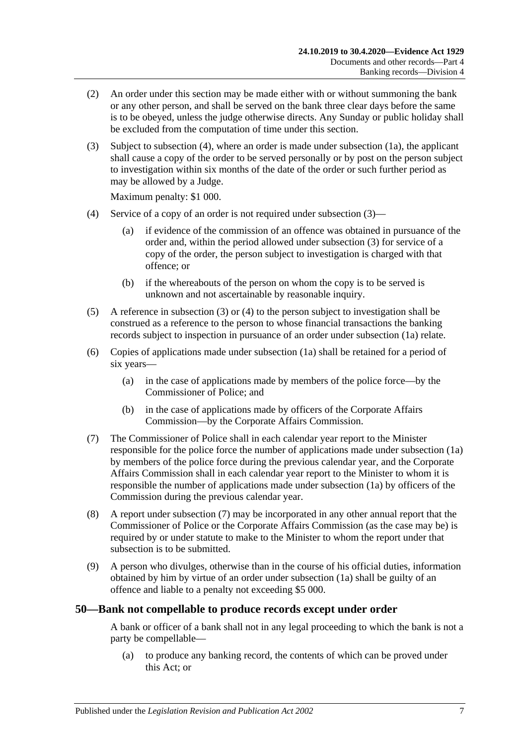- (2) An order under this section may be made either with or without summoning the bank or any other person, and shall be served on the bank three clear days before the same is to be obeyed, unless the judge otherwise directs. Any Sunday or public holiday shall be excluded from the computation of time under this section.
- <span id="page-52-1"></span>(3) Subject to [subsection](#page-52-0) (4), where an order is made under [subsection](#page-51-1) (1a), the applicant shall cause a copy of the order to be served personally or by post on the person subject to investigation within six months of the date of the order or such further period as may be allowed by a Judge.

Maximum penalty: \$1 000.

- <span id="page-52-0"></span>(4) Service of a copy of an order is not required under [subsection](#page-52-1) (3)—
	- (a) if evidence of the commission of an offence was obtained in pursuance of the order and, within the period allowed under [subsection](#page-52-1) (3) for service of a copy of the order, the person subject to investigation is charged with that offence; or
	- (b) if the whereabouts of the person on whom the copy is to be served is unknown and not ascertainable by reasonable inquiry.
- (5) A reference in [subsection](#page-52-1) (3) or [\(4\)](#page-52-0) to the person subject to investigation shall be construed as a reference to the person to whose financial transactions the banking records subject to inspection in pursuance of an order under [subsection](#page-51-1) (1a) relate.
- (6) Copies of applications made under [subsection](#page-51-1) (1a) shall be retained for a period of six years—
	- (a) in the case of applications made by members of the police force—by the Commissioner of Police; and
	- (b) in the case of applications made by officers of the Corporate Affairs Commission—by the Corporate Affairs Commission.
- <span id="page-52-2"></span>(7) The Commissioner of Police shall in each calendar year report to the Minister responsible for the police force the number of applications made under [subsection](#page-51-1) (1a) by members of the police force during the previous calendar year, and the Corporate Affairs Commission shall in each calendar year report to the Minister to whom it is responsible the number of applications made under [subsection](#page-51-1) (1a) by officers of the Commission during the previous calendar year.
- (8) A report under [subsection](#page-52-2) (7) may be incorporated in any other annual report that the Commissioner of Police or the Corporate Affairs Commission (as the case may be) is required by or under statute to make to the Minister to whom the report under that subsection is to be submitted.
- (9) A person who divulges, otherwise than in the course of his official duties, information obtained by him by virtue of an order under [subsection](#page-51-1) (1a) shall be guilty of an offence and liable to a penalty not exceeding \$5 000.

### **50—Bank not compellable to produce records except under order**

A bank or officer of a bank shall not in any legal proceeding to which the bank is not a party be compellable—

(a) to produce any banking record, the contents of which can be proved under this Act; or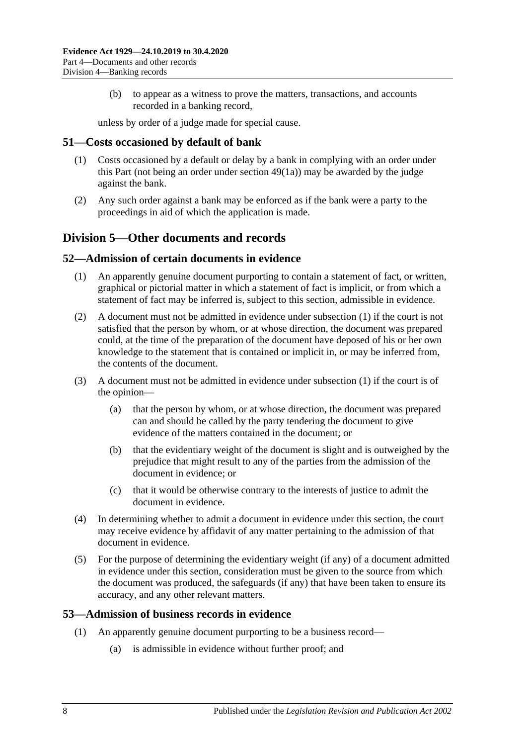(b) to appear as a witness to prove the matters, transactions, and accounts recorded in a banking record,

unless by order of a judge made for special cause.

### **51—Costs occasioned by default of bank**

- (1) Costs occasioned by a default or delay by a bank in complying with an order under this Part (not being an order under [section](#page-51-1) 49(1a)) may be awarded by the judge against the bank.
- (2) Any such order against a bank may be enforced as if the bank were a party to the proceedings in aid of which the application is made.

# **Division 5—Other documents and records**

### <span id="page-53-0"></span>**52—Admission of certain documents in evidence**

- (1) An apparently genuine document purporting to contain a statement of fact, or written, graphical or pictorial matter in which a statement of fact is implicit, or from which a statement of fact may be inferred is, subject to this section, admissible in evidence.
- (2) A document must not be admitted in evidence under [subsection](#page-53-0) (1) if the court is not satisfied that the person by whom, or at whose direction, the document was prepared could, at the time of the preparation of the document have deposed of his or her own knowledge to the statement that is contained or implicit in, or may be inferred from, the contents of the document.
- (3) A document must not be admitted in evidence under [subsection](#page-53-0) (1) if the court is of the opinion—
	- (a) that the person by whom, or at whose direction, the document was prepared can and should be called by the party tendering the document to give evidence of the matters contained in the document; or
	- (b) that the evidentiary weight of the document is slight and is outweighed by the prejudice that might result to any of the parties from the admission of the document in evidence; or
	- (c) that it would be otherwise contrary to the interests of justice to admit the document in evidence.
- (4) In determining whether to admit a document in evidence under this section, the court may receive evidence by affidavit of any matter pertaining to the admission of that document in evidence.
- (5) For the purpose of determining the evidentiary weight (if any) of a document admitted in evidence under this section, consideration must be given to the source from which the document was produced, the safeguards (if any) that have been taken to ensure its accuracy, and any other relevant matters.

# <span id="page-53-1"></span>**53—Admission of business records in evidence**

- (1) An apparently genuine document purporting to be a business record—
	- (a) is admissible in evidence without further proof; and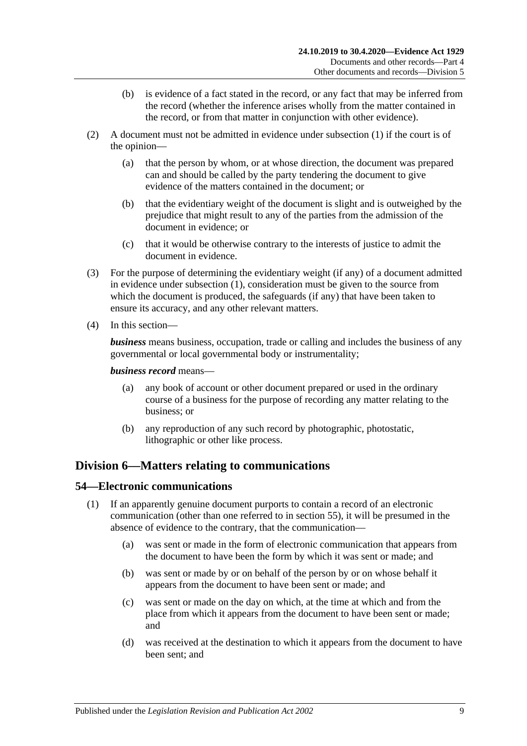- (b) is evidence of a fact stated in the record, or any fact that may be inferred from the record (whether the inference arises wholly from the matter contained in the record, or from that matter in conjunction with other evidence).
- (2) A document must not be admitted in evidence under [subsection](#page-53-1) (1) if the court is of the opinion—
	- (a) that the person by whom, or at whose direction, the document was prepared can and should be called by the party tendering the document to give evidence of the matters contained in the document; or
	- (b) that the evidentiary weight of the document is slight and is outweighed by the prejudice that might result to any of the parties from the admission of the document in evidence; or
	- (c) that it would be otherwise contrary to the interests of justice to admit the document in evidence.
- (3) For the purpose of determining the evidentiary weight (if any) of a document admitted in evidence under [subsection](#page-53-1) (1), consideration must be given to the source from which the document is produced, the safeguards (if any) that have been taken to ensure its accuracy, and any other relevant matters.
- (4) In this section—

*business* means business, occupation, trade or calling and includes the business of any governmental or local governmental body or instrumentality;

#### *business record* means—

- (a) any book of account or other document prepared or used in the ordinary course of a business for the purpose of recording any matter relating to the business; or
- (b) any reproduction of any such record by photographic, photostatic, lithographic or other like process.

# **Division 6—Matters relating to communications**

### <span id="page-54-0"></span>**54—Electronic communications**

- (1) If an apparently genuine document purports to contain a record of an electronic communication (other than one referred to in [section](#page-55-0) 55), it will be presumed in the absence of evidence to the contrary, that the communication—
	- (a) was sent or made in the form of electronic communication that appears from the document to have been the form by which it was sent or made; and
	- (b) was sent or made by or on behalf of the person by or on whose behalf it appears from the document to have been sent or made; and
	- (c) was sent or made on the day on which, at the time at which and from the place from which it appears from the document to have been sent or made; and
	- (d) was received at the destination to which it appears from the document to have been sent; and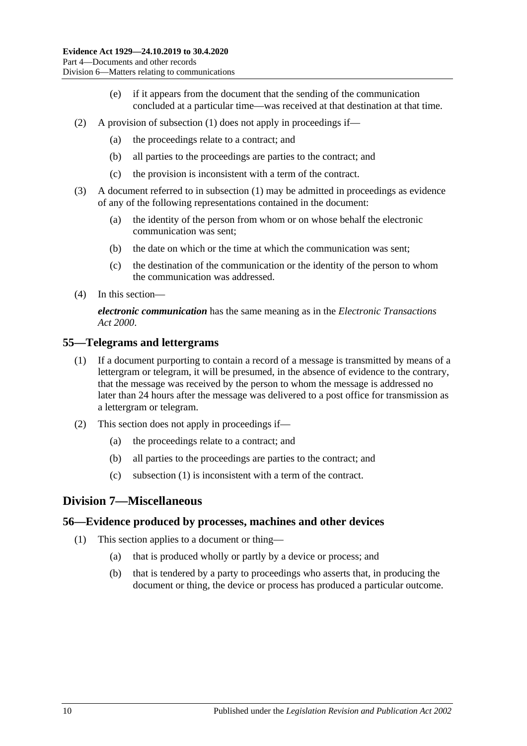- (e) if it appears from the document that the sending of the communication concluded at a particular time—was received at that destination at that time.
- (2) A provision of [subsection](#page-54-0) (1) does not apply in proceedings if—
	- (a) the proceedings relate to a contract; and
	- (b) all parties to the proceedings are parties to the contract; and
	- (c) the provision is inconsistent with a term of the contract.
- (3) A document referred to in [subsection](#page-54-0) (1) may be admitted in proceedings as evidence of any of the following representations contained in the document:
	- (a) the identity of the person from whom or on whose behalf the electronic communication was sent;
	- (b) the date on which or the time at which the communication was sent;
	- (c) the destination of the communication or the identity of the person to whom the communication was addressed.
- (4) In this section—

*electronic communication* has the same meaning as in the *[Electronic Transactions](http://www.legislation.sa.gov.au/index.aspx?action=legref&type=act&legtitle=Electronic%20Transactions%20Act%202000)  Act [2000](http://www.legislation.sa.gov.au/index.aspx?action=legref&type=act&legtitle=Electronic%20Transactions%20Act%202000)*.

### <span id="page-55-1"></span><span id="page-55-0"></span>**55—Telegrams and lettergrams**

- (1) If a document purporting to contain a record of a message is transmitted by means of a lettergram or telegram, it will be presumed, in the absence of evidence to the contrary, that the message was received by the person to whom the message is addressed no later than 24 hours after the message was delivered to a post office for transmission as a lettergram or telegram.
- (2) This section does not apply in proceedings if—
	- (a) the proceedings relate to a contract; and
	- (b) all parties to the proceedings are parties to the contract; and
	- (c) [subsection \(1\)](#page-55-1) is inconsistent with a term of the contract.

# **Division 7—Miscellaneous**

### **56—Evidence produced by processes, machines and other devices**

- (1) This section applies to a document or thing—
	- (a) that is produced wholly or partly by a device or process; and
	- (b) that is tendered by a party to proceedings who asserts that, in producing the document or thing, the device or process has produced a particular outcome.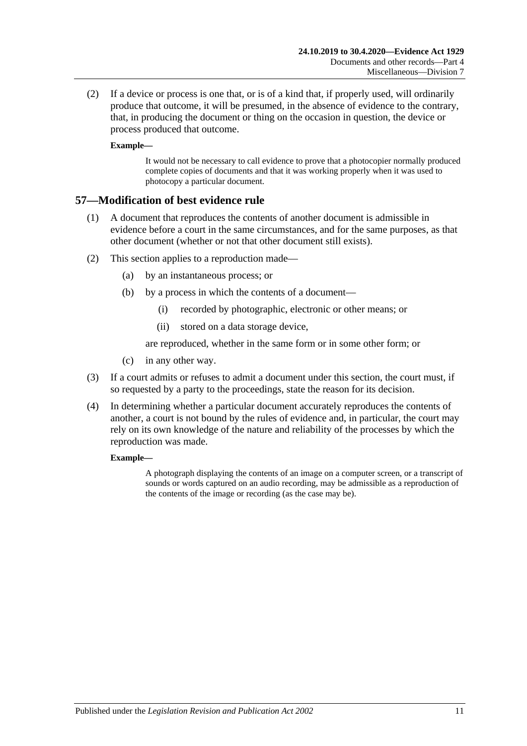(2) If a device or process is one that, or is of a kind that, if properly used, will ordinarily produce that outcome, it will be presumed, in the absence of evidence to the contrary, that, in producing the document or thing on the occasion in question, the device or process produced that outcome.

### **Example—**

It would not be necessary to call evidence to prove that a photocopier normally produced complete copies of documents and that it was working properly when it was used to photocopy a particular document.

### **57—Modification of best evidence rule**

- (1) A document that reproduces the contents of another document is admissible in evidence before a court in the same circumstances, and for the same purposes, as that other document (whether or not that other document still exists).
- (2) This section applies to a reproduction made—
	- (a) by an instantaneous process; or
	- (b) by a process in which the contents of a document—
		- (i) recorded by photographic, electronic or other means; or
		- (ii) stored on a data storage device,

are reproduced, whether in the same form or in some other form; or

- (c) in any other way.
- (3) If a court admits or refuses to admit a document under this section, the court must, if so requested by a party to the proceedings, state the reason for its decision.
- (4) In determining whether a particular document accurately reproduces the contents of another, a court is not bound by the rules of evidence and, in particular, the court may rely on its own knowledge of the nature and reliability of the processes by which the reproduction was made.

#### **Example—**

A photograph displaying the contents of an image on a computer screen, or a transcript of sounds or words captured on an audio recording, may be admissible as a reproduction of the contents of the image or recording (as the case may be).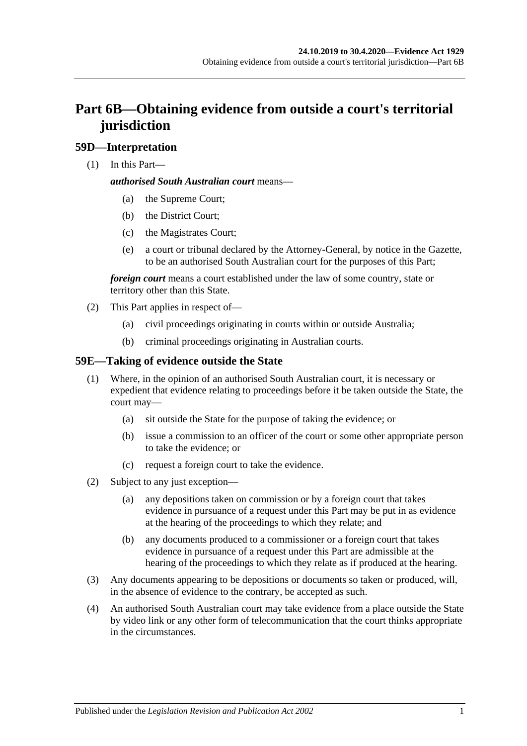# **Part 6B—Obtaining evidence from outside a court's territorial jurisdiction**

# **59D—Interpretation**

(1) In this Part—

### *authorised South Australian court* means—

- (a) the Supreme Court;
- (b) the District Court;
- (c) the Magistrates Court;
- (e) a court or tribunal declared by the Attorney-General, by notice in the Gazette, to be an authorised South Australian court for the purposes of this Part;

*foreign court* means a court established under the law of some country, state or territory other than this State.

- (2) This Part applies in respect of—
	- (a) civil proceedings originating in courts within or outside Australia;
	- (b) criminal proceedings originating in Australian courts.

# **59E—Taking of evidence outside the State**

- (1) Where, in the opinion of an authorised South Australian court, it is necessary or expedient that evidence relating to proceedings before it be taken outside the State, the court may—
	- (a) sit outside the State for the purpose of taking the evidence; or
	- (b) issue a commission to an officer of the court or some other appropriate person to take the evidence; or
	- (c) request a foreign court to take the evidence.
- (2) Subject to any just exception—
	- (a) any depositions taken on commission or by a foreign court that takes evidence in pursuance of a request under this Part may be put in as evidence at the hearing of the proceedings to which they relate; and
	- (b) any documents produced to a commissioner or a foreign court that takes evidence in pursuance of a request under this Part are admissible at the hearing of the proceedings to which they relate as if produced at the hearing.
- (3) Any documents appearing to be depositions or documents so taken or produced, will, in the absence of evidence to the contrary, be accepted as such.
- (4) An authorised South Australian court may take evidence from a place outside the State by video link or any other form of telecommunication that the court thinks appropriate in the circumstances.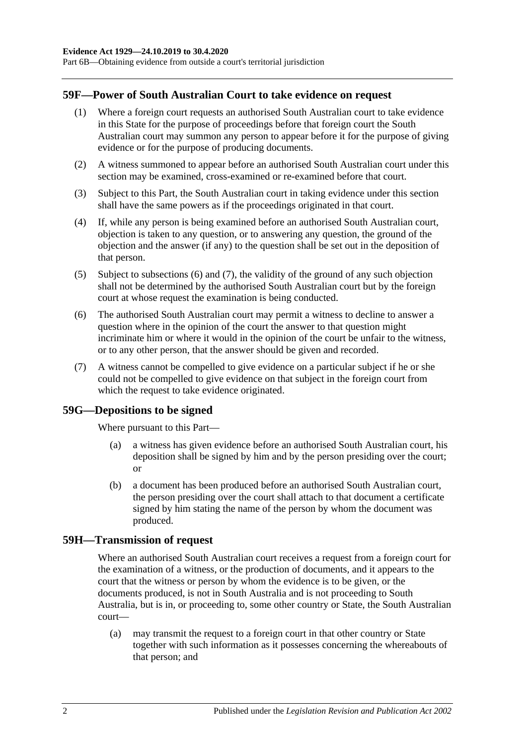Part 6B—Obtaining evidence from outside a court's territorial jurisdiction

### **59F—Power of South Australian Court to take evidence on request**

- (1) Where a foreign court requests an authorised South Australian court to take evidence in this State for the purpose of proceedings before that foreign court the South Australian court may summon any person to appear before it for the purpose of giving evidence or for the purpose of producing documents.
- (2) A witness summoned to appear before an authorised South Australian court under this section may be examined, cross-examined or re-examined before that court.
- (3) Subject to this Part, the South Australian court in taking evidence under this section shall have the same powers as if the proceedings originated in that court.
- (4) If, while any person is being examined before an authorised South Australian court, objection is taken to any question, or to answering any question, the ground of the objection and the answer (if any) to the question shall be set out in the deposition of that person.
- (5) Subject to [subsections](#page-59-0) (6) and [\(7\),](#page-59-1) the validity of the ground of any such objection shall not be determined by the authorised South Australian court but by the foreign court at whose request the examination is being conducted.
- <span id="page-59-0"></span>(6) The authorised South Australian court may permit a witness to decline to answer a question where in the opinion of the court the answer to that question might incriminate him or where it would in the opinion of the court be unfair to the witness, or to any other person, that the answer should be given and recorded.
- <span id="page-59-1"></span>(7) A witness cannot be compelled to give evidence on a particular subject if he or she could not be compelled to give evidence on that subject in the foreign court from which the request to take evidence originated.

### **59G—Depositions to be signed**

Where pursuant to this Part—

- (a) a witness has given evidence before an authorised South Australian court, his deposition shall be signed by him and by the person presiding over the court; or
- (b) a document has been produced before an authorised South Australian court, the person presiding over the court shall attach to that document a certificate signed by him stating the name of the person by whom the document was produced.

#### **59H—Transmission of request**

Where an authorised South Australian court receives a request from a foreign court for the examination of a witness, or the production of documents, and it appears to the court that the witness or person by whom the evidence is to be given, or the documents produced, is not in South Australia and is not proceeding to South Australia, but is in, or proceeding to, some other country or State, the South Australian court—

(a) may transmit the request to a foreign court in that other country or State together with such information as it possesses concerning the whereabouts of that person; and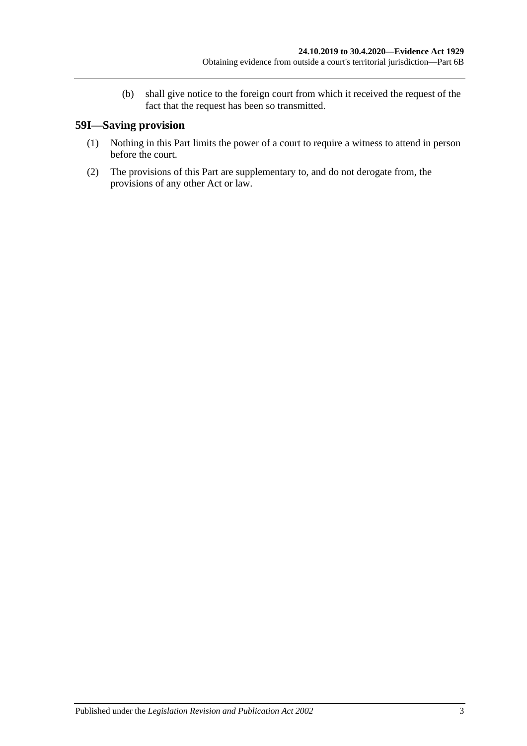(b) shall give notice to the foreign court from which it received the request of the fact that the request has been so transmitted.

# **59I—Saving provision**

- (1) Nothing in this Part limits the power of a court to require a witness to attend in person before the court.
- (2) The provisions of this Part are supplementary to, and do not derogate from, the provisions of any other Act or law.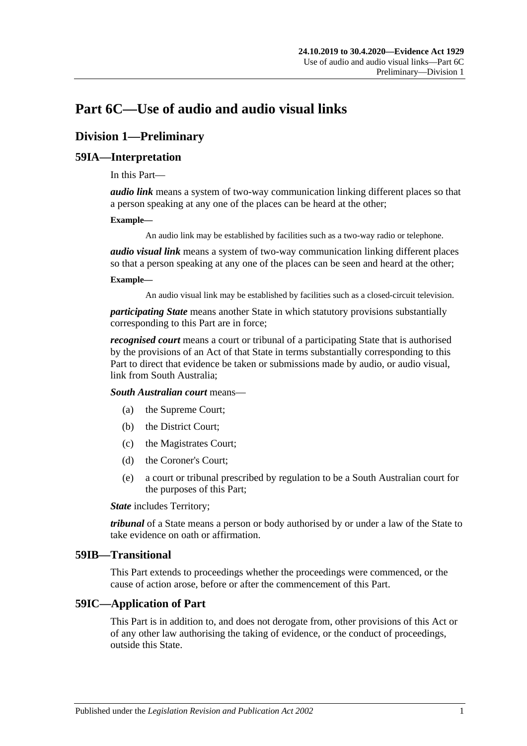# **Part 6C—Use of audio and audio visual links**

# **Division 1—Preliminary**

# **59IA—Interpretation**

In this Part—

*audio link* means a system of two-way communication linking different places so that a person speaking at any one of the places can be heard at the other;

#### **Example—**

An audio link may be established by facilities such as a two-way radio or telephone.

*audio visual link* means a system of two-way communication linking different places so that a person speaking at any one of the places can be seen and heard at the other;

#### **Example—**

An audio visual link may be established by facilities such as a closed-circuit television.

*participating State* means another State in which statutory provisions substantially corresponding to this Part are in force;

*recognised court* means a court or tribunal of a participating State that is authorised by the provisions of an Act of that State in terms substantially corresponding to this Part to direct that evidence be taken or submissions made by audio, or audio visual, link from South Australia;

*South Australian court* means—

- (a) the Supreme Court;
- (b) the District Court;
- (c) the Magistrates Court;
- (d) the Coroner's Court;
- (e) a court or tribunal prescribed by regulation to be a South Australian court for the purposes of this Part;

*State* includes Territory;

*tribunal* of a State means a person or body authorised by or under a law of the State to take evidence on oath or affirmation.

### **59IB—Transitional**

This Part extends to proceedings whether the proceedings were commenced, or the cause of action arose, before or after the commencement of this Part.

# **59IC—Application of Part**

This Part is in addition to, and does not derogate from, other provisions of this Act or of any other law authorising the taking of evidence, or the conduct of proceedings, outside this State.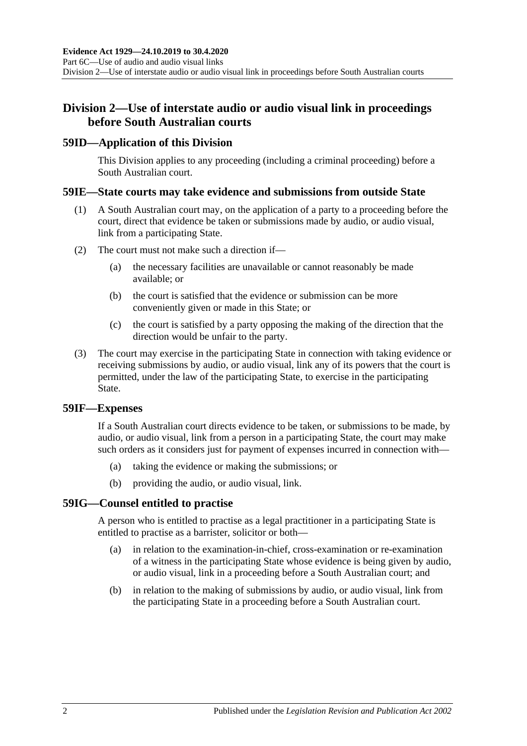# **Division 2—Use of interstate audio or audio visual link in proceedings before South Australian courts**

# **59ID—Application of this Division**

This Division applies to any proceeding (including a criminal proceeding) before a South Australian court.

### **59IE—State courts may take evidence and submissions from outside State**

- (1) A South Australian court may, on the application of a party to a proceeding before the court, direct that evidence be taken or submissions made by audio, or audio visual, link from a participating State.
- (2) The court must not make such a direction if—
	- (a) the necessary facilities are unavailable or cannot reasonably be made available; or
	- (b) the court is satisfied that the evidence or submission can be more conveniently given or made in this State; or
	- (c) the court is satisfied by a party opposing the making of the direction that the direction would be unfair to the party.
- (3) The court may exercise in the participating State in connection with taking evidence or receiving submissions by audio, or audio visual, link any of its powers that the court is permitted, under the law of the participating State, to exercise in the participating State.

### **59IF—Expenses**

If a South Australian court directs evidence to be taken, or submissions to be made, by audio, or audio visual, link from a person in a participating State, the court may make such orders as it considers just for payment of expenses incurred in connection with—

- (a) taking the evidence or making the submissions; or
- (b) providing the audio, or audio visual, link.

# **59IG—Counsel entitled to practise**

A person who is entitled to practise as a legal practitioner in a participating State is entitled to practise as a barrister, solicitor or both—

- (a) in relation to the examination-in-chief, cross-examination or re-examination of a witness in the participating State whose evidence is being given by audio, or audio visual, link in a proceeding before a South Australian court; and
- (b) in relation to the making of submissions by audio, or audio visual, link from the participating State in a proceeding before a South Australian court.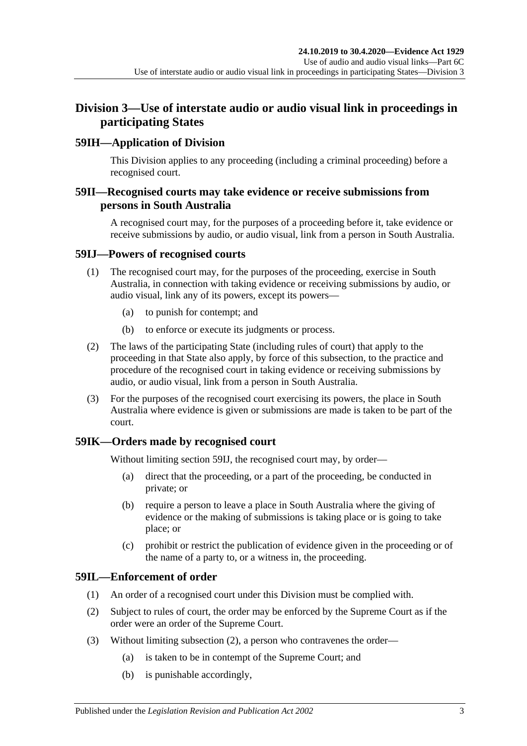# **Division 3—Use of interstate audio or audio visual link in proceedings in participating States**

# **59IH—Application of Division**

This Division applies to any proceeding (including a criminal proceeding) before a recognised court.

# **59II—Recognised courts may take evidence or receive submissions from persons in South Australia**

A recognised court may, for the purposes of a proceeding before it, take evidence or receive submissions by audio, or audio visual, link from a person in South Australia.

### <span id="page-64-0"></span>**59IJ—Powers of recognised courts**

- (1) The recognised court may, for the purposes of the proceeding, exercise in South Australia, in connection with taking evidence or receiving submissions by audio, or audio visual, link any of its powers, except its powers—
	- (a) to punish for contempt; and
	- (b) to enforce or execute its judgments or process.
- (2) The laws of the participating State (including rules of court) that apply to the proceeding in that State also apply, by force of this subsection, to the practice and procedure of the recognised court in taking evidence or receiving submissions by audio, or audio visual, link from a person in South Australia.
- (3) For the purposes of the recognised court exercising its powers, the place in South Australia where evidence is given or submissions are made is taken to be part of the court.

# **59IK—Orders made by recognised court**

Without limiting [section](#page-64-0) 59IJ, the recognised court may, by order—

- (a) direct that the proceeding, or a part of the proceeding, be conducted in private; or
- (b) require a person to leave a place in South Australia where the giving of evidence or the making of submissions is taking place or is going to take place; or
- (c) prohibit or restrict the publication of evidence given in the proceeding or of the name of a party to, or a witness in, the proceeding.

# **59IL—Enforcement of order**

- (1) An order of a recognised court under this Division must be complied with.
- <span id="page-64-1"></span>(2) Subject to rules of court, the order may be enforced by the Supreme Court as if the order were an order of the Supreme Court.
- (3) Without limiting [subsection](#page-64-1) (2), a person who contravenes the order—
	- (a) is taken to be in contempt of the Supreme Court; and
	- (b) is punishable accordingly,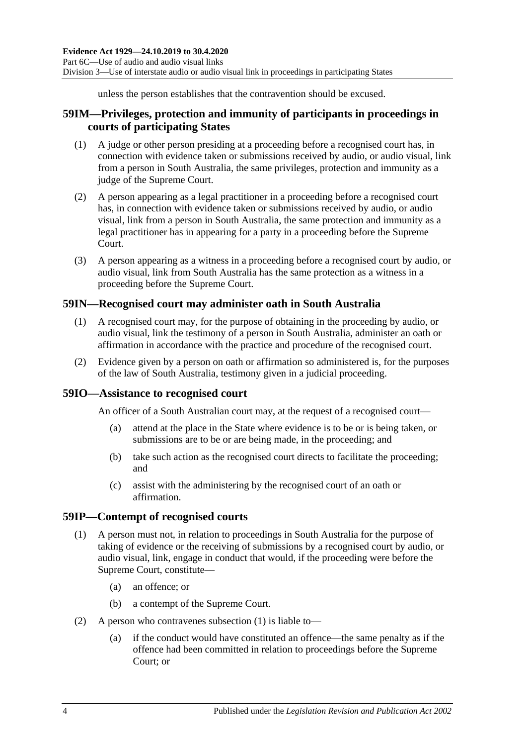unless the person establishes that the contravention should be excused.

# **59IM—Privileges, protection and immunity of participants in proceedings in courts of participating States**

- (1) A judge or other person presiding at a proceeding before a recognised court has, in connection with evidence taken or submissions received by audio, or audio visual, link from a person in South Australia, the same privileges, protection and immunity as a judge of the Supreme Court.
- (2) A person appearing as a legal practitioner in a proceeding before a recognised court has, in connection with evidence taken or submissions received by audio, or audio visual, link from a person in South Australia, the same protection and immunity as a legal practitioner has in appearing for a party in a proceeding before the Supreme Court.
- (3) A person appearing as a witness in a proceeding before a recognised court by audio, or audio visual, link from South Australia has the same protection as a witness in a proceeding before the Supreme Court.

# **59IN—Recognised court may administer oath in South Australia**

- (1) A recognised court may, for the purpose of obtaining in the proceeding by audio, or audio visual, link the testimony of a person in South Australia, administer an oath or affirmation in accordance with the practice and procedure of the recognised court.
- (2) Evidence given by a person on oath or affirmation so administered is, for the purposes of the law of South Australia, testimony given in a judicial proceeding.

# **59IO—Assistance to recognised court**

An officer of a South Australian court may, at the request of a recognised court—

- (a) attend at the place in the State where evidence is to be or is being taken, or submissions are to be or are being made, in the proceeding; and
- (b) take such action as the recognised court directs to facilitate the proceeding; and
- (c) assist with the administering by the recognised court of an oath or affirmation.

### <span id="page-65-0"></span>**59IP—Contempt of recognised courts**

- (1) A person must not, in relation to proceedings in South Australia for the purpose of taking of evidence or the receiving of submissions by a recognised court by audio, or audio visual, link, engage in conduct that would, if the proceeding were before the Supreme Court, constitute—
	- (a) an offence; or
	- (b) a contempt of the Supreme Court.
- (2) A person who contravenes [subsection](#page-65-0) (1) is liable to—
	- (a) if the conduct would have constituted an offence—the same penalty as if the offence had been committed in relation to proceedings before the Supreme Court; or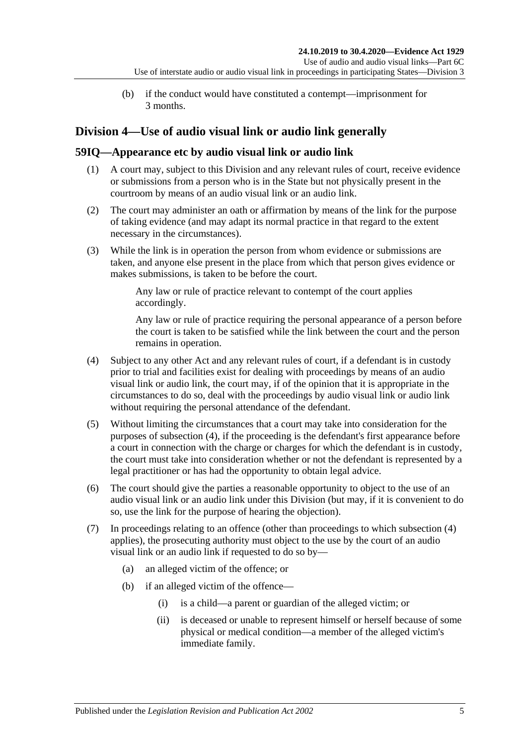(b) if the conduct would have constituted a contempt—imprisonment for 3 months.

# **Division 4—Use of audio visual link or audio link generally**

# **59IQ—Appearance etc by audio visual link or audio link**

- (1) A court may, subject to this Division and any relevant rules of court, receive evidence or submissions from a person who is in the State but not physically present in the courtroom by means of an audio visual link or an audio link.
- (2) The court may administer an oath or affirmation by means of the link for the purpose of taking evidence (and may adapt its normal practice in that regard to the extent necessary in the circumstances).
- (3) While the link is in operation the person from whom evidence or submissions are taken, and anyone else present in the place from which that person gives evidence or makes submissions, is taken to be before the court.

Any law or rule of practice relevant to contempt of the court applies accordingly.

Any law or rule of practice requiring the personal appearance of a person before the court is taken to be satisfied while the link between the court and the person remains in operation.

- <span id="page-66-0"></span>(4) Subject to any other Act and any relevant rules of court, if a defendant is in custody prior to trial and facilities exist for dealing with proceedings by means of an audio visual link or audio link, the court may, if of the opinion that it is appropriate in the circumstances to do so, deal with the proceedings by audio visual link or audio link without requiring the personal attendance of the defendant.
- (5) Without limiting the circumstances that a court may take into consideration for the purposes of [subsection](#page-66-0) (4), if the proceeding is the defendant's first appearance before a court in connection with the charge or charges for which the defendant is in custody, the court must take into consideration whether or not the defendant is represented by a legal practitioner or has had the opportunity to obtain legal advice.
- (6) The court should give the parties a reasonable opportunity to object to the use of an audio visual link or an audio link under this Division (but may, if it is convenient to do so, use the link for the purpose of hearing the objection).
- <span id="page-66-1"></span>(7) In proceedings relating to an offence (other than proceedings to which subsection (4) applies), the prosecuting authority must object to the use by the court of an audio visual link or an audio link if requested to do so by—
	- (a) an alleged victim of the offence; or
	- (b) if an alleged victim of the offence—
		- (i) is a child—a parent or guardian of the alleged victim; or
		- (ii) is deceased or unable to represent himself or herself because of some physical or medical condition—a member of the alleged victim's immediate family.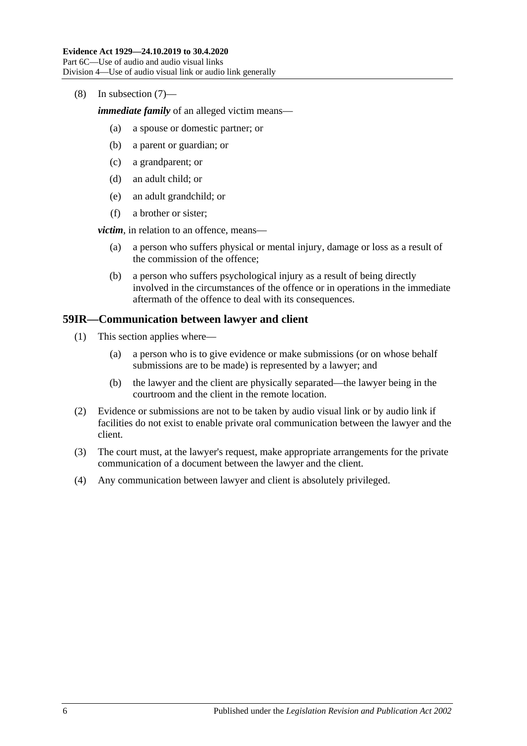(8) In [subsection](#page-66-1) (7)—

*immediate family* of an alleged victim means—

- (a) a spouse or domestic partner; or
- (b) a parent or guardian; or
- (c) a grandparent; or
- (d) an adult child; or
- (e) an adult grandchild; or
- (f) a brother or sister;

*victim*, in relation to an offence, means—

- (a) a person who suffers physical or mental injury, damage or loss as a result of the commission of the offence;
- (b) a person who suffers psychological injury as a result of being directly involved in the circumstances of the offence or in operations in the immediate aftermath of the offence to deal with its consequences.

# **59IR—Communication between lawyer and client**

- (1) This section applies where—
	- (a) a person who is to give evidence or make submissions (or on whose behalf submissions are to be made) is represented by a lawyer; and
	- (b) the lawyer and the client are physically separated—the lawyer being in the courtroom and the client in the remote location.
- (2) Evidence or submissions are not to be taken by audio visual link or by audio link if facilities do not exist to enable private oral communication between the lawyer and the client.
- (3) The court must, at the lawyer's request, make appropriate arrangements for the private communication of a document between the lawyer and the client.
- (4) Any communication between lawyer and client is absolutely privileged.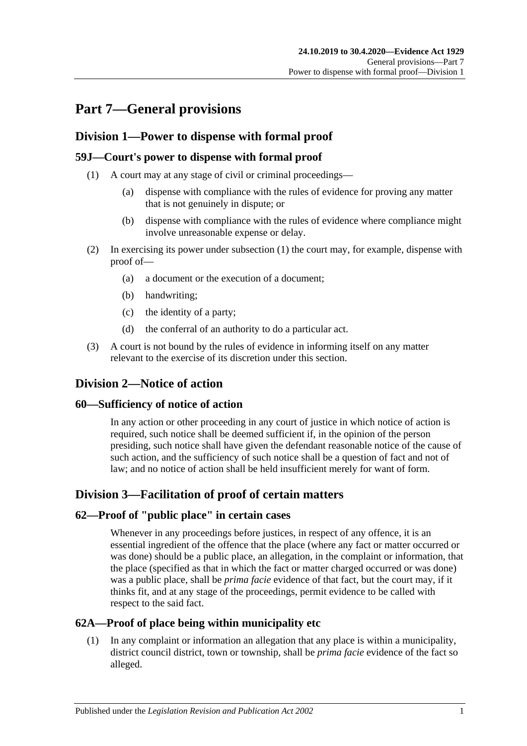# **Part 7—General provisions**

# **Division 1—Power to dispense with formal proof**

# <span id="page-68-0"></span>**59J—Court's power to dispense with formal proof**

- (1) A court may at any stage of civil or criminal proceedings—
	- (a) dispense with compliance with the rules of evidence for proving any matter that is not genuinely in dispute; or
	- (b) dispense with compliance with the rules of evidence where compliance might involve unreasonable expense or delay.
- (2) In exercising its power under [subsection](#page-68-0) (1) the court may, for example, dispense with proof of—
	- (a) a document or the execution of a document;
	- (b) handwriting;
	- (c) the identity of a party;
	- (d) the conferral of an authority to do a particular act.
- (3) A court is not bound by the rules of evidence in informing itself on any matter relevant to the exercise of its discretion under this section.

# **Division 2—Notice of action**

# **60—Sufficiency of notice of action**

In any action or other proceeding in any court of justice in which notice of action is required, such notice shall be deemed sufficient if, in the opinion of the person presiding, such notice shall have given the defendant reasonable notice of the cause of such action, and the sufficiency of such notice shall be a question of fact and not of law; and no notice of action shall be held insufficient merely for want of form.

# **Division 3—Facilitation of proof of certain matters**

# **62—Proof of "public place" in certain cases**

Whenever in any proceedings before justices, in respect of any offence, it is an essential ingredient of the offence that the place (where any fact or matter occurred or was done) should be a public place, an allegation, in the complaint or information, that the place (specified as that in which the fact or matter charged occurred or was done) was a public place, shall be *prima facie* evidence of that fact, but the court may, if it thinks fit, and at any stage of the proceedings, permit evidence to be called with respect to the said fact.

# **62A—Proof of place being within municipality etc**

(1) In any complaint or information an allegation that any place is within a municipality, district council district, town or township, shall be *prima facie* evidence of the fact so alleged.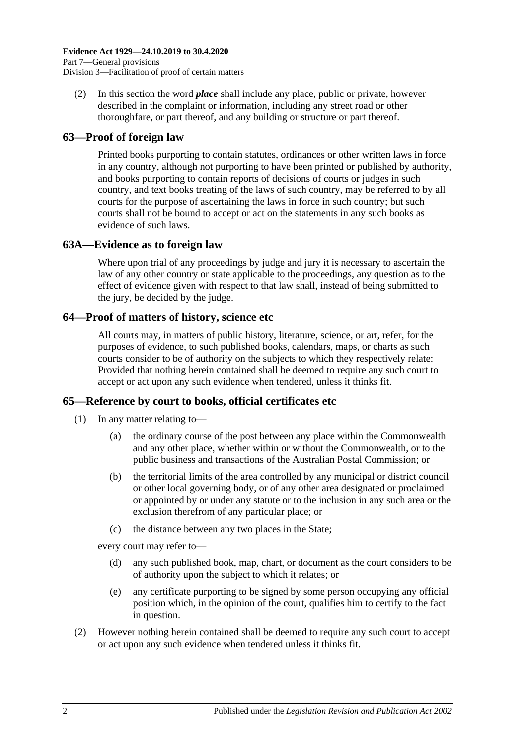(2) In this section the word *place* shall include any place, public or private, however described in the complaint or information, including any street road or other thoroughfare, or part thereof, and any building or structure or part thereof.

# **63—Proof of foreign law**

Printed books purporting to contain statutes, ordinances or other written laws in force in any country, although not purporting to have been printed or published by authority, and books purporting to contain reports of decisions of courts or judges in such country, and text books treating of the laws of such country, may be referred to by all courts for the purpose of ascertaining the laws in force in such country; but such courts shall not be bound to accept or act on the statements in any such books as evidence of such laws.

# **63A—Evidence as to foreign law**

Where upon trial of any proceedings by judge and jury it is necessary to ascertain the law of any other country or state applicable to the proceedings, any question as to the effect of evidence given with respect to that law shall, instead of being submitted to the jury, be decided by the judge.

# **64—Proof of matters of history, science etc**

All courts may, in matters of public history, literature, science, or art, refer, for the purposes of evidence, to such published books, calendars, maps, or charts as such courts consider to be of authority on the subjects to which they respectively relate: Provided that nothing herein contained shall be deemed to require any such court to accept or act upon any such evidence when tendered, unless it thinks fit.

# **65—Reference by court to books, official certificates etc**

- (1) In any matter relating to—
	- (a) the ordinary course of the post between any place within the Commonwealth and any other place, whether within or without the Commonwealth, or to the public business and transactions of the Australian Postal Commission; or
	- (b) the territorial limits of the area controlled by any municipal or district council or other local governing body, or of any other area designated or proclaimed or appointed by or under any statute or to the inclusion in any such area or the exclusion therefrom of any particular place; or
	- (c) the distance between any two places in the State;

every court may refer to—

- (d) any such published book, map, chart, or document as the court considers to be of authority upon the subject to which it relates; or
- (e) any certificate purporting to be signed by some person occupying any official position which, in the opinion of the court, qualifies him to certify to the fact in question.
- (2) However nothing herein contained shall be deemed to require any such court to accept or act upon any such evidence when tendered unless it thinks fit.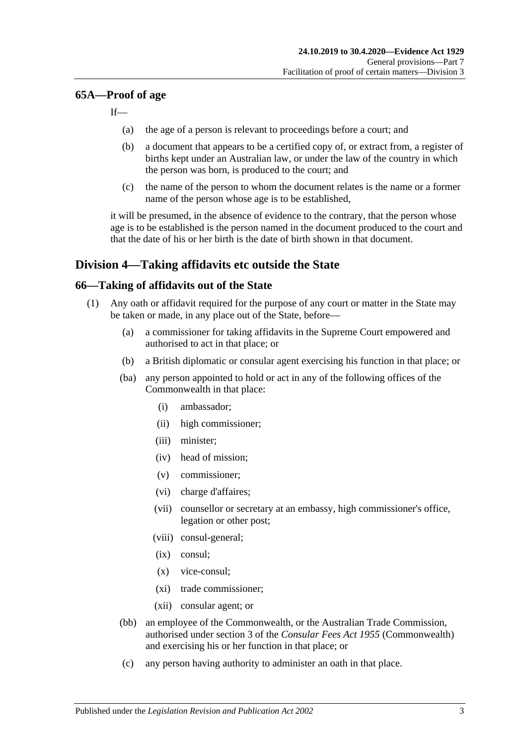### **65A—Proof of age**

If—

- (a) the age of a person is relevant to proceedings before a court; and
- (b) a document that appears to be a certified copy of, or extract from, a register of births kept under an Australian law, or under the law of the country in which the person was born, is produced to the court; and
- (c) the name of the person to whom the document relates is the name or a former name of the person whose age is to be established,

it will be presumed, in the absence of evidence to the contrary, that the person whose age is to be established is the person named in the document produced to the court and that the date of his or her birth is the date of birth shown in that document.

# **Division 4—Taking affidavits etc outside the State**

### <span id="page-70-3"></span>**66—Taking of affidavits out of the State**

- <span id="page-70-2"></span><span id="page-70-1"></span><span id="page-70-0"></span>(1) Any oath or affidavit required for the purpose of any court or matter in the State may be taken or made, in any place out of the State, before—
	- (a) a commissioner for taking affidavits in the Supreme Court empowered and authorised to act in that place; or
	- (b) a British diplomatic or consular agent exercising his function in that place; or
	- (ba) any person appointed to hold or act in any of the following offices of the Commonwealth in that place:
		- (i) ambassador;
		- (ii) high commissioner;
		- (iii) minister;
		- (iv) head of mission;
		- (v) commissioner;
		- (vi) charge d'affaires;
		- (vii) counsellor or secretary at an embassy, high commissioner's office, legation or other post;
		- (viii) consul-general;
		- (ix) consul;
		- (x) vice-consul;
		- (xi) trade commissioner;
		- (xii) consular agent; or
	- (bb) an employee of the Commonwealth, or the Australian Trade Commission, authorised under section 3 of the *Consular Fees Act 1955* (Commonwealth) and exercising his or her function in that place; or
	- (c) any person having authority to administer an oath in that place.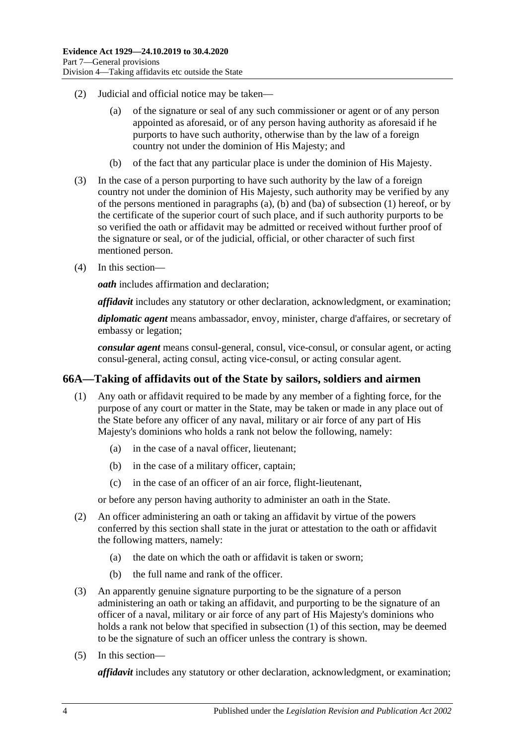- (2) Judicial and official notice may be taken—
	- (a) of the signature or seal of any such commissioner or agent or of any person appointed as aforesaid, or of any person having authority as aforesaid if he purports to have such authority, otherwise than by the law of a foreign country not under the dominion of His Majesty; and
	- (b) of the fact that any particular place is under the dominion of His Majesty.
- (3) In the case of a person purporting to have such authority by the law of a foreign country not under the dominion of His Majesty, such authority may be verified by any of the persons mentioned in [paragraphs](#page-70-0) (a), [\(b\)](#page-70-1) and [\(ba\)](#page-70-2) of [subsection](#page-70-3) (1) hereof, or by the certificate of the superior court of such place, and if such authority purports to be so verified the oath or affidavit may be admitted or received without further proof of the signature or seal, or of the judicial, official, or other character of such first mentioned person.
- (4) In this section—

*oath* includes affirmation and declaration;

*affidavit* includes any statutory or other declaration, acknowledgment, or examination;

*diplomatic agent* means ambassador, envoy, minister, charge d'affaires, or secretary of embassy or legation;

*consular agent* means consul-general, consul, vice-consul, or consular agent, or acting consul-general, acting consul, acting vice-consul, or acting consular agent.

# <span id="page-71-0"></span>**66A—Taking of affidavits out of the State by sailors, soldiers and airmen**

- (1) Any oath or affidavit required to be made by any member of a fighting force, for the purpose of any court or matter in the State, may be taken or made in any place out of the State before any officer of any naval, military or air force of any part of His Majesty's dominions who holds a rank not below the following, namely:
	- (a) in the case of a naval officer, lieutenant;
	- (b) in the case of a military officer, captain;
	- (c) in the case of an officer of an air force, flight-lieutenant,

or before any person having authority to administer an oath in the State.

- (2) An officer administering an oath or taking an affidavit by virtue of the powers conferred by this section shall state in the jurat or attestation to the oath or affidavit the following matters, namely:
	- (a) the date on which the oath or affidavit is taken or sworn;
	- (b) the full name and rank of the officer.
- (3) An apparently genuine signature purporting to be the signature of a person administering an oath or taking an affidavit, and purporting to be the signature of an officer of a naval, military or air force of any part of His Majesty's dominions who holds a rank not below that specified in [subsection](#page-71-0) (1) of this section, may be deemed to be the signature of such an officer unless the contrary is shown.
- (5) In this section—

*affidavit* includes any statutory or other declaration, acknowledgment, or examination;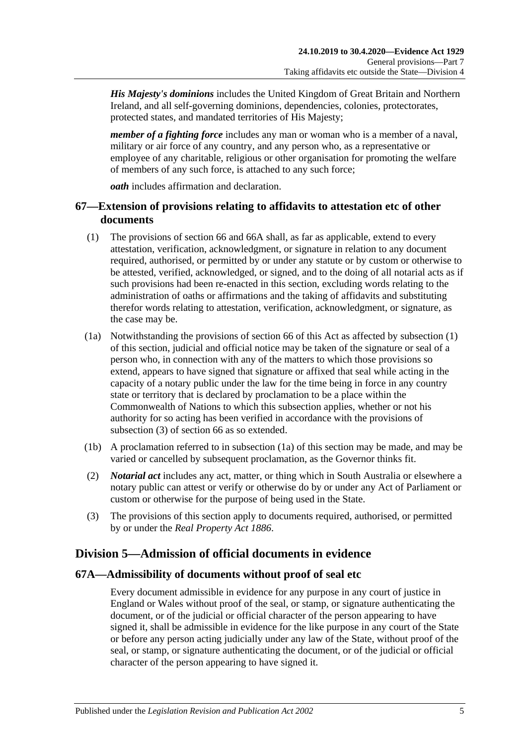*His Majesty's dominions* includes the United Kingdom of Great Britain and Northern Ireland, and all self-governing dominions, dependencies, colonies, protectorates, protected states, and mandated territories of His Majesty;

*member of a fighting force* includes any man or woman who is a member of a naval, military or air force of any country, and any person who, as a representative or employee of any charitable, religious or other organisation for promoting the welfare of members of any such force, is attached to any such force;

*oath* includes affirmation and declaration.

## **67—Extension of provisions relating to affidavits to attestation etc of other documents**

- <span id="page-72-0"></span>(1) The provisions of [section](#page-70-0) 66 and [66A](#page-71-0) shall, as far as applicable, extend to every attestation, verification, acknowledgment, or signature in relation to any document required, authorised, or permitted by or under any statute or by custom or otherwise to be attested, verified, acknowledged, or signed, and to the doing of all notarial acts as if such provisions had been re-enacted in this section, excluding words relating to the administration of oaths or affirmations and the taking of affidavits and substituting therefor words relating to attestation, verification, acknowledgment, or signature, as the case may be.
- <span id="page-72-2"></span>(1a) Notwithstanding the provisions of [section](#page-70-0) 66 of this Act as affected by [subsection](#page-72-0) (1) of this section, judicial and official notice may be taken of the signature or seal of a person who, in connection with any of the matters to which those provisions so extend, appears to have signed that signature or affixed that seal while acting in the capacity of a notary public under the law for the time being in force in any country state or territory that is declared by proclamation to be a place within the Commonwealth of Nations to which this subsection applies, whether or not his authority for so acting has been verified in accordance with the provisions of [subsection](#page-72-1) (3) of [section](#page-70-0) 66 as so extended.
- (1b) A proclamation referred to in [subsection](#page-72-2) (1a) of this section may be made, and may be varied or cancelled by subsequent proclamation, as the Governor thinks fit.
- (2) *Notarial act* includes any act, matter, or thing which in South Australia or elsewhere a notary public can attest or verify or otherwise do by or under any Act of Parliament or custom or otherwise for the purpose of being used in the State.
- <span id="page-72-1"></span>(3) The provisions of this section apply to documents required, authorised, or permitted by or under the *[Real Property Act](http://www.legislation.sa.gov.au/index.aspx?action=legref&type=act&legtitle=Real%20Property%20Act%201886) 1886*.

# **Division 5—Admission of official documents in evidence**

#### **67A—Admissibility of documents without proof of seal etc**

Every document admissible in evidence for any purpose in any court of justice in England or Wales without proof of the seal, or stamp, or signature authenticating the document, or of the judicial or official character of the person appearing to have signed it, shall be admissible in evidence for the like purpose in any court of the State or before any person acting judicially under any law of the State, without proof of the seal, or stamp, or signature authenticating the document, or of the judicial or official character of the person appearing to have signed it.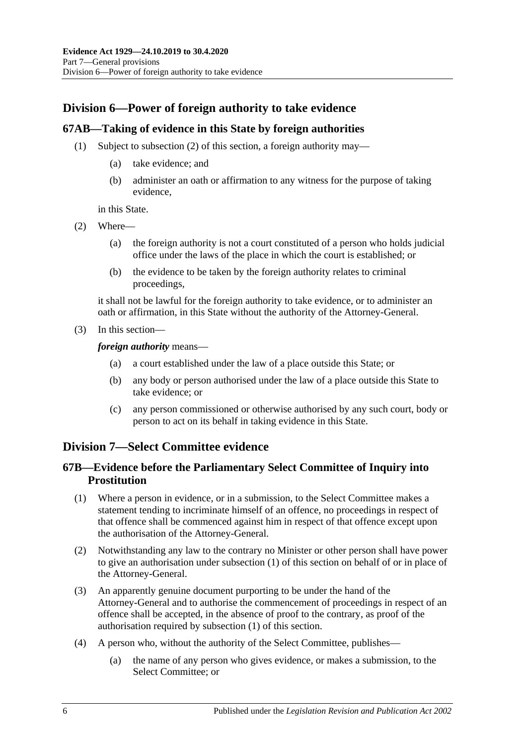# **Division 6—Power of foreign authority to take evidence**

### **67AB—Taking of evidence in this State by foreign authorities**

- (1) Subject to [subsection](#page-73-0) (2) of this section, a foreign authority may—
	- (a) take evidence; and
	- (b) administer an oath or affirmation to any witness for the purpose of taking evidence,

in this State.

- <span id="page-73-0"></span>(2) Where—
	- (a) the foreign authority is not a court constituted of a person who holds judicial office under the laws of the place in which the court is established; or
	- (b) the evidence to be taken by the foreign authority relates to criminal proceedings,

it shall not be lawful for the foreign authority to take evidence, or to administer an oath or affirmation, in this State without the authority of the Attorney-General.

(3) In this section—

*foreign authority* means—

- (a) a court established under the law of a place outside this State; or
- (b) any body or person authorised under the law of a place outside this State to take evidence; or
- (c) any person commissioned or otherwise authorised by any such court, body or person to act on its behalf in taking evidence in this State.

## **Division 7—Select Committee evidence**

### **67B—Evidence before the Parliamentary Select Committee of Inquiry into Prostitution**

- <span id="page-73-1"></span>(1) Where a person in evidence, or in a submission, to the Select Committee makes a statement tending to incriminate himself of an offence, no proceedings in respect of that offence shall be commenced against him in respect of that offence except upon the authorisation of the Attorney-General.
- (2) Notwithstanding any law to the contrary no Minister or other person shall have power to give an authorisation under [subsection](#page-73-1) (1) of this section on behalf of or in place of the Attorney-General.
- (3) An apparently genuine document purporting to be under the hand of the Attorney-General and to authorise the commencement of proceedings in respect of an offence shall be accepted, in the absence of proof to the contrary, as proof of the authorisation required by [subsection](#page-73-1) (1) of this section.
- (4) A person who, without the authority of the Select Committee, publishes—
	- (a) the name of any person who gives evidence, or makes a submission, to the Select Committee; or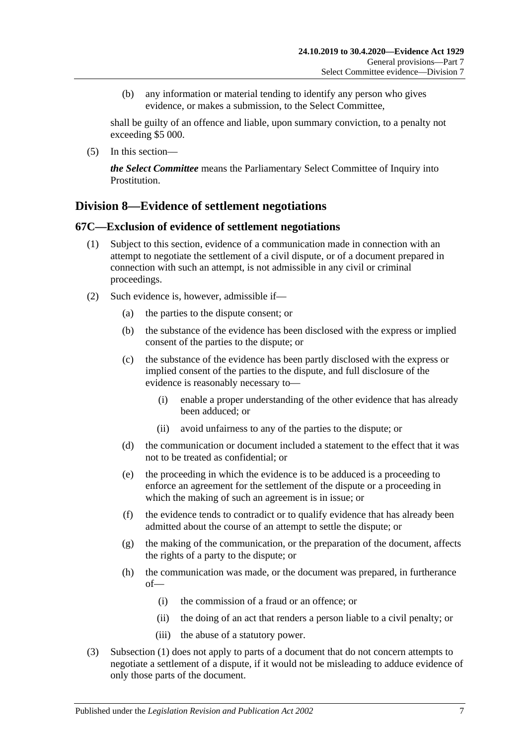(b) any information or material tending to identify any person who gives evidence, or makes a submission, to the Select Committee,

shall be guilty of an offence and liable, upon summary conviction, to a penalty not exceeding \$5 000.

(5) In this section—

*the Select Committee* means the Parliamentary Select Committee of Inquiry into Prostitution.

## **Division 8—Evidence of settlement negotiations**

#### <span id="page-74-0"></span>**67C—Exclusion of evidence of settlement negotiations**

- (1) Subject to this section, evidence of a communication made in connection with an attempt to negotiate the settlement of a civil dispute, or of a document prepared in connection with such an attempt, is not admissible in any civil or criminal proceedings.
- (2) Such evidence is, however, admissible if—
	- (a) the parties to the dispute consent; or
	- (b) the substance of the evidence has been disclosed with the express or implied consent of the parties to the dispute; or
	- (c) the substance of the evidence has been partly disclosed with the express or implied consent of the parties to the dispute, and full disclosure of the evidence is reasonably necessary to—
		- (i) enable a proper understanding of the other evidence that has already been adduced; or
		- (ii) avoid unfairness to any of the parties to the dispute; or
	- (d) the communication or document included a statement to the effect that it was not to be treated as confidential; or
	- (e) the proceeding in which the evidence is to be adduced is a proceeding to enforce an agreement for the settlement of the dispute or a proceeding in which the making of such an agreement is in issue; or
	- (f) the evidence tends to contradict or to qualify evidence that has already been admitted about the course of an attempt to settle the dispute; or
	- (g) the making of the communication, or the preparation of the document, affects the rights of a party to the dispute; or
	- (h) the communication was made, or the document was prepared, in furtherance of—
		- (i) the commission of a fraud or an offence; or
		- (ii) the doing of an act that renders a person liable to a civil penalty; or
		- (iii) the abuse of a statutory power.
- (3) [Subsection](#page-74-0) (1) does not apply to parts of a document that do not concern attempts to negotiate a settlement of a dispute, if it would not be misleading to adduce evidence of only those parts of the document.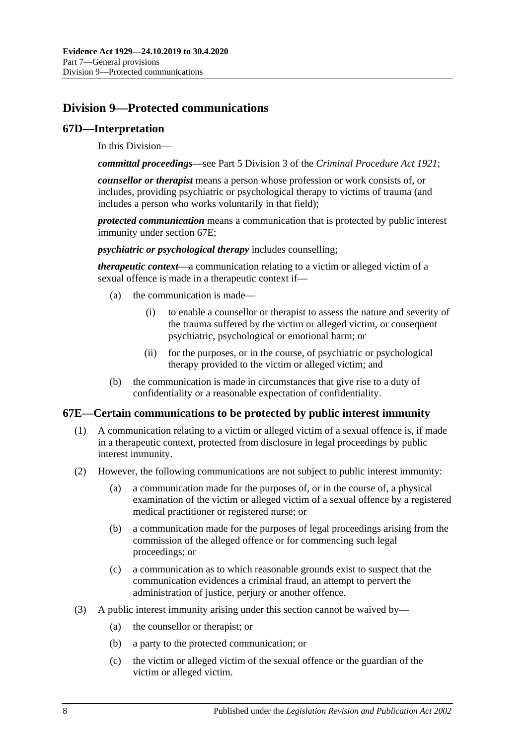# **Division 9—Protected communications**

#### **67D—Interpretation**

In this Division—

*committal proceedings*—see Part 5 Division 3 of the *[Criminal Procedure Act](http://www.legislation.sa.gov.au/index.aspx?action=legref&type=act&legtitle=Criminal%20Procedure%20Act%201921) 1921*;

*counsellor or therapist* means a person whose profession or work consists of, or includes, providing psychiatric or psychological therapy to victims of trauma (and includes a person who works voluntarily in that field);

*protected communication* means a communication that is protected by public interest immunity under [section](#page-75-0) 67E;

*psychiatric or psychological therapy* includes counselling;

*therapeutic context*—a communication relating to a victim or alleged victim of a sexual offence is made in a therapeutic context if—

- (a) the communication is made—
	- (i) to enable a counsellor or therapist to assess the nature and severity of the trauma suffered by the victim or alleged victim, or consequent psychiatric, psychological or emotional harm; or
	- (ii) for the purposes, or in the course, of psychiatric or psychological therapy provided to the victim or alleged victim; and
- (b) the communication is made in circumstances that give rise to a duty of confidentiality or a reasonable expectation of confidentiality.

#### <span id="page-75-0"></span>**67E—Certain communications to be protected by public interest immunity**

- (1) A communication relating to a victim or alleged victim of a sexual offence is, if made in a therapeutic context, protected from disclosure in legal proceedings by public interest immunity.
- (2) However, the following communications are not subject to public interest immunity:
	- (a) a communication made for the purposes of, or in the course of, a physical examination of the victim or alleged victim of a sexual offence by a registered medical practitioner or registered nurse; or
	- (b) a communication made for the purposes of legal proceedings arising from the commission of the alleged offence or for commencing such legal proceedings; or
	- (c) a communication as to which reasonable grounds exist to suspect that the communication evidences a criminal fraud, an attempt to pervert the administration of justice, perjury or another offence.
- (3) A public interest immunity arising under this section cannot be waived by—
	- (a) the counsellor or therapist; or
	- (b) a party to the protected communication; or
	- (c) the victim or alleged victim of the sexual offence or the guardian of the victim or alleged victim.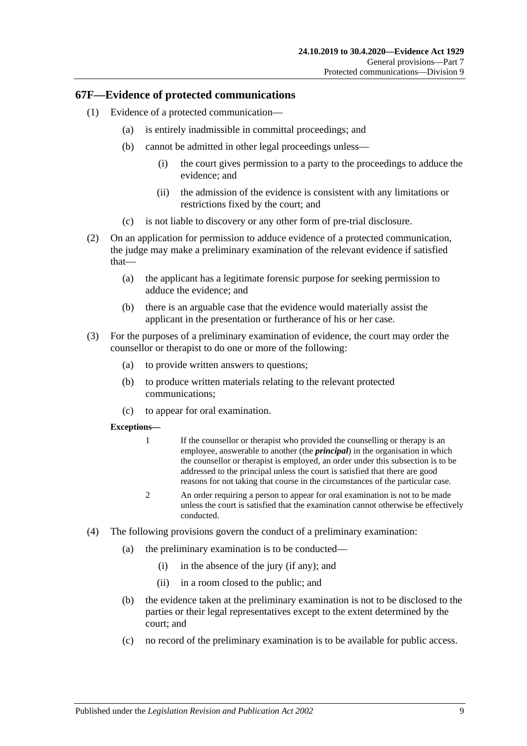#### **67F—Evidence of protected communications**

- (1) Evidence of a protected communication—
	- (a) is entirely inadmissible in committal proceedings; and
	- (b) cannot be admitted in other legal proceedings unless—
		- (i) the court gives permission to a party to the proceedings to adduce the evidence; and
		- (ii) the admission of the evidence is consistent with any limitations or restrictions fixed by the court; and
	- (c) is not liable to discovery or any other form of pre-trial disclosure.
- (2) On an application for permission to adduce evidence of a protected communication, the judge may make a preliminary examination of the relevant evidence if satisfied that—
	- (a) the applicant has a legitimate forensic purpose for seeking permission to adduce the evidence; and
	- (b) there is an arguable case that the evidence would materially assist the applicant in the presentation or furtherance of his or her case.
- (3) For the purposes of a preliminary examination of evidence, the court may order the counsellor or therapist to do one or more of the following:
	- (a) to provide written answers to questions;
	- (b) to produce written materials relating to the relevant protected communications;
	- (c) to appear for oral examination.

#### **Exceptions—**

- 1 If the counsellor or therapist who provided the counselling or therapy is an employee, answerable to another (the *principal*) in the organisation in which the counsellor or therapist is employed, an order under this subsection is to be addressed to the principal unless the court is satisfied that there are good reasons for not taking that course in the circumstances of the particular case.
- 2 An order requiring a person to appear for oral examination is not to be made unless the court is satisfied that the examination cannot otherwise be effectively conducted.
- (4) The following provisions govern the conduct of a preliminary examination:
	- (a) the preliminary examination is to be conducted—
		- (i) in the absence of the jury (if any); and
		- (ii) in a room closed to the public; and
	- (b) the evidence taken at the preliminary examination is not to be disclosed to the parties or their legal representatives except to the extent determined by the court; and
	- (c) no record of the preliminary examination is to be available for public access.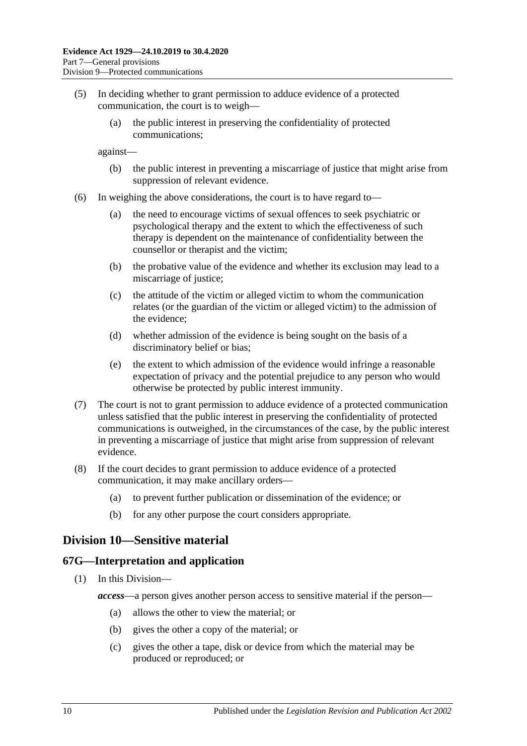- (5) In deciding whether to grant permission to adduce evidence of a protected communication, the court is to weigh—
	- (a) the public interest in preserving the confidentiality of protected communications;

against—

- (b) the public interest in preventing a miscarriage of justice that might arise from suppression of relevant evidence.
- (6) In weighing the above considerations, the court is to have regard to—
	- (a) the need to encourage victims of sexual offences to seek psychiatric or psychological therapy and the extent to which the effectiveness of such therapy is dependent on the maintenance of confidentiality between the counsellor or therapist and the victim;
	- (b) the probative value of the evidence and whether its exclusion may lead to a miscarriage of justice;
	- (c) the attitude of the victim or alleged victim to whom the communication relates (or the guardian of the victim or alleged victim) to the admission of the evidence;
	- (d) whether admission of the evidence is being sought on the basis of a discriminatory belief or bias;
	- (e) the extent to which admission of the evidence would infringe a reasonable expectation of privacy and the potential prejudice to any person who would otherwise be protected by public interest immunity.
- (7) The court is not to grant permission to adduce evidence of a protected communication unless satisfied that the public interest in preserving the confidentiality of protected communications is outweighed, in the circumstances of the case, by the public interest in preventing a miscarriage of justice that might arise from suppression of relevant evidence.
- (8) If the court decides to grant permission to adduce evidence of a protected communication, it may make ancillary orders—
	- (a) to prevent further publication or dissemination of the evidence; or
	- (b) for any other purpose the court considers appropriate.

## **Division 10—Sensitive material**

#### **67G—Interpretation and application**

- (1) In this Division
	- *access*—a person gives another person access to sensitive material if the person—
		- (a) allows the other to view the material; or
		- (b) gives the other a copy of the material; or
		- (c) gives the other a tape, disk or device from which the material may be produced or reproduced; or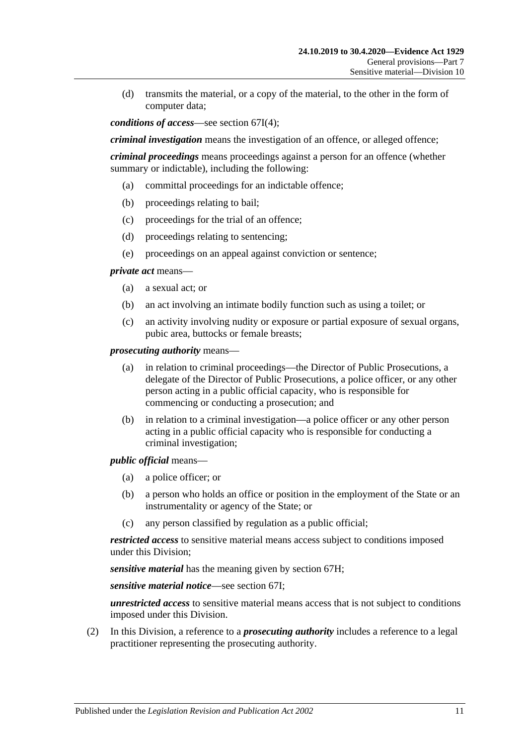(d) transmits the material, or a copy of the material, to the other in the form of computer data;

*conditions of access*—see [section](#page-80-0) 67I(4);

*criminal investigation* means the investigation of an offence, or alleged offence;

*criminal proceedings* means proceedings against a person for an offence (whether summary or indictable), including the following:

- (a) committal proceedings for an indictable offence;
- (b) proceedings relating to bail;
- (c) proceedings for the trial of an offence;
- (d) proceedings relating to sentencing;
- (e) proceedings on an appeal against conviction or sentence;

*private act* means—

- (a) a sexual act; or
- (b) an act involving an intimate bodily function such as using a toilet; or
- (c) an activity involving nudity or exposure or partial exposure of sexual organs, pubic area, buttocks or female breasts;

*prosecuting authority* means—

- (a) in relation to criminal proceedings—the Director of Public Prosecutions, a delegate of the Director of Public Prosecutions, a police officer, or any other person acting in a public official capacity, who is responsible for commencing or conducting a prosecution; and
- (b) in relation to a criminal investigation—a police officer or any other person acting in a public official capacity who is responsible for conducting a criminal investigation;

*public official* means—

- (a) a police officer; or
- (b) a person who holds an office or position in the employment of the State or an instrumentality or agency of the State; or
- (c) any person classified by regulation as a public official;

*restricted access* to sensitive material means access subject to conditions imposed under this Division;

*sensitive material* has the meaning given by [section](#page-79-0) 67H;

*sensitive material notice*—see [section](#page-80-1) 67I;

*unrestricted access* to sensitive material means access that is not subject to conditions imposed under this Division.

(2) In this Division, a reference to a *prosecuting authority* includes a reference to a legal practitioner representing the prosecuting authority.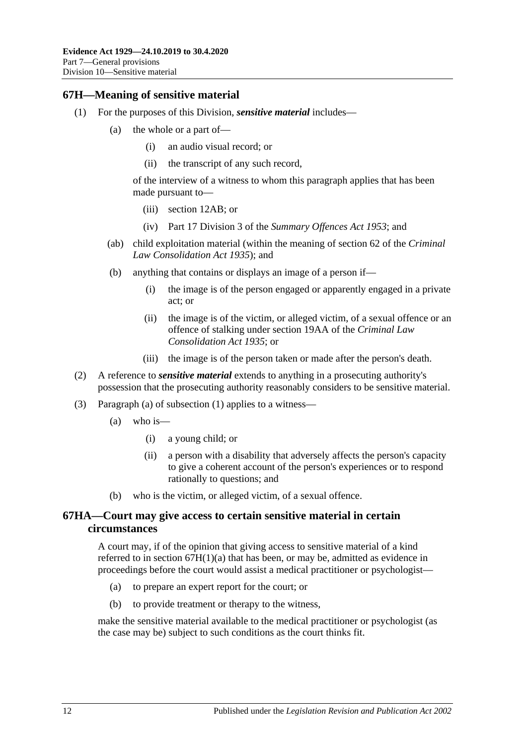#### <span id="page-79-2"></span><span id="page-79-0"></span>**67H—Meaning of sensitive material**

- <span id="page-79-1"></span>(1) For the purposes of this Division, *sensitive material* includes—
	- (a) the whole or a part of—
		- (i) an audio visual record; or
		- (ii) the transcript of any such record,

of the interview of a witness to whom this paragraph applies that has been made pursuant to—

- (iii) [section](#page-12-0) 12AB; or
- (iv) Part 17 Division 3 of the *[Summary Offences Act](http://www.legislation.sa.gov.au/index.aspx?action=legref&type=act&legtitle=Summary%20Offences%20Act%201953) 1953*; and
- (ab) child exploitation material (within the meaning of section 62 of the *[Criminal](http://www.legislation.sa.gov.au/index.aspx?action=legref&type=act&legtitle=Criminal%20Law%20Consolidation%20Act%201935)  [Law Consolidation Act](http://www.legislation.sa.gov.au/index.aspx?action=legref&type=act&legtitle=Criminal%20Law%20Consolidation%20Act%201935) 1935*); and
- (b) anything that contains or displays an image of a person if—
	- (i) the image is of the person engaged or apparently engaged in a private act; or
	- (ii) the image is of the victim, or alleged victim, of a sexual offence or an offence of stalking under section 19AA of the *[Criminal Law](http://www.legislation.sa.gov.au/index.aspx?action=legref&type=act&legtitle=Criminal%20Law%20Consolidation%20Act%201935)  [Consolidation Act](http://www.legislation.sa.gov.au/index.aspx?action=legref&type=act&legtitle=Criminal%20Law%20Consolidation%20Act%201935) 1935*; or
	- (iii) the image is of the person taken or made after the person's death.
- (2) A reference to *sensitive material* extends to anything in a prosecuting authority's possession that the prosecuting authority reasonably considers to be sensitive material.
- (3) [Paragraph](#page-79-1) (a) of [subsection](#page-79-2) (1) applies to a witness—
	- (a) who is—
		- (i) a young child; or
		- (ii) a person with a disability that adversely affects the person's capacity to give a coherent account of the person's experiences or to respond rationally to questions; and
	- (b) who is the victim, or alleged victim, of a sexual offence.

#### **67HA—Court may give access to certain sensitive material in certain circumstances**

A court may, if of the opinion that giving access to sensitive material of a kind referred to in section  $67H(1)(a)$  that has been, or may be, admitted as evidence in proceedings before the court would assist a medical practitioner or psychologist—

- (a) to prepare an expert report for the court; or
- (b) to provide treatment or therapy to the witness,

make the sensitive material available to the medical practitioner or psychologist (as the case may be) subject to such conditions as the court thinks fit.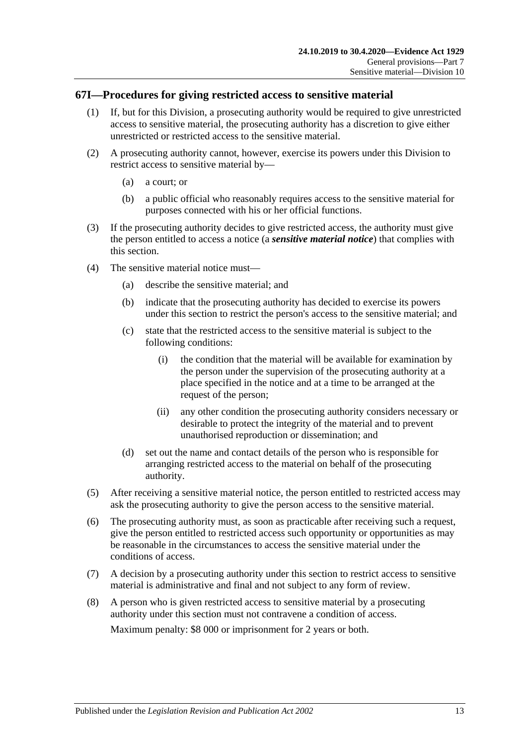#### <span id="page-80-1"></span>**67I—Procedures for giving restricted access to sensitive material**

- (1) If, but for this Division, a prosecuting authority would be required to give unrestricted access to sensitive material, the prosecuting authority has a discretion to give either unrestricted or restricted access to the sensitive material.
- (2) A prosecuting authority cannot, however, exercise its powers under this Division to restrict access to sensitive material by—
	- (a) a court; or
	- (b) a public official who reasonably requires access to the sensitive material for purposes connected with his or her official functions.
- (3) If the prosecuting authority decides to give restricted access, the authority must give the person entitled to access a notice (a *sensitive material notice*) that complies with this section.
- <span id="page-80-0"></span>(4) The sensitive material notice must—
	- (a) describe the sensitive material; and
	- (b) indicate that the prosecuting authority has decided to exercise its powers under this section to restrict the person's access to the sensitive material; and
	- (c) state that the restricted access to the sensitive material is subject to the following conditions:
		- (i) the condition that the material will be available for examination by the person under the supervision of the prosecuting authority at a place specified in the notice and at a time to be arranged at the request of the person;
		- (ii) any other condition the prosecuting authority considers necessary or desirable to protect the integrity of the material and to prevent unauthorised reproduction or dissemination; and
	- (d) set out the name and contact details of the person who is responsible for arranging restricted access to the material on behalf of the prosecuting authority.
- (5) After receiving a sensitive material notice, the person entitled to restricted access may ask the prosecuting authority to give the person access to the sensitive material.
- (6) The prosecuting authority must, as soon as practicable after receiving such a request, give the person entitled to restricted access such opportunity or opportunities as may be reasonable in the circumstances to access the sensitive material under the conditions of access.
- (7) A decision by a prosecuting authority under this section to restrict access to sensitive material is administrative and final and not subject to any form of review.
- (8) A person who is given restricted access to sensitive material by a prosecuting authority under this section must not contravene a condition of access. Maximum penalty: \$8 000 or imprisonment for 2 years or both.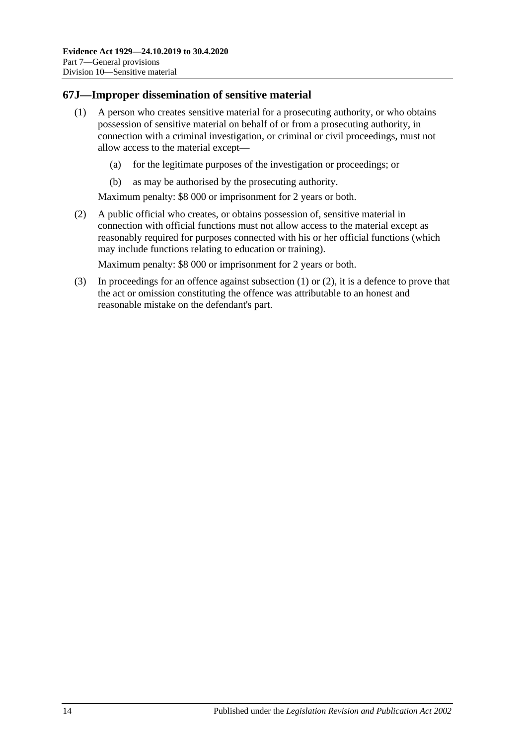### <span id="page-81-0"></span>**67J—Improper dissemination of sensitive material**

- (1) A person who creates sensitive material for a prosecuting authority, or who obtains possession of sensitive material on behalf of or from a prosecuting authority, in connection with a criminal investigation, or criminal or civil proceedings, must not allow access to the material except—
	- (a) for the legitimate purposes of the investigation or proceedings; or
	- (b) as may be authorised by the prosecuting authority.

Maximum penalty: \$8 000 or imprisonment for 2 years or both.

<span id="page-81-1"></span>(2) A public official who creates, or obtains possession of, sensitive material in connection with official functions must not allow access to the material except as reasonably required for purposes connected with his or her official functions (which may include functions relating to education or training).

Maximum penalty: \$8 000 or imprisonment for 2 years or both.

(3) In proceedings for an offence against [subsection](#page-81-0) (1) or [\(2\),](#page-81-1) it is a defence to prove that the act or omission constituting the offence was attributable to an honest and reasonable mistake on the defendant's part.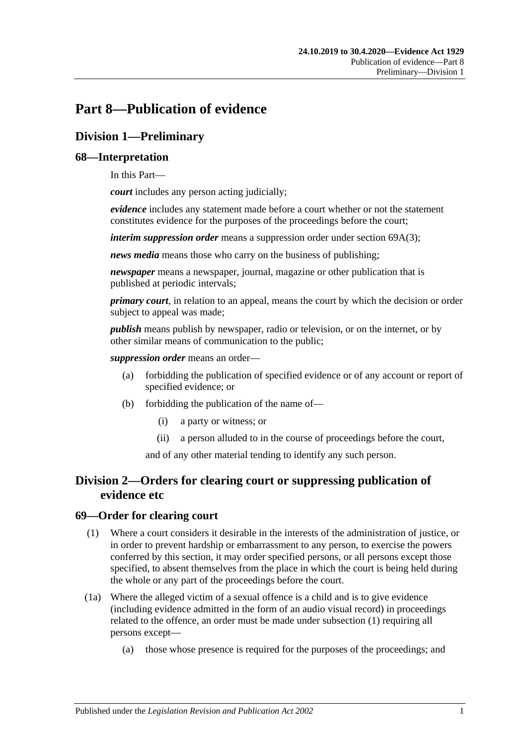# **Part 8—Publication of evidence**

# **Division 1—Preliminary**

### **68—Interpretation**

In this Part—

*court* includes any person acting judicially;

*evidence* includes any statement made before a court whether or not the statement constitutes evidence for the purposes of the proceedings before the court;

*interim suppression order* means a suppression order under section [69A\(3\);](#page-84-0)

*news media* means those who carry on the business of publishing;

*newspaper* means a newspaper, journal, magazine or other publication that is published at periodic intervals;

*primary court*, in relation to an appeal, means the court by which the decision or order subject to appeal was made;

*publish* means publish by newspaper, radio or television, or on the internet, or by other similar means of communication to the public;

*suppression order* means an order—

- (a) forbidding the publication of specified evidence or of any account or report of specified evidence; or
- (b) forbidding the publication of the name of—
	- (i) a party or witness; or
	- (ii) a person alluded to in the course of proceedings before the court,

and of any other material tending to identify any such person.

## **Division 2—Orders for clearing court or suppressing publication of evidence etc**

#### <span id="page-82-0"></span>**69—Order for clearing court**

- (1) Where a court considers it desirable in the interests of the administration of justice, or in order to prevent hardship or embarrassment to any person, to exercise the powers conferred by this section, it may order specified persons, or all persons except those specified, to absent themselves from the place in which the court is being held during the whole or any part of the proceedings before the court.
- (1a) Where the alleged victim of a sexual offence is a child and is to give evidence (including evidence admitted in the form of an audio visual record) in proceedings related to the offence, an order must be made under [subsection](#page-82-0) (1) requiring all persons except—
	- (a) those whose presence is required for the purposes of the proceedings; and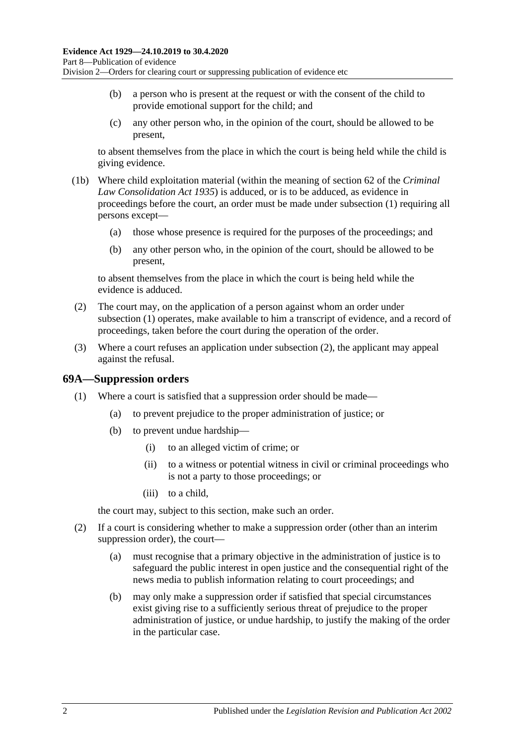- (b) a person who is present at the request or with the consent of the child to provide emotional support for the child; and
- (c) any other person who, in the opinion of the court, should be allowed to be present,

to absent themselves from the place in which the court is being held while the child is giving evidence.

- (1b) Where child exploitation material (within the meaning of section 62 of the *[Criminal](http://www.legislation.sa.gov.au/index.aspx?action=legref&type=act&legtitle=Criminal%20Law%20Consolidation%20Act%201935)  [Law Consolidation Act](http://www.legislation.sa.gov.au/index.aspx?action=legref&type=act&legtitle=Criminal%20Law%20Consolidation%20Act%201935) 1935*) is adduced, or is to be adduced, as evidence in proceedings before the court, an order must be made under [subsection](#page-82-0) (1) requiring all persons except—
	- (a) those whose presence is required for the purposes of the proceedings; and
	- (b) any other person who, in the opinion of the court, should be allowed to be present,

to absent themselves from the place in which the court is being held while the evidence is adduced.

- <span id="page-83-0"></span>(2) The court may, on the application of a person against whom an order under [subsection](#page-82-0) (1) operates, make available to him a transcript of evidence, and a record of proceedings, taken before the court during the operation of the order.
- (3) Where a court refuses an application under [subsection](#page-83-0) (2), the applicant may appeal against the refusal.

#### **69A—Suppression orders**

- (1) Where a court is satisfied that a suppression order should be made—
	- (a) to prevent prejudice to the proper administration of justice; or
	- (b) to prevent undue hardship—
		- (i) to an alleged victim of crime; or
		- (ii) to a witness or potential witness in civil or criminal proceedings who is not a party to those proceedings; or
		- (iii) to a child,

the court may, subject to this section, make such an order.

- (2) If a court is considering whether to make a suppression order (other than an interim suppression order), the court—
	- (a) must recognise that a primary objective in the administration of justice is to safeguard the public interest in open justice and the consequential right of the news media to publish information relating to court proceedings; and
	- (b) may only make a suppression order if satisfied that special circumstances exist giving rise to a sufficiently serious threat of prejudice to the proper administration of justice, or undue hardship, to justify the making of the order in the particular case.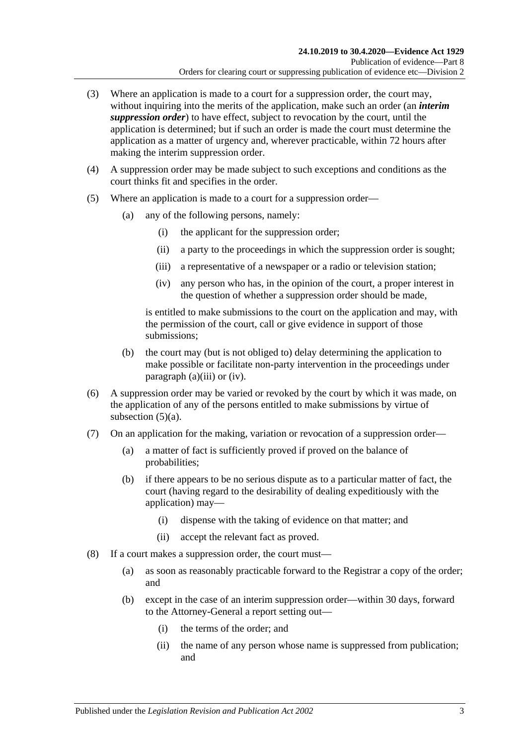- <span id="page-84-0"></span>(3) Where an application is made to a court for a suppression order, the court may, without inquiring into the merits of the application, make such an order (an *interim suppression order*) to have effect, subject to revocation by the court, until the application is determined; but if such an order is made the court must determine the application as a matter of urgency and, wherever practicable, within 72 hours after making the interim suppression order.
- (4) A suppression order may be made subject to such exceptions and conditions as the court thinks fit and specifies in the order.
- <span id="page-84-3"></span><span id="page-84-2"></span><span id="page-84-1"></span>(5) Where an application is made to a court for a suppression order—
	- (a) any of the following persons, namely:
		- (i) the applicant for the suppression order;
		- (ii) a party to the proceedings in which the suppression order is sought;
		- (iii) a representative of a newspaper or a radio or television station;
		- (iv) any person who has, in the opinion of the court, a proper interest in the question of whether a suppression order should be made,

is entitled to make submissions to the court on the application and may, with the permission of the court, call or give evidence in support of those submissions;

- (b) the court may (but is not obliged to) delay determining the application to make possible or facilitate non-party intervention in the proceedings under [paragraph](#page-84-1)  $(a)(iii)$  or  $(iv)$ .
- (6) A suppression order may be varied or revoked by the court by which it was made, on the application of any of the persons entitled to make submissions by virtue of [subsection](#page-84-3)  $(5)(a)$ .
- (7) On an application for the making, variation or revocation of a suppression order—
	- (a) a matter of fact is sufficiently proved if proved on the balance of probabilities;
	- (b) if there appears to be no serious dispute as to a particular matter of fact, the court (having regard to the desirability of dealing expeditiously with the application) may—
		- (i) dispense with the taking of evidence on that matter; and
		- (ii) accept the relevant fact as proved.
- (8) If a court makes a suppression order, the court must—
	- (a) as soon as reasonably practicable forward to the Registrar a copy of the order; and
	- (b) except in the case of an interim suppression order—within 30 days, forward to the Attorney-General a report setting out—
		- (i) the terms of the order; and
		- (ii) the name of any person whose name is suppressed from publication; and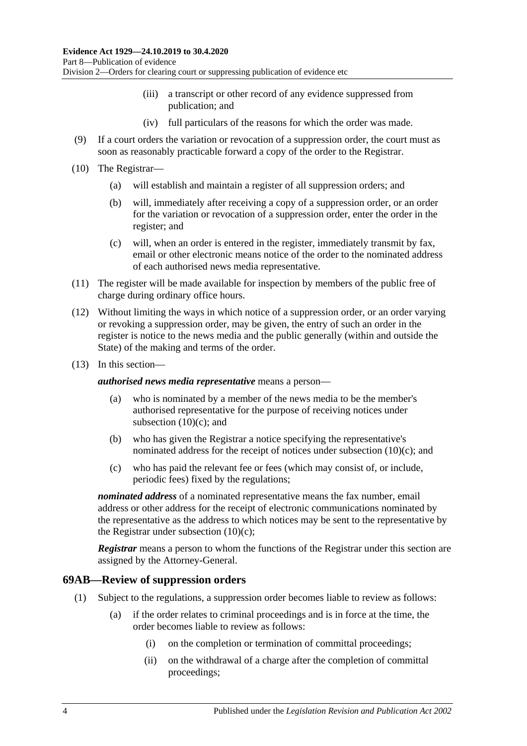- (iii) a transcript or other record of any evidence suppressed from publication; and
- (iv) full particulars of the reasons for which the order was made.
- (9) If a court orders the variation or revocation of a suppression order, the court must as soon as reasonably practicable forward a copy of the order to the Registrar.
- (10) The Registrar—
	- (a) will establish and maintain a register of all suppression orders; and
	- (b) will, immediately after receiving a copy of a suppression order, or an order for the variation or revocation of a suppression order, enter the order in the register; and
	- (c) will, when an order is entered in the register, immediately transmit by fax, email or other electronic means notice of the order to the nominated address of each authorised news media representative.
- <span id="page-85-0"></span>(11) The register will be made available for inspection by members of the public free of charge during ordinary office hours.
- (12) Without limiting the ways in which notice of a suppression order, or an order varying or revoking a suppression order, may be given, the entry of such an order in the register is notice to the news media and the public generally (within and outside the State) of the making and terms of the order.
- (13) In this section—

*authorised news media representative* means a person—

- (a) who is nominated by a member of the news media to be the member's authorised representative for the purpose of receiving notices under [subsection](#page-85-0)  $(10)(c)$ ; and
- (b) who has given the Registrar a notice specifying the representative's nominated address for the receipt of notices under [subsection](#page-85-0)  $(10)(c)$ ; and
- (c) who has paid the relevant fee or fees (which may consist of, or include, periodic fees) fixed by the regulations;

*nominated address* of a nominated representative means the fax number, email address or other address for the receipt of electronic communications nominated by the representative as the address to which notices may be sent to the representative by the Registrar under [subsection](#page-85-0)  $(10)(c)$ ;

*Registrar* means a person to whom the functions of the Registrar under this section are assigned by the Attorney-General.

#### **69AB—Review of suppression orders**

- (1) Subject to the regulations, a suppression order becomes liable to review as follows:
	- (a) if the order relates to criminal proceedings and is in force at the time, the order becomes liable to review as follows:
		- (i) on the completion or termination of committal proceedings;
		- (ii) on the withdrawal of a charge after the completion of committal proceedings;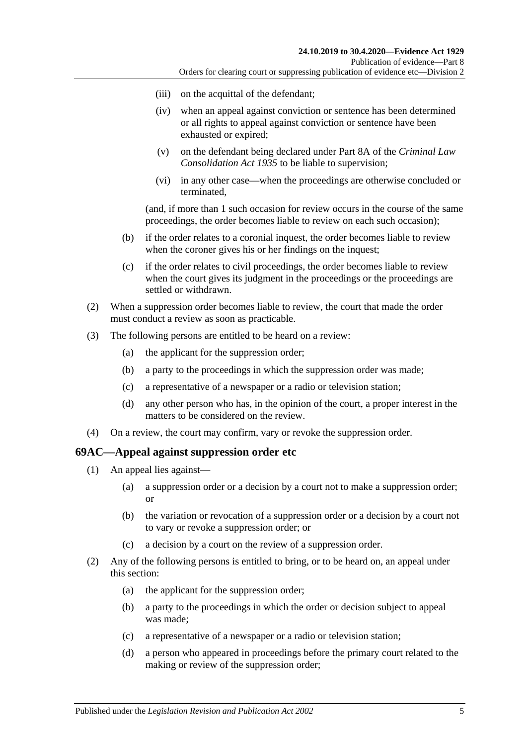- (iii) on the acquittal of the defendant;
- (iv) when an appeal against conviction or sentence has been determined or all rights to appeal against conviction or sentence have been exhausted or expired;
- (v) on the defendant being declared under Part 8A of the *[Criminal Law](http://www.legislation.sa.gov.au/index.aspx?action=legref&type=act&legtitle=Criminal%20Law%20Consolidation%20Act%201935)  [Consolidation Act](http://www.legislation.sa.gov.au/index.aspx?action=legref&type=act&legtitle=Criminal%20Law%20Consolidation%20Act%201935) 1935* to be liable to supervision;
- (vi) in any other case—when the proceedings are otherwise concluded or terminated,

(and, if more than 1 such occasion for review occurs in the course of the same proceedings, the order becomes liable to review on each such occasion);

- (b) if the order relates to a coronial inquest, the order becomes liable to review when the coroner gives his or her findings on the inquest;
- (c) if the order relates to civil proceedings, the order becomes liable to review when the court gives its judgment in the proceedings or the proceedings are settled or withdrawn.
- (2) When a suppression order becomes liable to review, the court that made the order must conduct a review as soon as practicable.
- (3) The following persons are entitled to be heard on a review:
	- (a) the applicant for the suppression order;
	- (b) a party to the proceedings in which the suppression order was made;
	- (c) a representative of a newspaper or a radio or television station;
	- (d) any other person who has, in the opinion of the court, a proper interest in the matters to be considered on the review.
- (4) On a review, the court may confirm, vary or revoke the suppression order.

#### **69AC—Appeal against suppression order etc**

- (1) An appeal lies against—
	- (a) a suppression order or a decision by a court not to make a suppression order; or
	- (b) the variation or revocation of a suppression order or a decision by a court not to vary or revoke a suppression order; or
	- (c) a decision by a court on the review of a suppression order.
- (2) Any of the following persons is entitled to bring, or to be heard on, an appeal under this section:
	- (a) the applicant for the suppression order;
	- (b) a party to the proceedings in which the order or decision subject to appeal was made;
	- (c) a representative of a newspaper or a radio or television station;
	- (d) a person who appeared in proceedings before the primary court related to the making or review of the suppression order;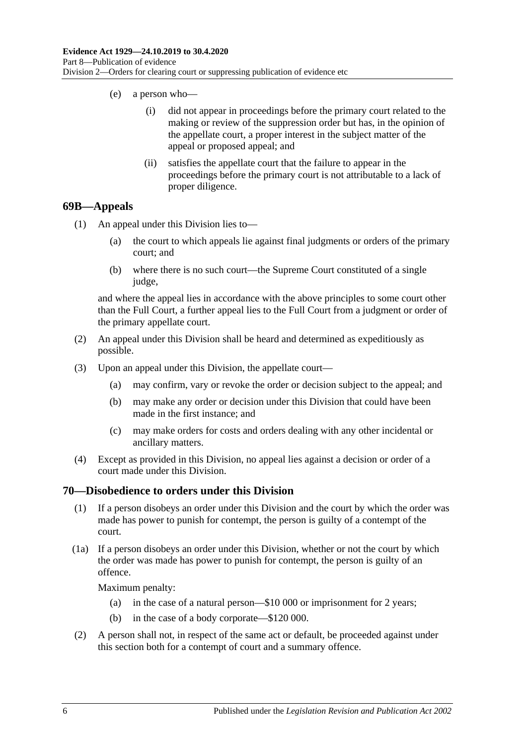- (e) a person who—
	- (i) did not appear in proceedings before the primary court related to the making or review of the suppression order but has, in the opinion of the appellate court, a proper interest in the subject matter of the appeal or proposed appeal; and
	- (ii) satisfies the appellate court that the failure to appear in the proceedings before the primary court is not attributable to a lack of proper diligence.

#### **69B—Appeals**

- (1) An appeal under this Division lies to—
	- (a) the court to which appeals lie against final judgments or orders of the primary court; and
	- (b) where there is no such court—the Supreme Court constituted of a single judge,

and where the appeal lies in accordance with the above principles to some court other than the Full Court, a further appeal lies to the Full Court from a judgment or order of the primary appellate court.

- (2) An appeal under this Division shall be heard and determined as expeditiously as possible.
- (3) Upon an appeal under this Division, the appellate court—
	- (a) may confirm, vary or revoke the order or decision subject to the appeal; and
	- (b) may make any order or decision under this Division that could have been made in the first instance; and
	- (c) may make orders for costs and orders dealing with any other incidental or ancillary matters.
- (4) Except as provided in this Division, no appeal lies against a decision or order of a court made under this Division.

#### **70—Disobedience to orders under this Division**

- (1) If a person disobeys an order under this Division and the court by which the order was made has power to punish for contempt, the person is guilty of a contempt of the court.
- (1a) If a person disobeys an order under this Division, whether or not the court by which the order was made has power to punish for contempt, the person is guilty of an offence.

- (a) in the case of a natural person—\$10 000 or imprisonment for 2 years;
- (b) in the case of a body corporate—\$120 000.
- (2) A person shall not, in respect of the same act or default, be proceeded against under this section both for a contempt of court and a summary offence.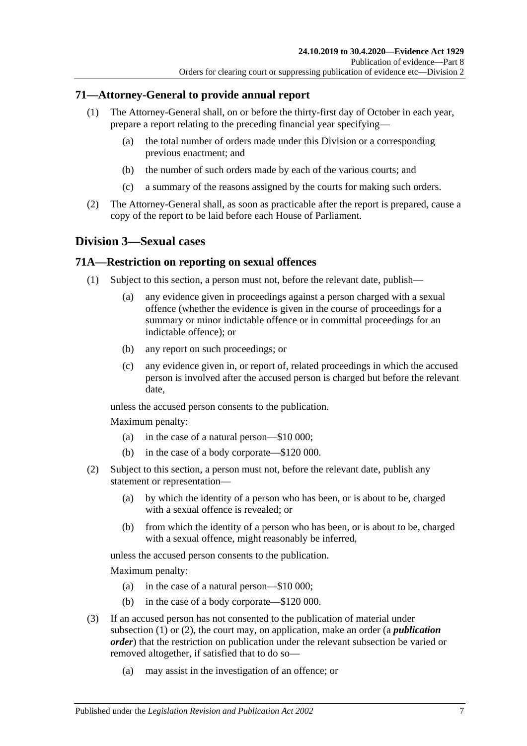### **71—Attorney-General to provide annual report**

- (1) The Attorney-General shall, on or before the thirty-first day of October in each year, prepare a report relating to the preceding financial year specifying—
	- (a) the total number of orders made under this Division or a corresponding previous enactment; and
	- (b) the number of such orders made by each of the various courts; and
	- (c) a summary of the reasons assigned by the courts for making such orders.
- (2) The Attorney-General shall, as soon as practicable after the report is prepared, cause a copy of the report to be laid before each House of Parliament.

## **Division 3—Sexual cases**

#### <span id="page-88-0"></span>**71A—Restriction on reporting on sexual offences**

- (1) Subject to this section, a person must not, before the relevant date, publish—
	- (a) any evidence given in proceedings against a person charged with a sexual offence (whether the evidence is given in the course of proceedings for a summary or minor indictable offence or in committal proceedings for an indictable offence); or
	- (b) any report on such proceedings; or
	- (c) any evidence given in, or report of, related proceedings in which the accused person is involved after the accused person is charged but before the relevant date,

unless the accused person consents to the publication.

Maximum penalty:

- (a) in the case of a natural person—\$10 000;
- (b) in the case of a body corporate—\$120 000.
- <span id="page-88-1"></span>(2) Subject to this section, a person must not, before the relevant date, publish any statement or representation—
	- (a) by which the identity of a person who has been, or is about to be, charged with a sexual offence is revealed; or
	- (b) from which the identity of a person who has been, or is about to be, charged with a sexual offence, might reasonably be inferred,

unless the accused person consents to the publication.

- (a) in the case of a natural person—\$10 000;
- (b) in the case of a body corporate—\$120 000.
- (3) If an accused person has not consented to the publication of material under [subsection](#page-88-0) (1) or [\(2\),](#page-88-1) the court may, on application, make an order (a *publication order*) that the restriction on publication under the relevant subsection be varied or removed altogether, if satisfied that to do so—
	- (a) may assist in the investigation of an offence; or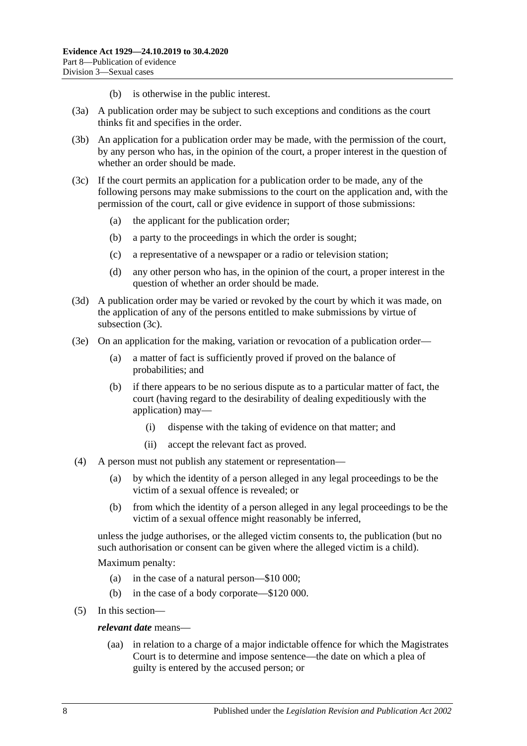- (b) is otherwise in the public interest.
- (3a) A publication order may be subject to such exceptions and conditions as the court thinks fit and specifies in the order.
- (3b) An application for a publication order may be made, with the permission of the court, by any person who has, in the opinion of the court, a proper interest in the question of whether an order should be made.
- <span id="page-89-0"></span>(3c) If the court permits an application for a publication order to be made, any of the following persons may make submissions to the court on the application and, with the permission of the court, call or give evidence in support of those submissions:
	- (a) the applicant for the publication order;
	- (b) a party to the proceedings in which the order is sought;
	- (c) a representative of a newspaper or a radio or television station;
	- (d) any other person who has, in the opinion of the court, a proper interest in the question of whether an order should be made.
- (3d) A publication order may be varied or revoked by the court by which it was made, on the application of any of the persons entitled to make submissions by virtue of [subsection](#page-89-0) (3c).
- (3e) On an application for the making, variation or revocation of a publication order—
	- (a) a matter of fact is sufficiently proved if proved on the balance of probabilities; and
	- (b) if there appears to be no serious dispute as to a particular matter of fact, the court (having regard to the desirability of dealing expeditiously with the application) may—
		- (i) dispense with the taking of evidence on that matter; and
		- (ii) accept the relevant fact as proved.
- (4) A person must not publish any statement or representation—
	- (a) by which the identity of a person alleged in any legal proceedings to be the victim of a sexual offence is revealed; or
	- (b) from which the identity of a person alleged in any legal proceedings to be the victim of a sexual offence might reasonably be inferred,

unless the judge authorises, or the alleged victim consents to, the publication (but no such authorisation or consent can be given where the alleged victim is a child).

- (a) in the case of a natural person—\$10 000;
- (b) in the case of a body corporate—\$120 000.
- (5) In this section
	- *relevant date* means—
		- (aa) in relation to a charge of a major indictable offence for which the Magistrates Court is to determine and impose sentence—the date on which a plea of guilty is entered by the accused person; or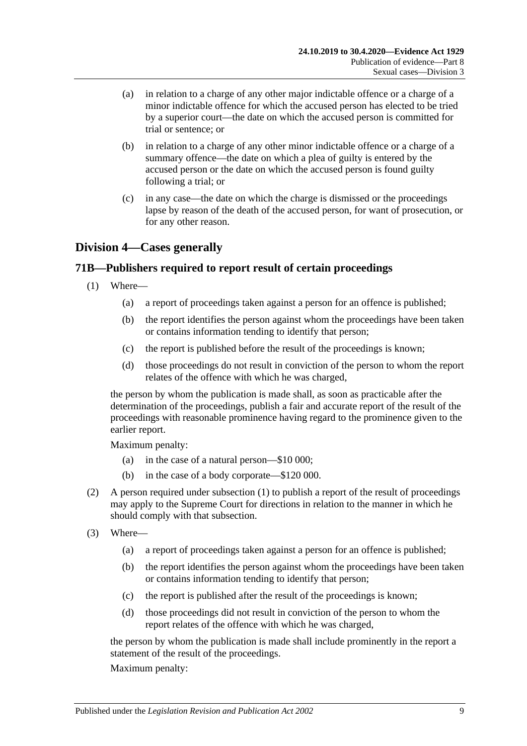- (a) in relation to a charge of any other major indictable offence or a charge of a minor indictable offence for which the accused person has elected to be tried by a superior court—the date on which the accused person is committed for trial or sentence; or
- (b) in relation to a charge of any other minor indictable offence or a charge of a summary offence—the date on which a plea of guilty is entered by the accused person or the date on which the accused person is found guilty following a trial; or
- (c) in any case—the date on which the charge is dismissed or the proceedings lapse by reason of the death of the accused person, for want of prosecution, or for any other reason.

## **Division 4—Cases generally**

### <span id="page-90-0"></span>**71B—Publishers required to report result of certain proceedings**

- (1) Where—
	- (a) a report of proceedings taken against a person for an offence is published;
	- (b) the report identifies the person against whom the proceedings have been taken or contains information tending to identify that person;
	- (c) the report is published before the result of the proceedings is known;
	- (d) those proceedings do not result in conviction of the person to whom the report relates of the offence with which he was charged,

the person by whom the publication is made shall, as soon as practicable after the determination of the proceedings, publish a fair and accurate report of the result of the proceedings with reasonable prominence having regard to the prominence given to the earlier report.

Maximum penalty:

- (a) in the case of a natural person—\$10 000;
- (b) in the case of a body corporate—\$120 000.
- (2) A person required under [subsection](#page-90-0) (1) to publish a report of the result of proceedings may apply to the Supreme Court for directions in relation to the manner in which he should comply with that subsection.
- (3) Where—
	- (a) a report of proceedings taken against a person for an offence is published;
	- (b) the report identifies the person against whom the proceedings have been taken or contains information tending to identify that person;
	- (c) the report is published after the result of the proceedings is known;
	- (d) those proceedings did not result in conviction of the person to whom the report relates of the offence with which he was charged,

the person by whom the publication is made shall include prominently in the report a statement of the result of the proceedings.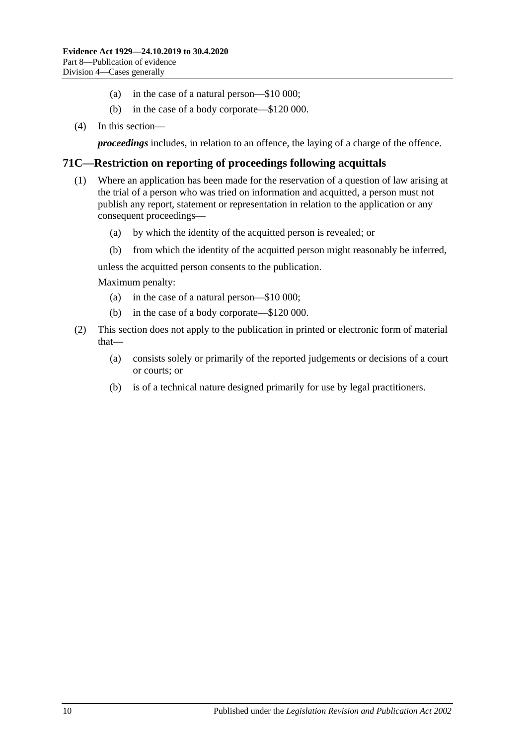- (a) in the case of a natural person—\$10 000;
- (b) in the case of a body corporate—\$120 000.
- (4) In this section—

*proceedings* includes, in relation to an offence, the laying of a charge of the offence.

#### **71C—Restriction on reporting of proceedings following acquittals**

- (1) Where an application has been made for the reservation of a question of law arising at the trial of a person who was tried on information and acquitted, a person must not publish any report, statement or representation in relation to the application or any consequent proceedings—
	- (a) by which the identity of the acquitted person is revealed; or
	- (b) from which the identity of the acquitted person might reasonably be inferred,

unless the acquitted person consents to the publication.

- (a) in the case of a natural person—\$10 000;
- (b) in the case of a body corporate—\$120 000.
- (2) This section does not apply to the publication in printed or electronic form of material that—
	- (a) consists solely or primarily of the reported judgements or decisions of a court or courts; or
	- (b) is of a technical nature designed primarily for use by legal practitioners.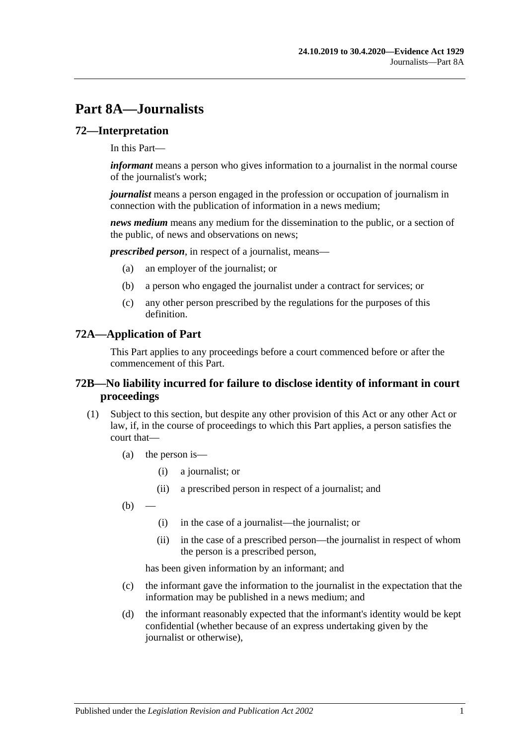# **Part 8A—Journalists**

#### **72—Interpretation**

In this Part—

*informant* means a person who gives information to a journalist in the normal course of the journalist's work;

*journalist* means a person engaged in the profession or occupation of journalism in connection with the publication of information in a news medium;

*news medium* means any medium for the dissemination to the public, or a section of the public, of news and observations on news;

*prescribed person*, in respect of a journalist, means—

- (a) an employer of the journalist; or
- (b) a person who engaged the journalist under a contract for services; or
- (c) any other person prescribed by the regulations for the purposes of this definition.

#### **72A—Application of Part**

This Part applies to any proceedings before a court commenced before or after the commencement of this Part.

#### **72B—No liability incurred for failure to disclose identity of informant in court proceedings**

- <span id="page-92-0"></span>(1) Subject to this section, but despite any other provision of this Act or any other Act or law, if, in the course of proceedings to which this Part applies, a person satisfies the court that—
	- (a) the person is—
		- (i) a journalist; or
		- (ii) a prescribed person in respect of a journalist; and
	- $(b)$ 
		- (i) in the case of a journalist—the journalist; or
		- (ii) in the case of a prescribed person—the journalist in respect of whom the person is a prescribed person,

has been given information by an informant; and

- (c) the informant gave the information to the journalist in the expectation that the information may be published in a news medium; and
- (d) the informant reasonably expected that the informant's identity would be kept confidential (whether because of an express undertaking given by the journalist or otherwise),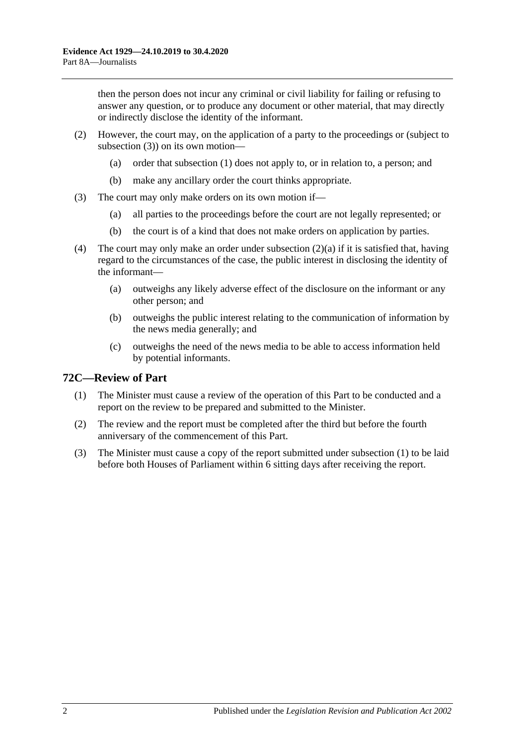then the person does not incur any criminal or civil liability for failing or refusing to answer any question, or to produce any document or other material, that may directly or indirectly disclose the identity of the informant.

- <span id="page-93-1"></span>(2) However, the court may, on the application of a party to the proceedings or (subject to [subsection](#page-93-0) (3)) on its own motion—
	- (a) order that [subsection](#page-92-0) (1) does not apply to, or in relation to, a person; and
	- (b) make any ancillary order the court thinks appropriate.
- <span id="page-93-0"></span>(3) The court may only make orders on its own motion if—
	- (a) all parties to the proceedings before the court are not legally represented; or
	- (b) the court is of a kind that does not make orders on application by parties.
- (4) The court may only make an order under [subsection](#page-93-1) (2)(a) if it is satisfied that, having regard to the circumstances of the case, the public interest in disclosing the identity of the informant—
	- (a) outweighs any likely adverse effect of the disclosure on the informant or any other person; and
	- (b) outweighs the public interest relating to the communication of information by the news media generally; and
	- (c) outweighs the need of the news media to be able to access information held by potential informants.

## <span id="page-93-2"></span>**72C—Review of Part**

- (1) The Minister must cause a review of the operation of this Part to be conducted and a report on the review to be prepared and submitted to the Minister.
- (2) The review and the report must be completed after the third but before the fourth anniversary of the commencement of this Part.
- (3) The Minister must cause a copy of the report submitted under [subsection](#page-93-2) (1) to be laid before both Houses of Parliament within 6 sitting days after receiving the report.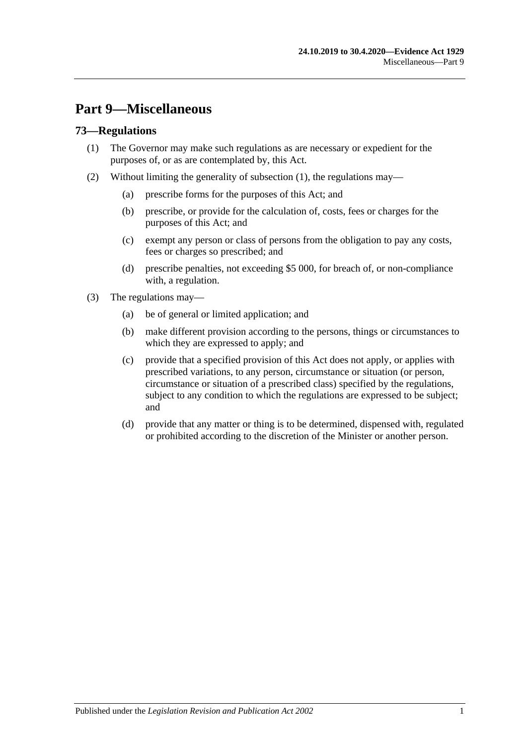# **Part 9—Miscellaneous**

### <span id="page-94-0"></span>**73—Regulations**

- (1) The Governor may make such regulations as are necessary or expedient for the purposes of, or as are contemplated by, this Act.
- (2) Without limiting the generality of [subsection](#page-94-0) (1), the regulations may—
	- (a) prescribe forms for the purposes of this Act; and
	- (b) prescribe, or provide for the calculation of, costs, fees or charges for the purposes of this Act; and
	- (c) exempt any person or class of persons from the obligation to pay any costs, fees or charges so prescribed; and
	- (d) prescribe penalties, not exceeding \$5 000, for breach of, or non-compliance with, a regulation.
- (3) The regulations may—
	- (a) be of general or limited application; and
	- (b) make different provision according to the persons, things or circumstances to which they are expressed to apply; and
	- (c) provide that a specified provision of this Act does not apply, or applies with prescribed variations, to any person, circumstance or situation (or person, circumstance or situation of a prescribed class) specified by the regulations, subject to any condition to which the regulations are expressed to be subject; and
	- (d) provide that any matter or thing is to be determined, dispensed with, regulated or prohibited according to the discretion of the Minister or another person.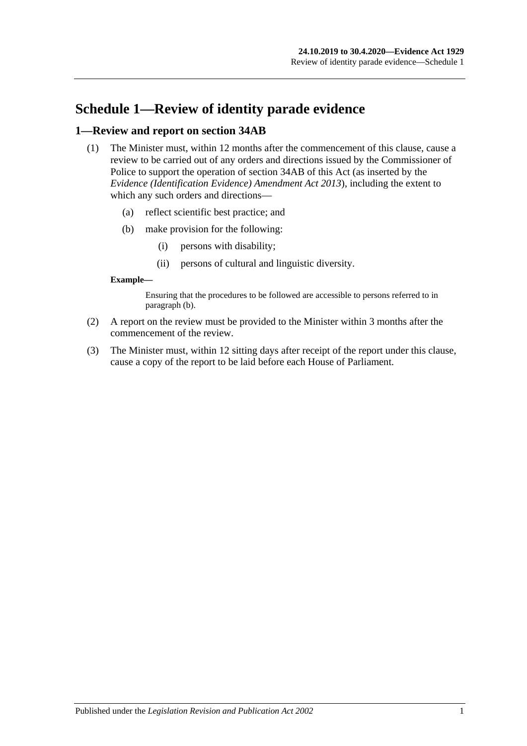# **Schedule 1—Review of identity parade evidence**

#### **1—Review and report on section 34AB**

- (1) The Minister must, within 12 months after the commencement of this clause, cause a review to be carried out of any orders and directions issued by the Commissioner of Police to support the operation of section 34AB of this Act (as inserted by the *[Evidence \(Identification Evidence\) Amendment Act](http://www.legislation.sa.gov.au/index.aspx?action=legref&type=act&legtitle=Evidence%20(Identification%20Evidence)%20Amendment%20Act%202013) 2013*), including the extent to which any such orders and directions—
	- (a) reflect scientific best practice; and
	- (b) make provision for the following:
		- (i) persons with disability;
		- (ii) persons of cultural and linguistic diversity.

#### <span id="page-96-0"></span>**Example—**

Ensuring that the procedures to be followed are accessible to persons referred to in [paragraph](#page-96-0) (b).

- (2) A report on the review must be provided to the Minister within 3 months after the commencement of the review.
- (3) The Minister must, within 12 sitting days after receipt of the report under this clause, cause a copy of the report to be laid before each House of Parliament.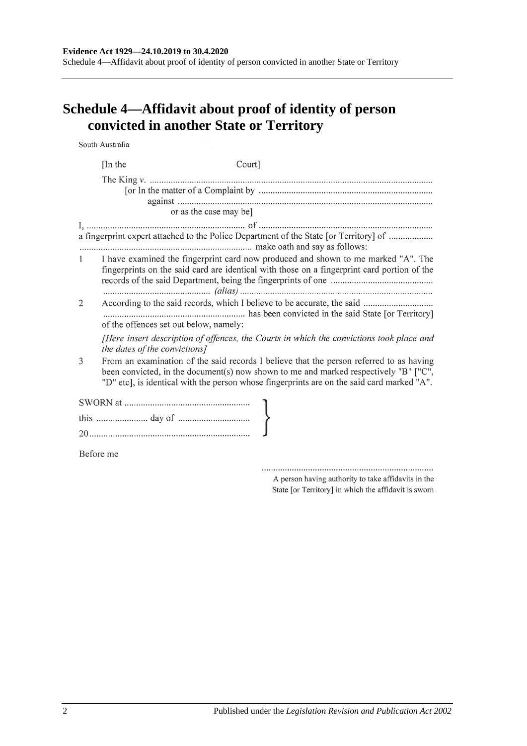Schedule 4—Affidavit about proof of identity of person convicted in another State or Territory

# **Schedule 4—Affidavit about proof of identity of person convicted in another State or Territory**

South Australia

|           | [In the]                               | Court]                                                                                                                                                                                                                                                                        |
|-----------|----------------------------------------|-------------------------------------------------------------------------------------------------------------------------------------------------------------------------------------------------------------------------------------------------------------------------------|
|           |                                        |                                                                                                                                                                                                                                                                               |
|           | or as the case may be]                 |                                                                                                                                                                                                                                                                               |
|           |                                        | a fingerprint expert attached to the Police Department of the State [or Territory] of                                                                                                                                                                                         |
| $1 \quad$ |                                        | I have examined the fingerprint card now produced and shown to me marked "A". The<br>fingerprints on the said card are identical with those on a fingerprint card portion of the                                                                                              |
| 2         | of the offences set out below, namely: |                                                                                                                                                                                                                                                                               |
|           | the dates of the convictions]          | [Here insert description of offences, the Courts in which the convictions took place and                                                                                                                                                                                      |
| 3         |                                        | From an examination of the said records I believe that the person referred to as having<br>been convicted, in the document(s) now shown to me and marked respectively "B" ["C",<br>"D" etc], is identical with the person whose fingerprints are on the said card marked "A". |
|           |                                        |                                                                                                                                                                                                                                                                               |
|           |                                        |                                                                                                                                                                                                                                                                               |
|           |                                        |                                                                                                                                                                                                                                                                               |
| Before me |                                        |                                                                                                                                                                                                                                                                               |

A person having authority to take affidavits in the State [or Territory] in which the affidavit is sworn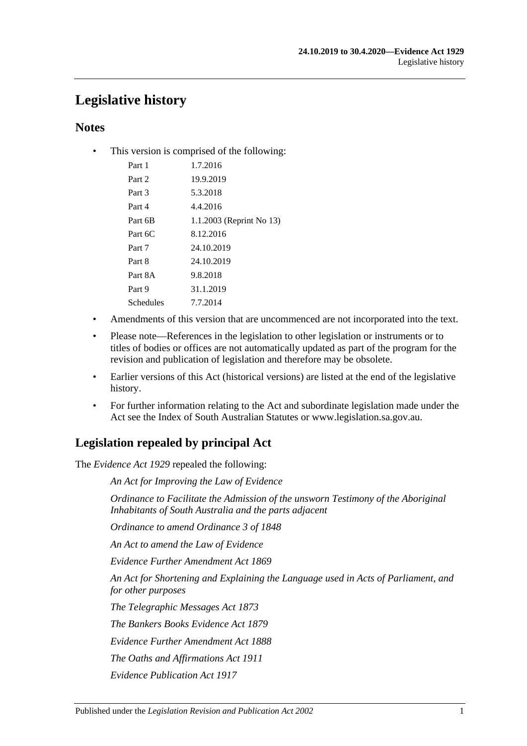# **Legislative history**

## **Notes**

• This version is comprised of the following:

| Part 1           | 1.7.2016                 |
|------------------|--------------------------|
| Part 2           | 19.9.2019                |
| Part 3           | 5.3.2018                 |
| Part 4           | 4.4.2016                 |
| Part 6B          | 1.1.2003 (Reprint No 13) |
| Part 6C          | 8.12.2016                |
| Part 7           | 24.10.2019               |
| Part 8           | 24.10.2019               |
| Part 8A          | 9.8.2018                 |
| Part 9           | 31.1.2019                |
| <b>Schedules</b> | 7.7.2014                 |
|                  |                          |

- Amendments of this version that are uncommenced are not incorporated into the text.
- Please note—References in the legislation to other legislation or instruments or to titles of bodies or offices are not automatically updated as part of the program for the revision and publication of legislation and therefore may be obsolete.
- Earlier versions of this Act (historical versions) are listed at the end of the legislative history.
- For further information relating to the Act and subordinate legislation made under the Act see the Index of South Australian Statutes or www.legislation.sa.gov.au.

# **Legislation repealed by principal Act**

The *Evidence Act 1929* repealed the following:

*An Act for Improving the Law of Evidence*

*Ordinance to Facilitate the Admission of the unsworn Testimony of the Aboriginal Inhabitants of South Australia and the parts adjacent*

*Ordinance to amend Ordinance 3 of 1848*

*An Act to amend the Law of Evidence*

*Evidence Further Amendment Act 1869*

*An Act for Shortening and Explaining the Language used in Acts of Parliament, and for other purposes*

*The Telegraphic Messages Act 1873*

*The Bankers Books Evidence Act 1879*

*Evidence Further Amendment Act 1888*

*The Oaths and Affirmations Act 1911*

*Evidence Publication Act 1917*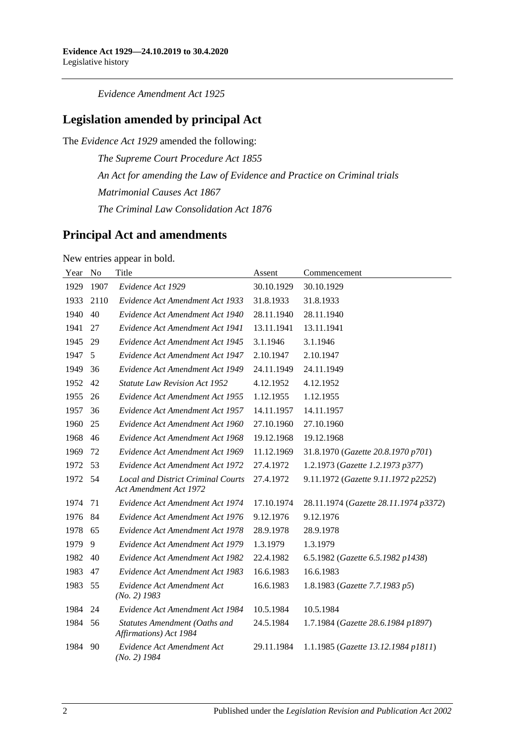*Evidence Amendment Act 1925*

## **Legislation amended by principal Act**

The *Evidence Act 1929* amended the following:

*The Supreme Court Procedure Act 1855 An Act for amending the Law of Evidence and Practice on Criminal trials Matrimonial Causes Act 1867 The Criminal Law Consolidation Act 1876*

## **Principal Act and amendments**

New entries appear in bold.

| Year | N <sub>o</sub> | Title                                                               | Assent     | Commencement                          |
|------|----------------|---------------------------------------------------------------------|------------|---------------------------------------|
| 1929 | 1907           | Evidence Act 1929                                                   | 30.10.1929 | 30.10.1929                            |
| 1933 | 2110           | Evidence Act Amendment Act 1933                                     | 31.8.1933  | 31.8.1933                             |
| 1940 | 40             | Evidence Act Amendment Act 1940                                     | 28.11.1940 | 28.11.1940                            |
| 1941 | 27             | Evidence Act Amendment Act 1941                                     | 13.11.1941 | 13.11.1941                            |
| 1945 | 29             | Evidence Act Amendment Act 1945                                     | 3.1.1946   | 3.1.1946                              |
| 1947 | 5              | Evidence Act Amendment Act 1947                                     | 2.10.1947  | 2.10.1947                             |
| 1949 | 36             | Evidence Act Amendment Act 1949                                     | 24.11.1949 | 24.11.1949                            |
| 1952 | 42             | <b>Statute Law Revision Act 1952</b>                                | 4.12.1952  | 4.12.1952                             |
| 1955 | 26             | Evidence Act Amendment Act 1955                                     | 1.12.1955  | 1.12.1955                             |
| 1957 | 36             | Evidence Act Amendment Act 1957                                     | 14.11.1957 | 14.11.1957                            |
| 1960 | 25             | Evidence Act Amendment Act 1960                                     | 27.10.1960 | 27.10.1960                            |
| 1968 | 46             | Evidence Act Amendment Act 1968                                     | 19.12.1968 | 19.12.1968                            |
| 1969 | 72             | Evidence Act Amendment Act 1969                                     | 11.12.1969 | 31.8.1970 (Gazette 20.8.1970 p701)    |
| 1972 | 53             | Evidence Act Amendment Act 1972                                     | 27.4.1972  | 1.2.1973 (Gazette 1.2.1973 p377)      |
| 1972 | 54             | <b>Local and District Criminal Courts</b><br>Act Amendment Act 1972 | 27.4.1972  | 9.11.1972 (Gazette 9.11.1972 p2252)   |
| 1974 | 71             | Evidence Act Amendment Act 1974                                     | 17.10.1974 | 28.11.1974 (Gazette 28.11.1974 p3372) |
| 1976 | 84             | Evidence Act Amendment Act 1976                                     | 9.12.1976  | 9.12.1976                             |
| 1978 | 65             | Evidence Act Amendment Act 1978                                     | 28.9.1978  | 28.9.1978                             |
| 1979 | 9              | Evidence Act Amendment Act 1979                                     | 1.3.1979   | 1.3.1979                              |
| 1982 | 40             | Evidence Act Amendment Act 1982                                     | 22.4.1982  | 6.5.1982 (Gazette 6.5.1982 p1438)     |
| 1983 | 47             | Evidence Act Amendment Act 1983                                     | 16.6.1983  | 16.6.1983                             |
| 1983 | 55             | Evidence Act Amendment Act<br>$(No. 2)$ 1983                        | 16.6.1983  | 1.8.1983 (Gazette 7.7.1983 p5)        |
| 1984 | 24             | Evidence Act Amendment Act 1984                                     | 10.5.1984  | 10.5.1984                             |
| 1984 | 56             | Statutes Amendment (Oaths and<br>Affirmations) Act 1984             | 24.5.1984  | 1.7.1984 (Gazette 28.6.1984 p1897)    |
| 1984 | 90             | Evidence Act Amendment Act<br>$(No. 2)$ 1984                        | 29.11.1984 | 1.1.1985 (Gazette 13.12.1984 p1811)   |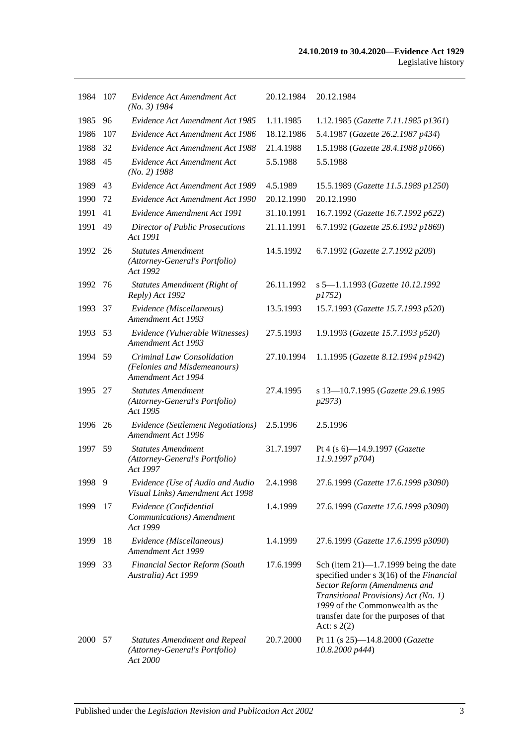| 1984 | -107 | Evidence Act Amendment Act<br>$(No. 3)$ 1984                                       | 20.12.1984 | 20.12.1984                                                                                                                                                                                                                                                |
|------|------|------------------------------------------------------------------------------------|------------|-----------------------------------------------------------------------------------------------------------------------------------------------------------------------------------------------------------------------------------------------------------|
| 1985 | 96   | Evidence Act Amendment Act 1985                                                    | 1.11.1985  | 1.12.1985 (Gazette 7.11.1985 p1361)                                                                                                                                                                                                                       |
| 1986 | 107  | Evidence Act Amendment Act 1986                                                    | 18.12.1986 | 5.4.1987 (Gazette 26.2.1987 p434)                                                                                                                                                                                                                         |
| 1988 | 32   | Evidence Act Amendment Act 1988                                                    | 21.4.1988  | 1.5.1988 (Gazette 28.4.1988 p1066)                                                                                                                                                                                                                        |
| 1988 | 45   | Evidence Act Amendment Act<br>$(No. 2)$ 1988                                       | 5.5.1988   | 5.5.1988                                                                                                                                                                                                                                                  |
| 1989 | 43   | Evidence Act Amendment Act 1989                                                    | 4.5.1989   | 15.5.1989 (Gazette 11.5.1989 p1250)                                                                                                                                                                                                                       |
| 1990 | 72   | Evidence Act Amendment Act 1990                                                    | 20.12.1990 | 20.12.1990                                                                                                                                                                                                                                                |
| 1991 | 41   | Evidence Amendment Act 1991                                                        | 31.10.1991 | 16.7.1992 (Gazette 16.7.1992 p622)                                                                                                                                                                                                                        |
| 1991 | 49   | <b>Director of Public Prosecutions</b><br>Act 1991                                 | 21.11.1991 | 6.7.1992 (Gazette 25.6.1992 p1869)                                                                                                                                                                                                                        |
| 1992 | 26   | <b>Statutes Amendment</b><br>(Attorney-General's Portfolio)<br>Act 1992            | 14.5.1992  | 6.7.1992 (Gazette 2.7.1992 p209)                                                                                                                                                                                                                          |
| 1992 | 76   | <b>Statutes Amendment (Right of</b><br>Reply) Act 1992                             | 26.11.1992 | s 5-1.1.1993 (Gazette 10.12.1992<br><i>p1752</i> )                                                                                                                                                                                                        |
| 1993 | 37   | Evidence (Miscellaneous)<br>Amendment Act 1993                                     | 13.5.1993  | 15.7.1993 (Gazette 15.7.1993 p520)                                                                                                                                                                                                                        |
| 1993 | 53   | Evidence (Vulnerable Witnesses)<br>Amendment Act 1993                              | 27.5.1993  | 1.9.1993 (Gazette 15.7.1993 p520)                                                                                                                                                                                                                         |
| 1994 | 59   | Criminal Law Consolidation<br>(Felonies and Misdemeanours)<br>Amendment Act 1994   | 27.10.1994 | 1.1.1995 (Gazette 8.12.1994 p1942)                                                                                                                                                                                                                        |
| 1995 | 27   | <b>Statutes Amendment</b><br>(Attorney-General's Portfolio)<br>Act 1995            | 27.4.1995  | s 13-10.7.1995 (Gazette 29.6.1995<br>p2973)                                                                                                                                                                                                               |
| 1996 | 26   | Evidence (Settlement Negotiations)<br>Amendment Act 1996                           | 2.5.1996   | 2.5.1996                                                                                                                                                                                                                                                  |
| 1997 | 59   | <b>Statutes Amendment</b><br>(Attorney-General's Portfolio)<br>Act 1997            | 31.7.1997  | Pt 4 (s 6)-14.9.1997 (Gazette<br>11.9.1997 p704)                                                                                                                                                                                                          |
| 1998 | -9   | Evidence (Use of Audio and Audio<br>Visual Links) Amendment Act 1998               | 2.4.1998   | 27.6.1999 (Gazette 17.6.1999 p3090)                                                                                                                                                                                                                       |
| 1999 | 17   | Evidence (Confidential<br>Communications) Amendment<br>Act 1999                    | 1.4.1999   | 27.6.1999 (Gazette 17.6.1999 p3090)                                                                                                                                                                                                                       |
| 1999 | 18   | Evidence (Miscellaneous)<br>Amendment Act 1999                                     | 1.4.1999   | 27.6.1999 (Gazette 17.6.1999 p3090)                                                                                                                                                                                                                       |
| 1999 | 33   | <b>Financial Sector Reform (South</b><br>Australia) Act 1999                       | 17.6.1999  | Sch (item $21$ )—1.7.1999 being the date<br>specified under s 3(16) of the Financial<br>Sector Reform (Amendments and<br>Transitional Provisions) Act (No. 1)<br>1999 of the Commonwealth as the<br>transfer date for the purposes of that<br>Act: $s(2)$ |
| 2000 | 57   | <b>Statutes Amendment and Repeal</b><br>(Attorney-General's Portfolio)<br>Act 2000 | 20.7.2000  | Pt 11 (s 25)-14.8.2000 (Gazette<br>10.8.2000 p444)                                                                                                                                                                                                        |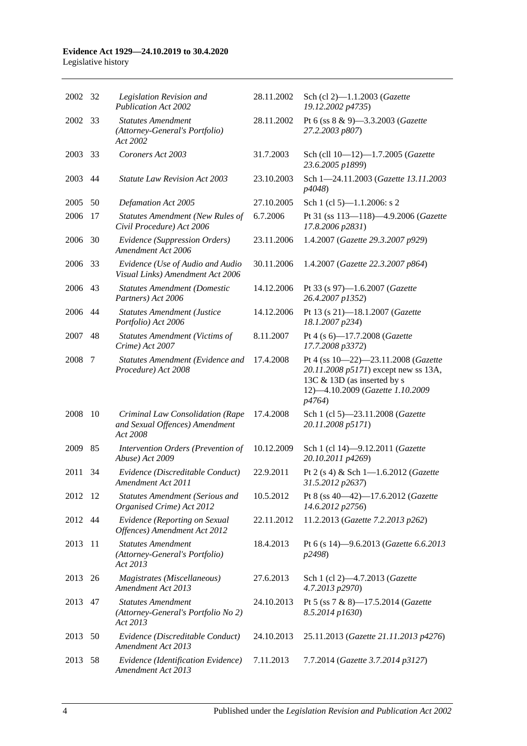#### **Evidence Act 1929—24.10.2019 to 30.4.2020** Legislative history

| 2002 32 |     | Legislation Revision and<br><b>Publication Act 2002</b>                        | 28.11.2002 | Sch (cl 2)-1.1.2003 (Gazette<br>19.12.2002 p4735)                                                                                                        |
|---------|-----|--------------------------------------------------------------------------------|------------|----------------------------------------------------------------------------------------------------------------------------------------------------------|
| 2002    | 33  | <b>Statutes Amendment</b><br>(Attorney-General's Portfolio)<br>Act 2002        | 28.11.2002 | Pt 6 (ss 8 & 9)-3.3.2003 (Gazette<br>27.2.2003 p807)                                                                                                     |
| 2003    | 33  | Coroners Act 2003                                                              | 31.7.2003  | Sch (cll 10-12)-1.7.2005 (Gazette<br>23.6.2005 p1899)                                                                                                    |
| 2003    | 44  | <b>Statute Law Revision Act 2003</b>                                           | 23.10.2003 | Sch 1-24.11.2003 (Gazette 13.11.2003<br>p4048)                                                                                                           |
| 2005    | 50  | Defamation Act 2005                                                            | 27.10.2005 | Sch 1 (cl 5)-1.1.2006: s 2                                                                                                                               |
| 2006    | 17  | <b>Statutes Amendment (New Rules of</b><br>Civil Procedure) Act 2006           | 6.7.2006   | Pt 31 (ss 113-118)-4.9.2006 (Gazette<br>17.8.2006 p2831)                                                                                                 |
| 2006    | 30  | Evidence (Suppression Orders)<br>Amendment Act 2006                            | 23.11.2006 | 1.4.2007 (Gazette 29.3.2007 p929)                                                                                                                        |
| 2006    | 33  | Evidence (Use of Audio and Audio<br>Visual Links) Amendment Act 2006           | 30.11.2006 | 1.4.2007 (Gazette 22.3.2007 p864)                                                                                                                        |
| 2006    | 43  | <b>Statutes Amendment (Domestic</b><br>Partners) Act 2006                      | 14.12.2006 | Pt 33 (s 97)-1.6.2007 (Gazette<br>26.4.2007 p1352)                                                                                                       |
| 2006    | 44  | <b>Statutes Amendment (Justice</b><br>Portfolio) Act 2006                      | 14.12.2006 | Pt 13 (s 21)-18.1.2007 (Gazette<br>18.1.2007 p234)                                                                                                       |
| 2007    | 48  | <b>Statutes Amendment (Victims of</b><br>Crime) Act 2007                       | 8.11.2007  | Pt 4 (s 6)-17.7.2008 (Gazette<br>17.7.2008 p3372)                                                                                                        |
| 2008    | 7   | Statutes Amendment (Evidence and<br>Procedure) Act 2008                        | 17.4.2008  | Pt 4 (ss 10-22)-23.11.2008 (Gazette<br>20.11.2008 p5171) except new ss 13A,<br>13C & 13D (as inserted by s<br>12)-4.10.2009 (Gazette 1.10.2009<br>p4764) |
| 2008    | 10  | Criminal Law Consolidation (Rape<br>and Sexual Offences) Amendment<br>Act 2008 | 17.4.2008  | Sch 1 (cl 5)-23.11.2008 (Gazette<br>20.11.2008 p5171)                                                                                                    |
| 2009    | 85  | Intervention Orders (Prevention of<br>Abuse) Act 2009                          | 10.12.2009 | Sch 1 (cl 14)-9.12.2011 (Gazette<br>20.10.2011 p4269)                                                                                                    |
| 2011    | 34  | Evidence (Discreditable Conduct)<br>Amendment Act 2011                         | 22.9.2011  | Pt 2 (s 4) & Sch 1-1.6.2012 (Gazette<br>31.5.2012 p2637)                                                                                                 |
| 2012    | -12 | <b>Statutes Amendment (Serious and</b><br>Organised Crime) Act 2012            | 10.5.2012  | Pt 8 (ss 40-42)-17.6.2012 (Gazette<br>14.6.2012 p2756)                                                                                                   |
| 2012    | 44  | Evidence (Reporting on Sexual<br>Offences) Amendment Act 2012                  | 22.11.2012 | 11.2.2013 (Gazette 7.2.2013 p262)                                                                                                                        |
| 2013    | 11  | <b>Statutes Amendment</b><br>(Attorney-General's Portfolio)<br>Act 2013        | 18.4.2013  | Pt 6 (s 14)-9.6.2013 (Gazette 6.6.2013<br>p2498)                                                                                                         |
| 2013 26 |     | Magistrates (Miscellaneous)<br>Amendment Act 2013                              | 27.6.2013  | Sch 1 (cl 2)-4.7.2013 (Gazette<br>4.7.2013 p2970)                                                                                                        |
| 2013    | 47  | <b>Statutes Amendment</b><br>(Attorney-General's Portfolio No 2)<br>Act 2013   | 24.10.2013 | Pt 5 (ss 7 & 8)-17.5.2014 (Gazette<br>8.5.2014 p1630)                                                                                                    |
| 2013    | 50  | Evidence (Discreditable Conduct)<br>Amendment Act 2013                         | 24.10.2013 | 25.11.2013 (Gazette 21.11.2013 p4276)                                                                                                                    |
| 2013    | 58  | Evidence (Identification Evidence)<br>Amendment Act 2013                       | 7.11.2013  | 7.7.2014 (Gazette 3.7.2014 p3127)                                                                                                                        |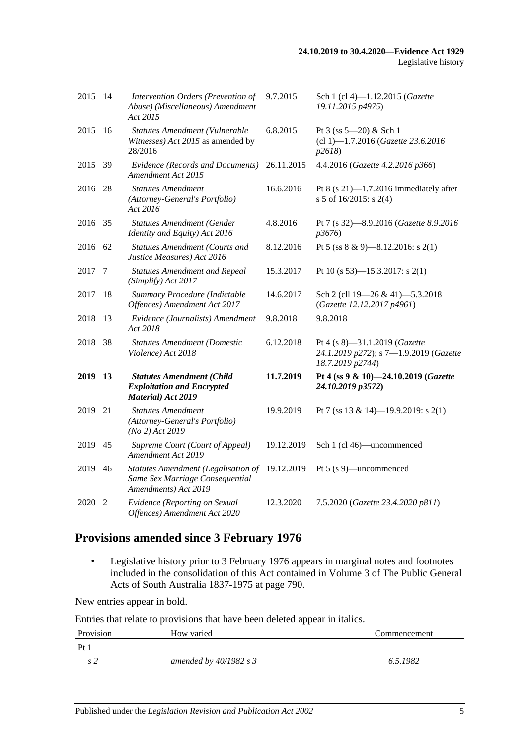| 2015 14 |    | Intervention Orders (Prevention of<br>Abuse) (Miscellaneous) Amendment<br>Act 2015             | 9.7.2015   | Sch 1 (cl 4)-1.12.2015 (Gazette<br>19.11.2015 p4975)                                        |
|---------|----|------------------------------------------------------------------------------------------------|------------|---------------------------------------------------------------------------------------------|
| 2015    | 16 | Statutes Amendment (Vulnerable<br>Witnesses) Act 2015 as amended by<br>28/2016                 | 6.8.2015   | Pt $3$ (ss $5 - 20$ ) & Sch 1<br>(cl 1)-1.7.2016 (Gazette 23.6.2016<br>p2618                |
| 2015 39 |    | <b>Evidence (Records and Documents)</b><br>Amendment Act 2015                                  | 26.11.2015 | 4.4.2016 (Gazette 4.2.2016 p366)                                                            |
| 2016 28 |    | <b>Statutes Amendment</b><br>(Attorney-General's Portfolio)<br>Act 2016                        | 16.6.2016  | Pt $8$ (s 21)-1.7.2016 immediately after<br>s 5 of $16/2015$ : s 2(4)                       |
| 2016 35 |    | <b>Statutes Amendment (Gender</b><br>Identity and Equity) Act 2016                             | 4.8.2016   | Pt 7 (s 32)-8.9.2016 (Gazette 8.9.2016)<br>p3676                                            |
| 2016    | 62 | <b>Statutes Amendment (Courts and</b><br>Justice Measures) Act 2016                            | 8.12.2016  | Pt 5 (ss $8 \& 9$ )-8.12.2016: s 2(1)                                                       |
| 2017    | 7  | <b>Statutes Amendment and Repeal</b><br>(Simplify) Act 2017                                    | 15.3.2017  | Pt 10 (s 53)—15.3.2017: s 2(1)                                                              |
| 2017    | 18 | Summary Procedure (Indictable<br>Offences) Amendment Act 2017                                  | 14.6.2017  | Sch 2 (cll 19-26 & 41)-5.3.2018<br>(Gazette 12.12.2017 p4961)                               |
| 2018    | 13 | Evidence (Journalists) Amendment<br>Act 2018                                                   | 9.8.2018   | 9.8.2018                                                                                    |
| 2018    | 38 | <b>Statutes Amendment (Domestic</b><br>Violence) Act 2018                                      | 6.12.2018  | Pt 4 (s 8)-31.1.2019 (Gazette<br>24.1.2019 p272); s 7-1.9.2019 (Gazette<br>18.7.2019 p2744) |
| 2019    | 13 | <b>Statutes Amendment (Child</b><br><b>Exploitation and Encrypted</b><br>Material) Act 2019    | 11.7.2019  | Pt 4 (ss 9 & 10)-24.10.2019 (Gazette<br>24.10.2019 p3572)                                   |
| 2019    | 21 | <b>Statutes Amendment</b><br>(Attorney-General's Portfolio)<br>$(No 2)$ Act 2019               | 19.9.2019  | Pt 7 (ss 13 & 14)-19.9.2019: s 2(1)                                                         |
| 2019    | 45 | Supreme Court (Court of Appeal)<br>Amendment Act 2019                                          | 19.12.2019 | Sch 1 (cl 46)—uncommenced                                                                   |
| 2019    | 46 | Statutes Amendment (Legalisation of<br>Same Sex Marriage Consequential<br>Amendments) Act 2019 | 19.12.2019 | Pt 5 (s 9)—uncommenced                                                                      |
| 2020    | 2  | Evidence (Reporting on Sexual<br>Offences) Amendment Act 2020                                  | 12.3.2020  | 7.5.2020 (Gazette 23.4.2020 p811)                                                           |

## **Provisions amended since 3 February 1976**

• Legislative history prior to 3 February 1976 appears in marginal notes and footnotes included in the consolidation of this Act contained in Volume 3 of The Public General Acts of South Australia 1837-1975 at page 790.

New entries appear in bold.

Entries that relate to provisions that have been deleted appear in italics.

| Provision | How varied               | Commencement |
|-----------|--------------------------|--------------|
| Pt        |                          |              |
|           | amended by $40/1982$ s 3 | 6.5.1982     |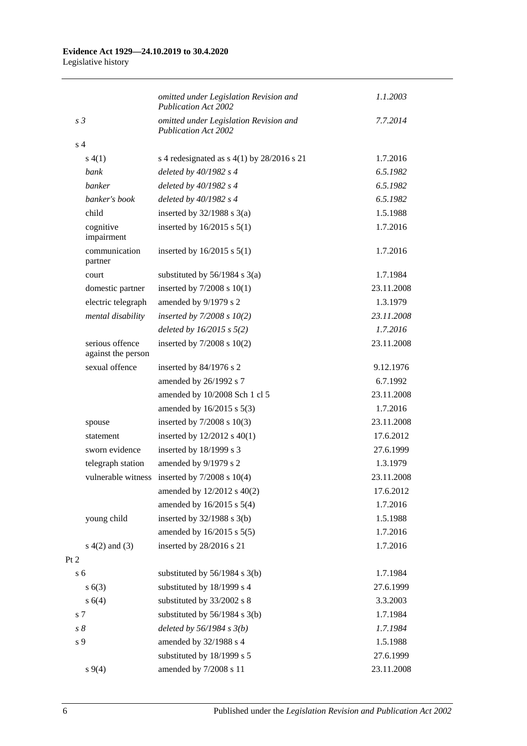|                                       | omitted under Legislation Revision and<br><b>Publication Act 2002</b> | 1.1.2003   |
|---------------------------------------|-----------------------------------------------------------------------|------------|
| s <sub>3</sub>                        | omitted under Legislation Revision and<br><b>Publication Act 2002</b> | 7.7.2014   |
| s <sub>4</sub>                        |                                                                       |            |
| s(4(1))                               | s 4 redesignated as $s$ 4(1) by 28/2016 s 21                          | 1.7.2016   |
| bank                                  | deleted by $40/1982$ s 4                                              | 6.5.1982   |
| banker                                | deleted by $40/1982$ s 4                                              | 6.5.1982   |
| banker's book                         | deleted by $40/1982$ s 4                                              | 6.5.1982   |
| child                                 | inserted by $32/1988$ s $3(a)$                                        | 1.5.1988   |
| cognitive<br>impairment               | inserted by $16/2015$ s $5(1)$                                        | 1.7.2016   |
| communication<br>partner              | inserted by $16/2015$ s $5(1)$                                        | 1.7.2016   |
| court                                 | substituted by $56/1984$ s $3(a)$                                     | 1.7.1984   |
| domestic partner                      | inserted by $7/2008$ s $10(1)$                                        | 23.11.2008 |
| electric telegraph                    | amended by 9/1979 s 2                                                 | 1.3.1979   |
| mental disability                     | inserted by $7/2008 s 10(2)$                                          | 23.11.2008 |
|                                       | deleted by $16/2015$ s $5(2)$                                         | 1.7.2016   |
| serious offence<br>against the person | inserted by $7/2008$ s $10(2)$                                        | 23.11.2008 |
| sexual offence                        | inserted by 84/1976 s 2                                               | 9.12.1976  |
|                                       | amended by 26/1992 s 7                                                | 6.7.1992   |
|                                       | amended by 10/2008 Sch 1 cl 5                                         | 23.11.2008 |
|                                       | amended by $16/2015$ s $5(3)$                                         | 1.7.2016   |
| spouse                                | inserted by $7/2008$ s $10(3)$                                        | 23.11.2008 |
| statement                             | inserted by $12/2012$ s $40(1)$                                       | 17.6.2012  |
| sworn evidence                        | inserted by 18/1999 s 3                                               | 27.6.1999  |
| telegraph station                     | amended by 9/1979 s 2                                                 | 1.3.1979   |
| vulnerable witness                    | inserted by $7/2008$ s $10(4)$                                        | 23.11.2008 |
|                                       | amended by 12/2012 s 40(2)                                            | 17.6.2012  |
|                                       | amended by $16/2015$ s $5(4)$                                         | 1.7.2016   |
| young child                           | inserted by $32/1988$ s $3(b)$                                        | 1.5.1988   |
|                                       | amended by 16/2015 s 5(5)                                             | 1.7.2016   |
| $s(4(2)$ and $(3)$                    | inserted by 28/2016 s 21                                              | 1.7.2016   |
| Pt 2                                  |                                                                       |            |
| s <sub>6</sub>                        | substituted by $56/1984$ s $3(b)$                                     | 1.7.1984   |
| s(6(3))                               | substituted by 18/1999 s 4                                            | 27.6.1999  |
| s 6(4)                                | substituted by 33/2002 s 8                                            | 3.3.2003   |
| s 7                                   | substituted by $56/1984$ s 3(b)                                       | 1.7.1984   |
| $s\,8$                                | deleted by $56/1984$ s $3(b)$                                         | 1.7.1984   |
| s 9                                   | amended by 32/1988 s 4                                                | 1.5.1988   |
|                                       | substituted by 18/1999 s 5                                            | 27.6.1999  |
| $s \, 9(4)$                           | amended by 7/2008 s 11                                                | 23.11.2008 |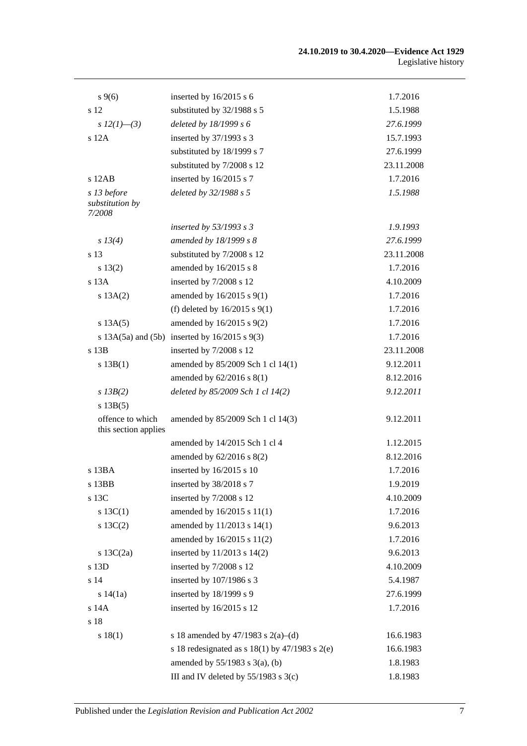| $s \, 9(6)$                              | inserted by $16/2015$ s 6                             | 1.7.2016   |
|------------------------------------------|-------------------------------------------------------|------------|
| s 12                                     | substituted by 32/1988 s 5                            | 1.5.1988   |
| s $12(1)$ —(3)                           | deleted by 18/1999 s 6                                | 27.6.1999  |
| $s$ 12A                                  | inserted by 37/1993 s 3                               | 15.7.1993  |
|                                          | substituted by 18/1999 s 7                            | 27.6.1999  |
|                                          | substituted by 7/2008 s 12                            | 23.11.2008 |
| $s$ 12AB                                 | inserted by 16/2015 s 7                               | 1.7.2016   |
| s 13 before<br>substitution by<br>7/2008 | deleted by 32/1988 s 5                                | 1.5.1988   |
|                                          | inserted by $53/1993$ s 3                             | 1.9.1993   |
| s 13(4)                                  | amended by 18/1999 s 8                                | 27.6.1999  |
| s 13                                     | substituted by 7/2008 s 12                            | 23.11.2008 |
| s 13(2)                                  | amended by 16/2015 s 8                                | 1.7.2016   |
| s 13A                                    | inserted by 7/2008 s 12                               | 4.10.2009  |
| s 13A(2)                                 | amended by $16/2015$ s $9(1)$                         | 1.7.2016   |
|                                          | (f) deleted by $16/2015$ s $9(1)$                     | 1.7.2016   |
| s 13A(5)                                 | amended by 16/2015 s 9(2)                             | 1.7.2016   |
|                                          | s $13A(5a)$ and $(5b)$ inserted by $16/2015$ s $9(3)$ | 1.7.2016   |
| s 13B                                    | inserted by 7/2008 s 12                               | 23.11.2008 |
| s 13B(1)                                 | amended by 85/2009 Sch 1 cl 14(1)                     | 9.12.2011  |
|                                          | amended by 62/2016 s 8(1)                             | 8.12.2016  |
| $s$ 13B(2)                               | deleted by 85/2009 Sch 1 cl 14(2)                     | 9.12.2011  |
| s 13B(5)                                 |                                                       |            |
| offence to which<br>this section applies | amended by 85/2009 Sch 1 cl 14(3)                     | 9.12.2011  |
|                                          | amended by 14/2015 Sch 1 cl 4                         | 1.12.2015  |
|                                          | amended by $62/2016$ s $8(2)$                         | 8.12.2016  |
| s 13BA                                   | inserted by 16/2015 s 10                              | 1.7.2016   |
| s 13BB                                   | inserted by 38/2018 s 7                               | 1.9.2019   |
| s 13C                                    | inserted by 7/2008 s 12                               | 4.10.2009  |
| s $13C(1)$                               | amended by 16/2015 s 11(1)                            | 1.7.2016   |
| $s \ 13C(2)$                             | amended by 11/2013 s 14(1)                            | 9.6.2013   |
|                                          | amended by 16/2015 s 11(2)                            | 1.7.2016   |
| s $13C(2a)$                              | inserted by $11/2013$ s $14(2)$                       | 9.6.2013   |
| s 13D                                    | inserted by 7/2008 s 12                               | 4.10.2009  |
| s 14                                     | inserted by 107/1986 s 3                              | 5.4.1987   |
| s 14(1a)                                 | inserted by 18/1999 s 9                               | 27.6.1999  |
| s 14A                                    | inserted by 16/2015 s 12                              | 1.7.2016   |
| s 18                                     |                                                       |            |
| s 18(1)                                  | s 18 amended by 47/1983 s 2(a)–(d)                    | 16.6.1983  |
|                                          | s 18 redesignated as s $18(1)$ by $47/1983$ s $2(e)$  | 16.6.1983  |
|                                          | amended by $55/1983$ s $3(a)$ , (b)                   | 1.8.1983   |
|                                          | III and IV deleted by 55/1983 s 3(c)                  | 1.8.1983   |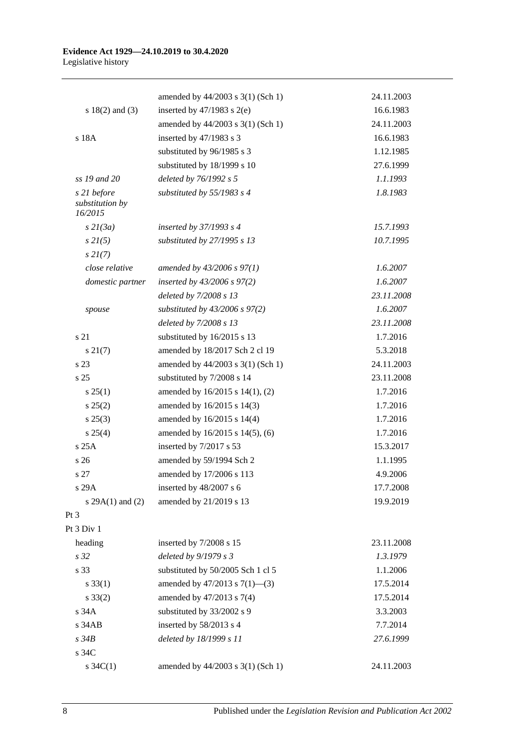|                                           | amended by 44/2003 s 3(1) (Sch 1)  | 24.11.2003 |
|-------------------------------------------|------------------------------------|------------|
| s $18(2)$ and $(3)$                       | inserted by $47/1983$ s $2(e)$     | 16.6.1983  |
|                                           | amended by 44/2003 s 3(1) (Sch 1)  | 24.11.2003 |
| s 18A                                     | inserted by 47/1983 s 3            | 16.6.1983  |
|                                           | substituted by 96/1985 s 3         | 1.12.1985  |
|                                           | substituted by 18/1999 s 10        | 27.6.1999  |
| ss 19 and 20                              | deleted by 76/1992 s 5             | 1.1.1993   |
| s 21 before<br>substitution by<br>16/2015 | substituted by 55/1983 s 4         | 1.8.1983   |
| $s$ 21(3a)                                | inserted by $37/1993$ s 4          | 15.7.1993  |
| $s \, 2I(5)$                              | substituted by 27/1995 s 13        | 10.7.1995  |
| $s \, 2I(7)$                              |                                    |            |
| close relative                            | amended by $43/2006$ s $97(1)$     | 1.6.2007   |
| domestic partner                          | inserted by $43/2006$ s $97(2)$    | 1.6.2007   |
|                                           | deleted by 7/2008 s 13             | 23.11.2008 |
| spouse                                    | substituted by $43/2006$ s $97(2)$ | 1.6.2007   |
|                                           | deleted by 7/2008 s 13             | 23.11.2008 |
| s 21                                      | substituted by 16/2015 s 13        | 1.7.2016   |
| $s \, 21(7)$                              | amended by 18/2017 Sch 2 cl 19     | 5.3.2018   |
| s 23                                      | amended by 44/2003 s 3(1) (Sch 1)  | 24.11.2003 |
| s <sub>25</sub>                           | substituted by 7/2008 s 14         | 23.11.2008 |
| s 25(1)                                   | amended by 16/2015 s 14(1), (2)    | 1.7.2016   |
| s 25(2)                                   | amended by 16/2015 s 14(3)         | 1.7.2016   |
| $s\,25(3)$                                | amended by 16/2015 s 14(4)         | 1.7.2016   |
| s 25(4)                                   | amended by 16/2015 s 14(5), (6)    | 1.7.2016   |
| s 25A                                     | inserted by 7/2017 s 53            | 15.3.2017  |
| s 26                                      | amended by 59/1994 Sch 2           | 1.1.1995   |
| s 27                                      | amended by 17/2006 s 113           | 4.9.2006   |
| s 29A                                     | inserted by 48/2007 s 6            | 17.7.2008  |
| s $29A(1)$ and $(2)$                      | amended by 21/2019 s 13            | 19.9.2019  |
| Pt 3                                      |                                    |            |
| Pt 3 Div 1                                |                                    |            |
| heading                                   | inserted by 7/2008 s 15            | 23.11.2008 |
| s 32                                      | deleted by 9/1979 s 3              | 1.3.1979   |
| s 33                                      | substituted by 50/2005 Sch 1 cl 5  | 1.1.2006   |
| $s \, 33(1)$                              | amended by $47/2013$ s $7(1)$ —(3) | 17.5.2014  |
| $s \, 33(2)$                              | amended by 47/2013 s 7(4)          | 17.5.2014  |
| s 34A                                     | substituted by 33/2002 s 9         | 3.3.2003   |
| s 34AB                                    | inserted by 58/2013 s 4            | 7.7.2014   |
| s34B                                      | deleted by 18/1999 s 11            | 27.6.1999  |
| s 34C                                     |                                    |            |
| s $34C(1)$                                | amended by 44/2003 s 3(1) (Sch 1)  | 24.11.2003 |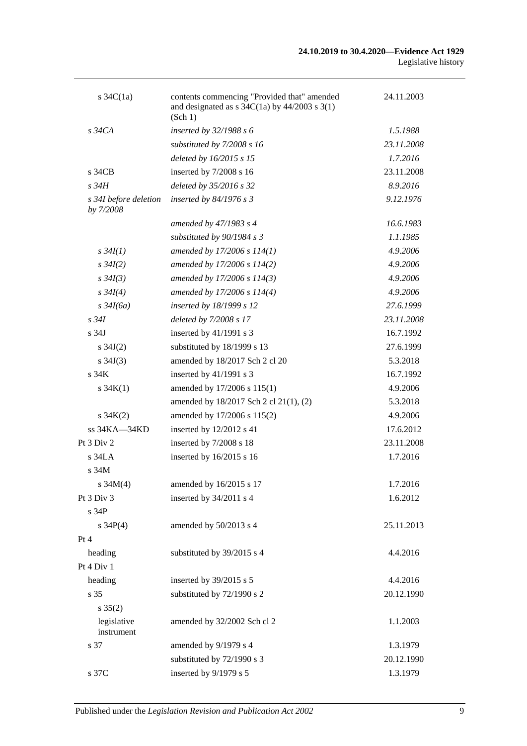| s $34C(1a)$                        | contents commencing "Provided that" amended<br>and designated as $s \frac{34C(1a)}{y}$ by $\frac{44}{2003} \frac{s \cdot 3(1)}{y}$<br>(Sch 1) | 24.11.2003 |
|------------------------------------|-----------------------------------------------------------------------------------------------------------------------------------------------|------------|
| $s\,34CA$                          | inserted by $32/1988 s 6$                                                                                                                     | 1.5.1988   |
|                                    | substituted by 7/2008 s 16                                                                                                                    | 23.11.2008 |
|                                    | deleted by 16/2015 s 15                                                                                                                       | 1.7.2016   |
| s 34CB                             | inserted by 7/2008 s 16                                                                                                                       | 23.11.2008 |
| $s\,34H$                           | deleted by 35/2016 s 32                                                                                                                       | 8.9.2016   |
| s 34I before deletion<br>by 7/2008 | inserted by $84/1976$ s 3                                                                                                                     | 9.12.1976  |
|                                    | amended by 47/1983 s 4                                                                                                                        | 16.6.1983  |
|                                    | substituted by $90/1984 s 3$                                                                                                                  | 1.1.1985   |
| $s \, 34I(1)$                      | amended by 17/2006 s 114(1)                                                                                                                   | 4.9.2006   |
| $s \, 34I(2)$                      | amended by 17/2006 s 114(2)                                                                                                                   | 4.9.2006   |
| $s \, 34I(3)$                      | amended by 17/2006 s 114(3)                                                                                                                   | 4.9.2006   |
| $s \, 34I(4)$                      | amended by 17/2006 s 114(4)                                                                                                                   | 4.9.2006   |
| $s\,34I(6a)$                       | inserted by 18/1999 s 12                                                                                                                      | 27.6.1999  |
| $s\,34I$                           | deleted by 7/2008 s 17                                                                                                                        | 23.11.2008 |
| s <sub>34J</sub>                   | inserted by $41/1991$ s 3                                                                                                                     | 16.7.1992  |
| $s \, 34J(2)$                      | substituted by 18/1999 s 13                                                                                                                   | 27.6.1999  |
| s $34J(3)$                         | amended by 18/2017 Sch 2 cl 20                                                                                                                | 5.3.2018   |
| s <sub>34K</sub>                   | inserted by $41/1991$ s 3                                                                                                                     | 16.7.1992  |
| s $34K(1)$                         | amended by 17/2006 s 115(1)                                                                                                                   | 4.9.2006   |
|                                    | amended by 18/2017 Sch 2 cl 21(1), (2)                                                                                                        | 5.3.2018   |
| $s \, 34K(2)$                      | amended by 17/2006 s 115(2)                                                                                                                   | 4.9.2006   |
| ss 34KA-34KD                       | inserted by 12/2012 s 41                                                                                                                      | 17.6.2012  |
| Pt $3$ Div $2$                     | inserted by 7/2008 s 18                                                                                                                       | 23.11.2008 |
| $s$ 34LA                           | inserted by 16/2015 s 16                                                                                                                      | 1.7.2016   |
| s 34M                              |                                                                                                                                               |            |
| s $34M(4)$                         | amended by 16/2015 s 17                                                                                                                       | 1.7.2016   |
| Pt 3 Div 3                         | inserted by 34/2011 s 4                                                                                                                       | 1.6.2012   |
| s 34P                              |                                                                                                                                               |            |
| s $34P(4)$                         | amended by 50/2013 s 4                                                                                                                        | 25.11.2013 |
| Pt 4                               |                                                                                                                                               |            |
| heading                            | substituted by 39/2015 s 4                                                                                                                    | 4.4.2016   |
| Pt 4 Div 1                         |                                                                                                                                               |            |
| heading                            | inserted by 39/2015 s 5                                                                                                                       | 4.4.2016   |
| s 35                               | substituted by 72/1990 s 2                                                                                                                    | 20.12.1990 |
| $s \, 35(2)$                       |                                                                                                                                               |            |
| legislative<br>instrument          | amended by 32/2002 Sch cl 2                                                                                                                   | 1.1.2003   |
| s 37                               | amended by 9/1979 s 4                                                                                                                         | 1.3.1979   |
|                                    | substituted by 72/1990 s 3                                                                                                                    | 20.12.1990 |
| s 37C                              | inserted by 9/1979 s 5                                                                                                                        | 1.3.1979   |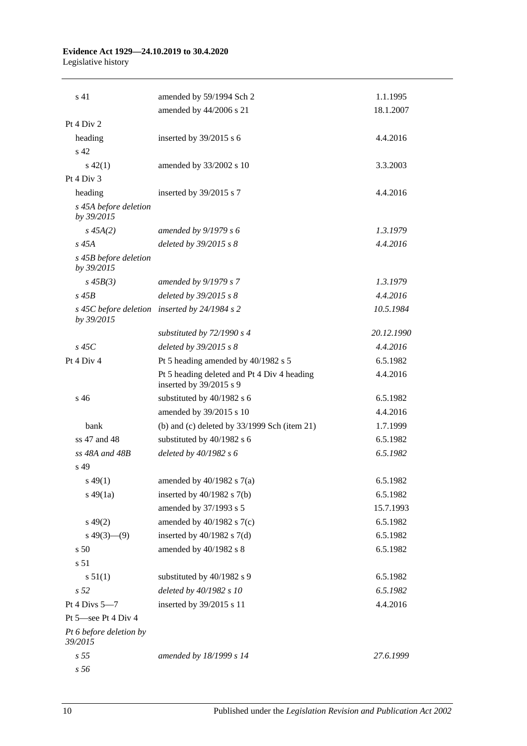#### **Evidence Act 1929—24.10.2019 to 30.4.2020** Legislative history

| s 41                                | amended by 59/1994 Sch 2                                               | 1.1.1995   |
|-------------------------------------|------------------------------------------------------------------------|------------|
|                                     | amended by 44/2006 s 21                                                | 18.1.2007  |
| Pt 4 Div 2                          |                                                                        |            |
| heading                             | inserted by $39/2015$ s 6                                              | 4.4.2016   |
| s 42                                |                                                                        |            |
| $s\,42(1)$                          | amended by 33/2002 s 10                                                | 3.3.2003   |
| Pt 4 Div 3                          |                                                                        |            |
| heading                             | inserted by 39/2015 s 7                                                | 4.4.2016   |
| s 45A before deletion<br>by 39/2015 |                                                                        |            |
| $s\,45A(2)$                         | amended by $9/1979 s 6$                                                | 1.3.1979   |
| $s\,45A$                            | deleted by $39/2015$ s $8$                                             | 4.4.2016   |
| s 45B before deletion<br>by 39/2015 |                                                                        |            |
| $s\,45B(3)$                         | amended by 9/1979 s 7                                                  | 1.3.1979   |
| $s$ 45 $B$                          | deleted by $39/2015$ s $8$                                             | 4.4.2016   |
| s 45C before deletion<br>by 39/2015 | inserted by $24/1984$ s 2                                              | 10.5.1984  |
|                                     | substituted by $72/1990 s 4$                                           | 20.12.1990 |
| $s\,45C$                            | deleted by $39/2015$ s $8$                                             | 4.4.2016   |
| Pt 4 Div 4                          | Pt 5 heading amended by 40/1982 s 5                                    | 6.5.1982   |
|                                     | Pt 5 heading deleted and Pt 4 Div 4 heading<br>inserted by 39/2015 s 9 | 4.4.2016   |
| $s\,46$                             | substituted by 40/1982 s 6                                             | 6.5.1982   |
|                                     | amended by 39/2015 s 10                                                | 4.4.2016   |
| bank                                | (b) and (c) deleted by $33/1999$ Sch (item 21)                         | 1.7.1999   |
| ss 47 and 48                        | substituted by 40/1982 s 6                                             | 6.5.1982   |
| $ss$ 48A and 48B                    | deleted by 40/1982 s 6                                                 | 6.5.1982   |
| s 49                                |                                                                        |            |
| $s\,49(1)$                          | amended by $40/1982$ s $7(a)$                                          | 6.5.1982   |
| $s\,49(1a)$                         | inserted by $40/1982$ s $7(b)$                                         | 6.5.1982   |
|                                     | amended by 37/1993 s 5                                                 | 15.7.1993  |
| $s\,49(2)$                          | amended by $40/1982$ s $7(c)$                                          | 6.5.1982   |
| $s\ 49(3)$ (9)                      | inserted by $40/1982$ s $7(d)$                                         | 6.5.1982   |
| s 50                                | amended by 40/1982 s 8                                                 | 6.5.1982   |
| s 51                                |                                                                        |            |
| s 51(1)                             | substituted by 40/1982 s 9                                             | 6.5.1982   |
| s <sub>52</sub>                     | deleted by 40/1982 s 10                                                | 6.5.1982   |
| Pt 4 Divs $5-7$                     | inserted by 39/2015 s 11                                               | 4.4.2016   |
| Pt 5-see Pt 4 Div 4                 |                                                                        |            |
| Pt 6 before deletion by<br>39/2015  |                                                                        |            |
| s <sub>55</sub>                     | amended by 18/1999 s 14                                                | 27.6.1999  |
| s 56                                |                                                                        |            |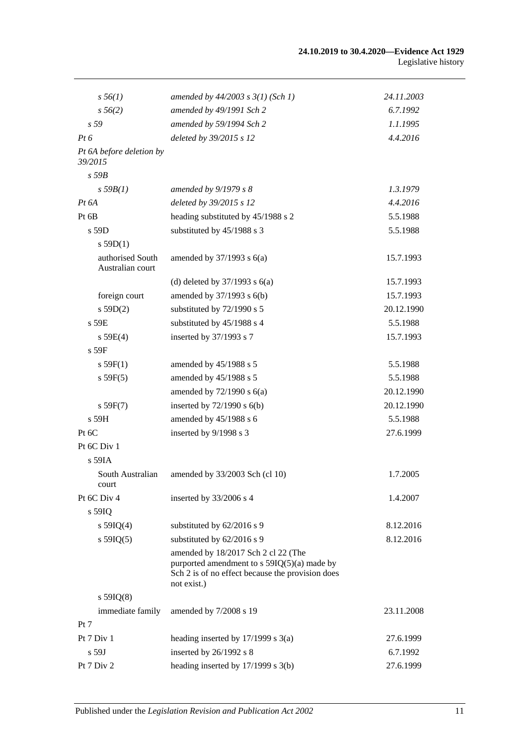| $s\,56(1)$                           | amended by $44/2003$ s $3(1)$ (Sch 1)                                                                                                                   | 24.11.2003 |
|--------------------------------------|---------------------------------------------------------------------------------------------------------------------------------------------------------|------------|
| $s\,56(2)$                           | amended by 49/1991 Sch 2                                                                                                                                | 6.7.1992   |
| s <sub>59</sub>                      | amended by 59/1994 Sch 2                                                                                                                                | 1.1.1995   |
| $Pt\,6$                              | deleted by 39/2015 s 12                                                                                                                                 | 4.4.2016   |
| Pt 6A before deletion by<br>39/2015  |                                                                                                                                                         |            |
| $s$ 59 $B$                           |                                                                                                                                                         |            |
| s 59B(1)                             | amended by 9/1979 s 8                                                                                                                                   | 1.3.1979   |
| $Pt\,6A$                             | deleted by 39/2015 s 12                                                                                                                                 | 4.4.2016   |
| Pt 6B                                | heading substituted by 45/1988 s 2                                                                                                                      | 5.5.1988   |
| s 59D                                | substituted by 45/1988 s 3                                                                                                                              | 5.5.1988   |
| $s$ 59D(1)                           |                                                                                                                                                         |            |
| authorised South<br>Australian court | amended by $37/1993$ s $6(a)$                                                                                                                           | 15.7.1993  |
|                                      | (d) deleted by $37/1993$ s $6(a)$                                                                                                                       | 15.7.1993  |
| foreign court                        | amended by 37/1993 s 6(b)                                                                                                                               | 15.7.1993  |
| s 59D(2)                             | substituted by 72/1990 s 5                                                                                                                              | 20.12.1990 |
| $s$ 59 $E$                           | substituted by 45/1988 s 4                                                                                                                              | 5.5.1988   |
| s 59E(4)                             | inserted by 37/1993 s 7                                                                                                                                 | 15.7.1993  |
| $s$ 59 $F$                           |                                                                                                                                                         |            |
| s 59F(1)                             | amended by 45/1988 s 5                                                                                                                                  | 5.5.1988   |
| s 59F(5)                             | amended by 45/1988 s 5                                                                                                                                  | 5.5.1988   |
|                                      | amended by $72/1990$ s $6(a)$                                                                                                                           | 20.12.1990 |
| s 59F(7)                             | inserted by $72/1990$ s $6(b)$                                                                                                                          | 20.12.1990 |
| s 59H                                | amended by 45/1988 s 6                                                                                                                                  | 5.5.1988   |
| Pt 6C                                | inserted by 9/1998 s 3                                                                                                                                  | 27.6.1999  |
| Pt 6C Div 1                          |                                                                                                                                                         |            |
| s 59IA                               |                                                                                                                                                         |            |
| South Australian<br>court            | amended by 33/2003 Sch (cl 10)                                                                                                                          | 1.7.2005   |
| Pt 6C Div 4                          | inserted by 33/2006 s 4                                                                                                                                 | 1.4.2007   |
| s 59IQ                               |                                                                                                                                                         |            |
| s $59IQ(4)$                          | substituted by 62/2016 s 9                                                                                                                              | 8.12.2016  |
| s $59IQ(5)$                          | substituted by 62/2016 s 9                                                                                                                              | 8.12.2016  |
|                                      | amended by 18/2017 Sch 2 cl 22 (The<br>purported amendment to $s$ 59IQ(5)(a) made by<br>Sch 2 is of no effect because the provision does<br>not exist.) |            |
| $s$ 59IQ(8)                          |                                                                                                                                                         |            |
| immediate family                     | amended by 7/2008 s 19                                                                                                                                  | 23.11.2008 |
| Pt 7                                 |                                                                                                                                                         |            |
| Pt 7 Div 1                           | heading inserted by $17/1999$ s $3(a)$                                                                                                                  | 27.6.1999  |
| s 59J                                | inserted by 26/1992 s 8                                                                                                                                 | 6.7.1992   |
| Pt 7 Div 2                           | heading inserted by $17/1999$ s $3(b)$                                                                                                                  | 27.6.1999  |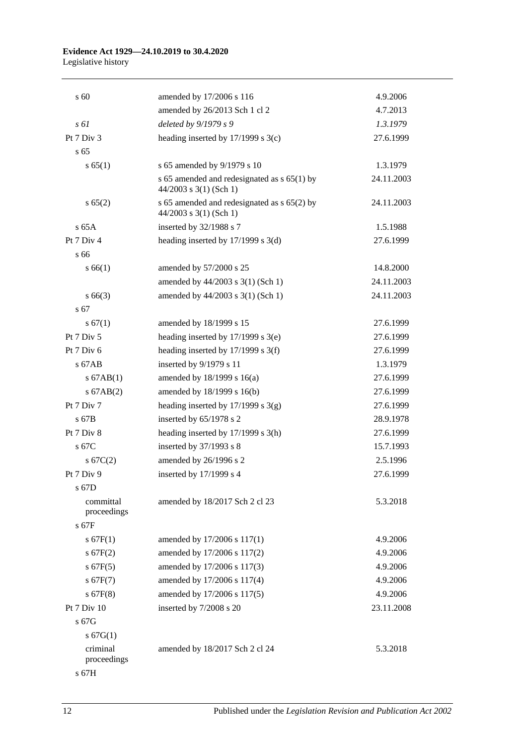#### **Evidence Act 1929—24.10.2019 to 30.4.2020** Legislative history

| s 60                     | amended by 17/2006 s 116                                                | 4.9.2006   |
|--------------------------|-------------------------------------------------------------------------|------------|
|                          | amended by 26/2013 Sch 1 cl 2                                           | 4.7.2013   |
| $s \, \delta l$          | deleted by 9/1979 s 9                                                   | 1.3.1979   |
| Pt 7 Div 3               | heading inserted by $17/1999$ s 3(c)                                    | 27.6.1999  |
| s <sub>65</sub>          |                                                                         |            |
| s 65(1)                  | s 65 amended by 9/1979 s 10                                             | 1.3.1979   |
|                          | s 65 amended and redesignated as $s$ 65(1) by<br>44/2003 s 3(1) (Sch 1) | 24.11.2003 |
| s 65(2)                  | s 65 amended and redesignated as s 65(2) by<br>$44/2003$ s 3(1) (Sch 1) | 24.11.2003 |
| $s$ 65A                  | inserted by 32/1988 s 7                                                 | 1.5.1988   |
| Pt $7$ Div $4$           | heading inserted by $17/1999$ s $3(d)$                                  | 27.6.1999  |
| s 66                     |                                                                         |            |
| s 66(1)                  | amended by 57/2000 s 25                                                 | 14.8.2000  |
|                          | amended by 44/2003 s 3(1) (Sch 1)                                       | 24.11.2003 |
| $s\,66(3)$               | amended by 44/2003 s 3(1) (Sch 1)                                       | 24.11.2003 |
| s 67                     |                                                                         |            |
| s 67(1)                  | amended by 18/1999 s 15                                                 | 27.6.1999  |
| Pt $7$ Div $5$           | heading inserted by $17/1999$ s $3(e)$                                  | 27.6.1999  |
| Pt $7$ Div $6$           | heading inserted by $17/1999$ s 3(f)                                    | 27.6.1999  |
| $s$ 67AB                 | inserted by 9/1979 s 11                                                 | 1.3.1979   |
| $s$ 67AB(1)              | amended by 18/1999 s 16(a)                                              | 27.6.1999  |
| $s$ 67AB $(2)$           | amended by 18/1999 s 16(b)                                              | 27.6.1999  |
| Pt $7$ Div $7$           | heading inserted by $17/1999$ s 3(g)                                    | 27.6.1999  |
| s 67B                    | inserted by 65/1978 s 2                                                 | 28.9.1978  |
| Pt 7 Div 8               | heading inserted by $17/1999$ s $3(h)$                                  | 27.6.1999  |
| s 67C                    | inserted by $37/1993$ s 8                                               | 15.7.1993  |
| $s \, 67C(2)$            | amended by 26/1996 s 2                                                  | 2.5.1996   |
| Pt 7 Div 9               | inserted by 17/1999 s 4                                                 | 27.6.1999  |
| s 67D                    |                                                                         |            |
| committal<br>proceedings | amended by 18/2017 Sch 2 cl 23                                          | 5.3.2018   |
| $s$ 67 $F$               |                                                                         |            |
| s 67F(1)                 | amended by 17/2006 s 117(1)                                             | 4.9.2006   |
| s 67F(2)                 | amended by 17/2006 s 117(2)                                             | 4.9.2006   |
| s 67F(5)                 | amended by 17/2006 s 117(3)                                             | 4.9.2006   |
| s 67F(7)                 | amended by 17/2006 s 117(4)                                             | 4.9.2006   |
| $s$ 67F(8)               | amended by 17/2006 s 117(5)                                             | 4.9.2006   |
| Pt 7 Div 10              | inserted by 7/2008 s 20                                                 | 23.11.2008 |
| s 67G                    |                                                                         |            |
| s 67G(1)                 |                                                                         |            |
| criminal<br>proceedings  | amended by 18/2017 Sch 2 cl 24                                          | 5.3.2018   |
| s 67H                    |                                                                         |            |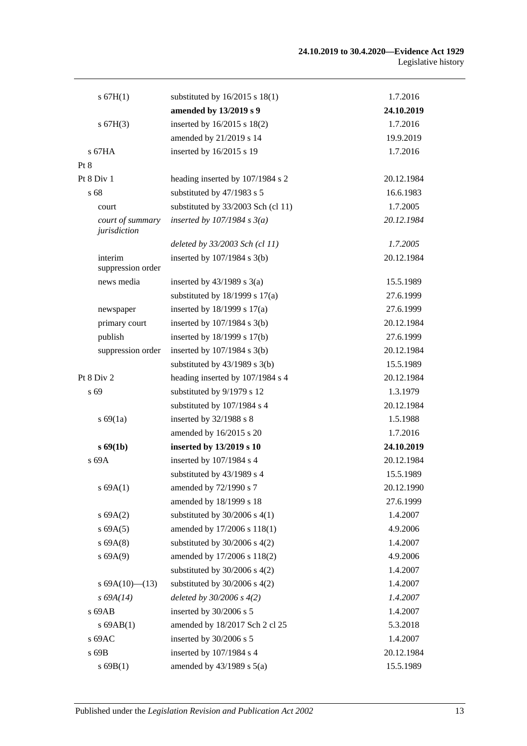| s 67H(1)                         | substituted by $16/2015$ s $18(1)$ | 1.7.2016   |
|----------------------------------|------------------------------------|------------|
|                                  | amended by 13/2019 s 9             | 24.10.2019 |
| s 67H(3)                         | inserted by 16/2015 s 18(2)        | 1.7.2016   |
|                                  | amended by 21/2019 s 14            | 19.9.2019  |
| $s$ 67HA                         | inserted by 16/2015 s 19           | 1.7.2016   |
| Pt 8                             |                                    |            |
| Pt 8 Div 1                       | heading inserted by 107/1984 s 2   | 20.12.1984 |
| s 68                             | substituted by 47/1983 s 5         | 16.6.1983  |
| court                            | substituted by 33/2003 Sch (cl 11) | 1.7.2005   |
| court of summary<br>jurisdiction | inserted by $107/1984$ s $3(a)$    | 20.12.1984 |
|                                  | deleted by 33/2003 Sch (cl 11)     | 1.7.2005   |
| interim<br>suppression order     | inserted by $107/1984$ s $3(b)$    | 20.12.1984 |
| news media                       | inserted by $43/1989$ s $3(a)$     | 15.5.1989  |
|                                  | substituted by $18/1999$ s $17(a)$ | 27.6.1999  |
| newspaper                        | inserted by $18/1999$ s $17(a)$    | 27.6.1999  |
| primary court                    | inserted by $107/1984$ s $3(b)$    | 20.12.1984 |
| publish                          | inserted by 18/1999 s 17(b)        | 27.6.1999  |
| suppression order                | inserted by $107/1984$ s $3(b)$    | 20.12.1984 |
|                                  | substituted by $43/1989$ s $3(b)$  | 15.5.1989  |
| Pt $8$ Div $2$                   | heading inserted by 107/1984 s 4   | 20.12.1984 |
| s 69                             | substituted by 9/1979 s 12         | 1.3.1979   |
|                                  | substituted by 107/1984 s 4        | 20.12.1984 |
| s 69(1a)                         | inserted by 32/1988 s 8            | 1.5.1988   |
|                                  | amended by 16/2015 s 20            | 1.7.2016   |
| $s \, 69(1b)$                    | inserted by 13/2019 s 10           | 24.10.2019 |
| s 69A                            | inserted by 107/1984 s 4           | 20.12.1984 |
|                                  | substituted by 43/1989 s 4         | 15.5.1989  |
| s 69A(1)                         | amended by 72/1990 s 7             | 20.12.1990 |
|                                  | amended by 18/1999 s 18            | 27.6.1999  |
| s 69A(2)                         | substituted by $30/2006$ s $4(1)$  | 1.4.2007   |
| s 69A(5)                         | amended by 17/2006 s 118(1)        | 4.9.2006   |
| s 69A(8)                         | substituted by $30/2006$ s $4(2)$  | 1.4.2007   |
| s 69A(9)                         | amended by 17/2006 s 118(2)        | 4.9.2006   |
|                                  | substituted by $30/2006$ s $4(2)$  | 1.4.2007   |
| s $69A(10)$ (13)                 | substituted by $30/2006$ s $4(2)$  | 1.4.2007   |
| $s\,69A(14)$                     | deleted by $30/2006 s 4(2)$        | 1.4.2007   |
| s 69AB                           | inserted by 30/2006 s 5            | 1.4.2007   |
| $s$ 69AB $(1)$                   | amended by 18/2017 Sch 2 cl 25     | 5.3.2018   |
| s 69AC                           | inserted by 30/2006 s 5            | 1.4.2007   |
| s 69B                            | inserted by 107/1984 s 4           | 20.12.1984 |
| s 69B(1)                         | amended by $43/1989$ s $5(a)$      | 15.5.1989  |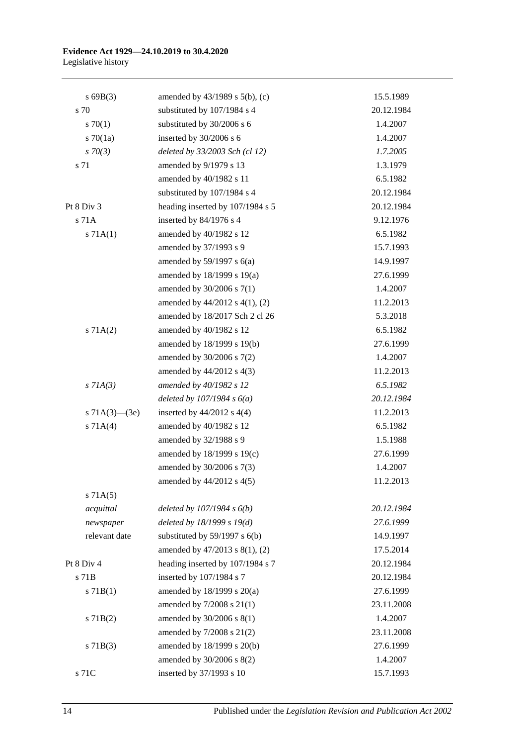#### **Evidence Act 1929—24.10.2019 to 30.4.2020** Legislative history

| s69B(3)             | amended by $43/1989$ s $5(b)$ , (c) | 15.5.1989  |
|---------------------|-------------------------------------|------------|
| s 70                | substituted by 107/1984 s 4         | 20.12.1984 |
| 570(1)              | substituted by 30/2006 s 6          | 1.4.2007   |
| s $70(1a)$          | inserted by 30/2006 s 6             | 1.4.2007   |
| $s \, 70(3)$        | deleted by 33/2003 Sch (cl 12)      | 1.7.2005   |
| s 71                | amended by 9/1979 s 13              | 1.3.1979   |
|                     | amended by 40/1982 s 11             | 6.5.1982   |
|                     | substituted by 107/1984 s 4         | 20.12.1984 |
| Pt 8 Div 3          | heading inserted by 107/1984 s 5    | 20.12.1984 |
| s 71A               | inserted by 84/1976 s 4             | 9.12.1976  |
| s 71A(1)            | amended by 40/1982 s 12             | 6.5.1982   |
|                     | amended by 37/1993 s 9              | 15.7.1993  |
|                     | amended by $59/1997$ s $6(a)$       | 14.9.1997  |
|                     | amended by $18/1999$ s $19(a)$      | 27.6.1999  |
|                     | amended by 30/2006 s 7(1)           | 1.4.2007   |
|                     | amended by 44/2012 s 4(1), (2)      | 11.2.2013  |
|                     | amended by 18/2017 Sch 2 cl 26      | 5.3.2018   |
| s 71A(2)            | amended by 40/1982 s 12             | 6.5.1982   |
|                     | amended by 18/1999 s 19(b)          | 27.6.1999  |
|                     | amended by 30/2006 s 7(2)           | 1.4.2007   |
|                     | amended by $44/2012$ s $4(3)$       | 11.2.2013  |
| $s$ 71A(3)          | amended by 40/1982 s 12             | 6.5.1982   |
|                     | deleted by $107/1984 s 6(a)$        | 20.12.1984 |
| s $71A(3)$ — $(3e)$ | inserted by 44/2012 s 4(4)          | 11.2.2013  |
| s 71A(4)            | amended by 40/1982 s 12             | 6.5.1982   |
|                     | amended by 32/1988 s 9              | 1.5.1988   |
|                     | amended by 18/1999 s 19(c)          | 27.6.1999  |
|                     | amended by 30/2006 s 7(3)           | 1.4.2007   |
|                     | amended by $44/2012$ s $4(5)$       | 11.2.2013  |
| s 71A(5)            |                                     |            |
| acquittal           | deleted by $107/1984 s 6(b)$        | 20.12.1984 |
| newspaper           | deleted by 18/1999 s 19(d)          | 27.6.1999  |
| relevant date       | substituted by $59/1997$ s $6(b)$   | 14.9.1997  |
|                     | amended by 47/2013 s 8(1), (2)      | 17.5.2014  |
| Pt 8 Div 4          | heading inserted by 107/1984 s 7    | 20.12.1984 |
| s 71B               | inserted by 107/1984 s 7            | 20.12.1984 |
| s 71B(1)            | amended by 18/1999 s 20(a)          | 27.6.1999  |
|                     | amended by 7/2008 s 21(1)           | 23.11.2008 |
| $s$ 71B(2)          | amended by 30/2006 s 8(1)           | 1.4.2007   |
|                     | amended by 7/2008 s 21(2)           | 23.11.2008 |
| $s$ 71B(3)          | amended by 18/1999 s 20(b)          | 27.6.1999  |
|                     | amended by 30/2006 s 8(2)           | 1.4.2007   |
| s 71C               | inserted by 37/1993 s 10            | 15.7.1993  |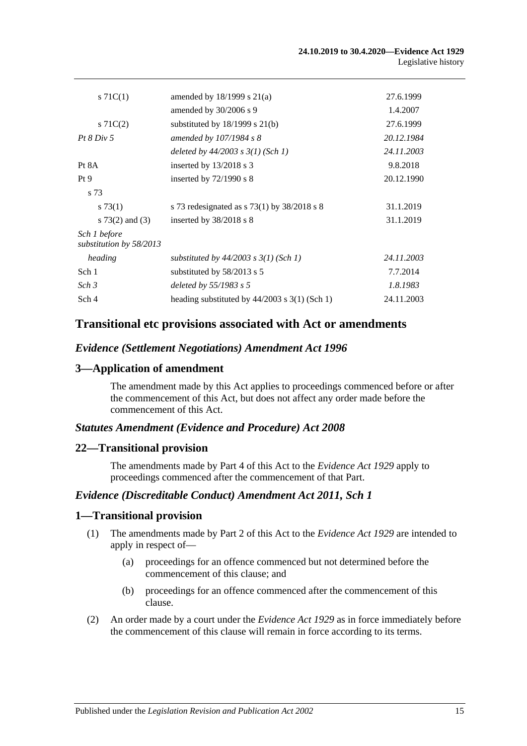| s $71C(1)$                              | amended by $18/1999$ s $21(a)$                  | 27.6.1999  |
|-----------------------------------------|-------------------------------------------------|------------|
|                                         | amended by $30/2006$ s 9                        | 1.4.2007   |
| $s \, 71C(2)$                           | substituted by $18/1999$ s $21(b)$              | 27.6.1999  |
| $Pt\,8\,Div\,5$                         | amended by $107/1984$ s 8                       | 20.12.1984 |
|                                         | deleted by $44/2003$ s $3(1)$ (Sch 1)           | 24.11.2003 |
| Pt 8A                                   | inserted by $13/2018$ s 3                       | 9.8.2018   |
| Pt9                                     | inserted by $72/1990$ s 8                       | 20.12.1990 |
| s 73                                    |                                                 |            |
| $s \, 73(1)$                            | s 73 redesignated as $s$ 73(1) by 38/2018 s 8   | 31.1.2019  |
| s $73(2)$ and $(3)$                     | inserted by $38/2018$ s 8                       | 31.1.2019  |
| Sch 1 before<br>substitution by 58/2013 |                                                 |            |
| heading                                 | substituted by $44/2003$ s $3(1)$ (Sch 1)       | 24.11.2003 |
| Sch 1                                   | substituted by $58/2013$ s 5                    | 7.7.2014   |
| Sch <sub>3</sub>                        | deleted by $55/1983$ s 5                        | 1.8.1983   |
| Sch 4                                   | heading substituted by $44/2003$ s 3(1) (Sch 1) | 24.11.2003 |

# **Transitional etc provisions associated with Act or amendments**

### *Evidence (Settlement Negotiations) Amendment Act 1996*

## **3—Application of amendment**

The amendment made by this Act applies to proceedings commenced before or after the commencement of this Act, but does not affect any order made before the commencement of this Act.

#### *Statutes Amendment (Evidence and Procedure) Act 2008*

#### **22—Transitional provision**

The amendments made by Part 4 of this Act to the *[Evidence Act](http://www.legislation.sa.gov.au/index.aspx?action=legref&type=act&legtitle=Evidence%20Act%201929) 1929* apply to proceedings commenced after the commencement of that Part.

#### *Evidence (Discreditable Conduct) Amendment Act 2011, Sch 1*

#### **1—Transitional provision**

- (1) The amendments made by Part 2 of this Act to the *[Evidence Act](http://www.legislation.sa.gov.au/index.aspx?action=legref&type=act&legtitle=Evidence%20Act%201929) 1929* are intended to apply in respect of—
	- (a) proceedings for an offence commenced but not determined before the commencement of this clause; and
	- (b) proceedings for an offence commenced after the commencement of this clause.
- (2) An order made by a court under the *[Evidence Act](http://www.legislation.sa.gov.au/index.aspx?action=legref&type=act&legtitle=Evidence%20Act%201929) 1929* as in force immediately before the commencement of this clause will remain in force according to its terms.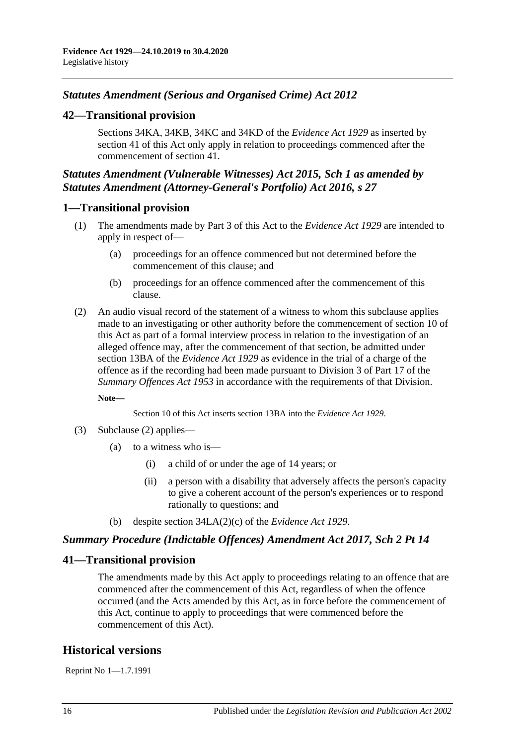# *Statutes Amendment (Serious and Organised Crime) Act 2012*

# **42—Transitional provision**

Sections 34KA, 34KB, 34KC and 34KD of the *[Evidence Act](http://www.legislation.sa.gov.au/index.aspx?action=legref&type=act&legtitle=Evidence%20Act%201929) 1929* as inserted by section 41 of this Act only apply in relation to proceedings commenced after the commencement of section 41.

# *Statutes Amendment (Vulnerable Witnesses) Act 2015, Sch 1 as amended by Statutes Amendment (Attorney-General's Portfolio) Act 2016, s 27*

## **1—Transitional provision**

- (1) The amendments made by Part 3 of this Act to the *[Evidence Act](http://www.legislation.sa.gov.au/index.aspx?action=legref&type=act&legtitle=Evidence%20Act%201929) 1929* are intended to apply in respect of—
	- (a) proceedings for an offence commenced but not determined before the commencement of this clause; and
	- (b) proceedings for an offence commenced after the commencement of this clause.
- <span id="page-113-0"></span>(2) An audio visual record of the statement of a witness to whom this subclause applies made to an investigating or other authority before the commencement of section 10 of this Act as part of a formal interview process in relation to the investigation of an alleged offence may, after the commencement of that section, be admitted under section 13BA of the *[Evidence Act](http://www.legislation.sa.gov.au/index.aspx?action=legref&type=act&legtitle=Evidence%20Act%201929) 1929* as evidence in the trial of a charge of the offence as if the recording had been made pursuant to Division 3 of Part 17 of the *[Summary Offences Act](http://www.legislation.sa.gov.au/index.aspx?action=legref&type=act&legtitle=Summary%20Offences%20Act%201953) 1953* in accordance with the requirements of that Division.

**Note—**

Section 10 of this Act inserts section 13BA into the *[Evidence Act](http://www.legislation.sa.gov.au/index.aspx?action=legref&type=act&legtitle=Evidence%20Act%201929) 1929*.

- (3) [Subclause \(2\)](#page-113-0) applies—
	- (a) to a witness who is—
		- (i) a child of or under the age of 14 years; or
		- (ii) a person with a disability that adversely affects the person's capacity to give a coherent account of the person's experiences or to respond rationally to questions; and
	- (b) despite section 34LA(2)(c) of the *[Evidence Act](http://www.legislation.sa.gov.au/index.aspx?action=legref&type=act&legtitle=Evidence%20Act%201929) 1929*.

## *Summary Procedure (Indictable Offences) Amendment Act 2017, Sch 2 Pt 14*

## **41—Transitional provision**

The amendments made by this Act apply to proceedings relating to an offence that are commenced after the commencement of this Act, regardless of when the offence occurred (and the Acts amended by this Act, as in force before the commencement of this Act, continue to apply to proceedings that were commenced before the commencement of this Act).

# **Historical versions**

Reprint No 1—1.7.1991